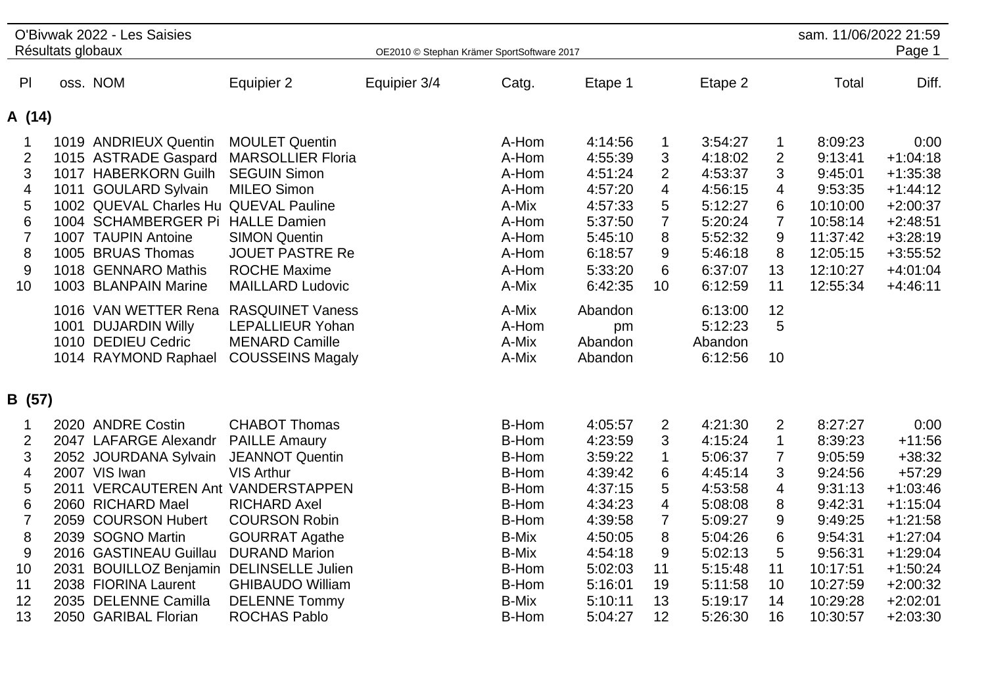|                                                                                        |                   | O'Bivwak 2022 - Les Saisies                                                                                                                                                                                                                                                               |                                                                                                                                                                                                                           |                                            |                                                                                                                             |                                                                                                                       |                                                                                                                   |                                                                                                                       |                                                                                      | sam. 11/06/2022 21:59                                                                                                   |                                                                                                                                            |
|----------------------------------------------------------------------------------------|-------------------|-------------------------------------------------------------------------------------------------------------------------------------------------------------------------------------------------------------------------------------------------------------------------------------------|---------------------------------------------------------------------------------------------------------------------------------------------------------------------------------------------------------------------------|--------------------------------------------|-----------------------------------------------------------------------------------------------------------------------------|-----------------------------------------------------------------------------------------------------------------------|-------------------------------------------------------------------------------------------------------------------|-----------------------------------------------------------------------------------------------------------------------|--------------------------------------------------------------------------------------|-------------------------------------------------------------------------------------------------------------------------|--------------------------------------------------------------------------------------------------------------------------------------------|
|                                                                                        | Résultats globaux |                                                                                                                                                                                                                                                                                           |                                                                                                                                                                                                                           | OE2010 © Stephan Krämer SportSoftware 2017 |                                                                                                                             |                                                                                                                       |                                                                                                                   |                                                                                                                       |                                                                                      |                                                                                                                         | Page 1                                                                                                                                     |
| P                                                                                      |                   | oss. NOM                                                                                                                                                                                                                                                                                  | Equipier 2                                                                                                                                                                                                                | Equipier 3/4                               | Catg.                                                                                                                       | Etape 1                                                                                                               |                                                                                                                   | Etape 2                                                                                                               |                                                                                      | Total                                                                                                                   | Diff.                                                                                                                                      |
| A (14)                                                                                 |                   |                                                                                                                                                                                                                                                                                           |                                                                                                                                                                                                                           |                                            |                                                                                                                             |                                                                                                                       |                                                                                                                   |                                                                                                                       |                                                                                      |                                                                                                                         |                                                                                                                                            |
| 1<br>$\overline{2}$<br>$\sqrt{3}$<br>4<br>5<br>6<br>$\overline{7}$<br>8<br>$9\,$<br>10 |                   | 1019 ANDRIEUX Quentin<br>1015 ASTRADE Gaspard<br>1017 HABERKORN Guilh<br>1011 GOULARD Sylvain<br>1002 QUEVAL Charles Hu QUEVAL Pauline<br>1004 SCHAMBERGER Pi<br>1007 TAUPIN Antoine<br>1005 BRUAS Thomas<br>1018 GENNARO Mathis<br>1003 BLANPAIN Marine                                  | <b>MOULET Quentin</b><br><b>MARSOLLIER Floria</b><br><b>SEGUIN Simon</b><br><b>MILEO Simon</b><br><b>HALLE Damien</b><br><b>SIMON Quentin</b><br><b>JOUET PASTRE Re</b><br><b>ROCHE Maxime</b><br><b>MAILLARD Ludovic</b> |                                            | A-Hom<br>A-Hom<br>A-Hom<br>A-Hom<br>A-Mix<br>A-Hom<br>A-Hom<br>A-Hom<br>A-Hom<br>A-Mix                                      | 4:14:56<br>4:55:39<br>4:51:24<br>4:57:20<br>4:57:33<br>5:37:50<br>5:45:10<br>6:18:57<br>5:33:20<br>6:42:35            | $\mathbf 1$<br>3<br>$\overline{2}$<br>$\overline{4}$<br>5<br>$\overline{7}$<br>8<br>9<br>6<br>10                  | 3:54:27<br>4:18:02<br>4:53:37<br>4:56:15<br>5:12:27<br>5:20:24<br>5:52:32<br>5:46:18<br>6:37:07<br>6:12:59            | $\mathbf 1$<br>$\overline{2}$<br>3<br>4<br>6<br>$\overline{7}$<br>9<br>8<br>13<br>11 | 8:09:23<br>9:13:41<br>9:45:01<br>9:53:35<br>10:10:00<br>10:58:14<br>11:37:42<br>12:05:15<br>12:10:27<br>12:55:34        | 0:00<br>$+1:04:18$<br>$+1:35:38$<br>$+1:44:12$<br>$+2:00:37$<br>$+2:48:51$<br>$+3:28:19$<br>$+3:55:52$<br>$+4:01:04$<br>$+4:46:11$         |
|                                                                                        |                   | 1016 VAN WETTER Rena RASQUINET Vaness<br>1001 DUJARDIN Willy<br>1010 DEDIEU Cedric<br>1014 RAYMOND Raphael                                                                                                                                                                                | <b>LEPALLIEUR Yohan</b><br><b>MENARD Camille</b><br><b>COUSSEINS Magaly</b>                                                                                                                                               |                                            | A-Mix<br>A-Hom<br>A-Mix<br>A-Mix                                                                                            | Abandon<br>pm<br>Abandon<br>Abandon                                                                                   |                                                                                                                   | 6:13:00<br>5:12:23<br>Abandon<br>6:12:56                                                                              | 12<br>5<br>10                                                                        |                                                                                                                         |                                                                                                                                            |
| B (57)                                                                                 |                   |                                                                                                                                                                                                                                                                                           |                                                                                                                                                                                                                           |                                            |                                                                                                                             |                                                                                                                       |                                                                                                                   |                                                                                                                       |                                                                                      |                                                                                                                         |                                                                                                                                            |
| 1<br>$\overline{2}$<br>3<br>4<br>5<br>6<br>$\overline{7}$<br>8<br>9<br>10<br>11        |                   | 2020 ANDRE Costin<br>2047 LAFARGE Alexandr<br>2052 JOURDANA Sylvain<br>2007 VIS Iwan<br>2011 VERCAUTEREN Ant VANDERSTAPPEN<br>2060 RICHARD Mael<br>2059 COURSON Hubert<br>2039 SOGNO Martin<br>2016 GASTINEAU Guillau<br>2031 BOUILLOZ Benjamin DELINSELLE Julien<br>2038 FIORINA Laurent | <b>CHABOT Thomas</b><br><b>PAILLE Amaury</b><br><b>JEANNOT Quentin</b><br>VIS Arthur<br><b>RICHARD Axel</b><br><b>COURSON Robin</b><br><b>GOURRAT Agathe</b><br><b>DURAND Marion</b><br><b>GHIBAUDO William</b>           |                                            | B-Hom<br>B-Hom<br>B-Hom<br>B-Hom<br><b>B-Hom</b><br>B-Hom<br>B-Hom<br><b>B-Mix</b><br><b>B-Mix</b><br>B-Hom<br><b>B-Hom</b> | 4:05:57<br>4:23:59<br>3:59:22<br>4:39:42<br>4:37:15<br>4:34:23<br>4:39:58<br>4:50:05<br>4:54:18<br>5:02:03<br>5:16:01 | $\overline{2}$<br>3<br>$\mathbf{1}$<br>6<br>5<br>$\overline{\mathcal{A}}$<br>$\overline{7}$<br>8<br>9<br>11<br>19 | 4:21:30<br>4:15:24<br>5:06:37<br>4:45:14<br>4:53:58<br>5:08:08<br>5:09:27<br>5:04:26<br>5:02:13<br>5:15:48<br>5:11:58 | $\overline{2}$<br>$\mathbf{1}$<br>7<br>3<br>4<br>8<br>9<br>6<br>5<br>11<br>10        | 8:27:27<br>8:39:23<br>9:05:59<br>9:24:56<br>9:31:13<br>9:42:31<br>9:49:25<br>9:54:31<br>9:56:31<br>10:17:51<br>10:27:59 | 0:00<br>$+11:56$<br>$+38:32$<br>$+57:29$<br>$+1:03:46$<br>$+1:15:04$<br>$+1:21:58$<br>$+1:27:04$<br>$+1:29:04$<br>$+1:50:24$<br>$+2:00:32$ |
| 12<br>13                                                                               |                   | 2035 DELENNE Camilla<br>2050 GARIBAL Florian                                                                                                                                                                                                                                              | <b>DELENNE Tommy</b><br><b>ROCHAS Pablo</b>                                                                                                                                                                               |                                            | <b>B-Mix</b><br><b>B-Hom</b>                                                                                                | 5:10:11<br>5:04:27                                                                                                    | 13<br>12                                                                                                          | 5:19:17<br>5:26:30                                                                                                    | 14<br>16                                                                             | 10:29:28<br>10:30:57                                                                                                    | $+2:02:01$<br>$+2:03:30$                                                                                                                   |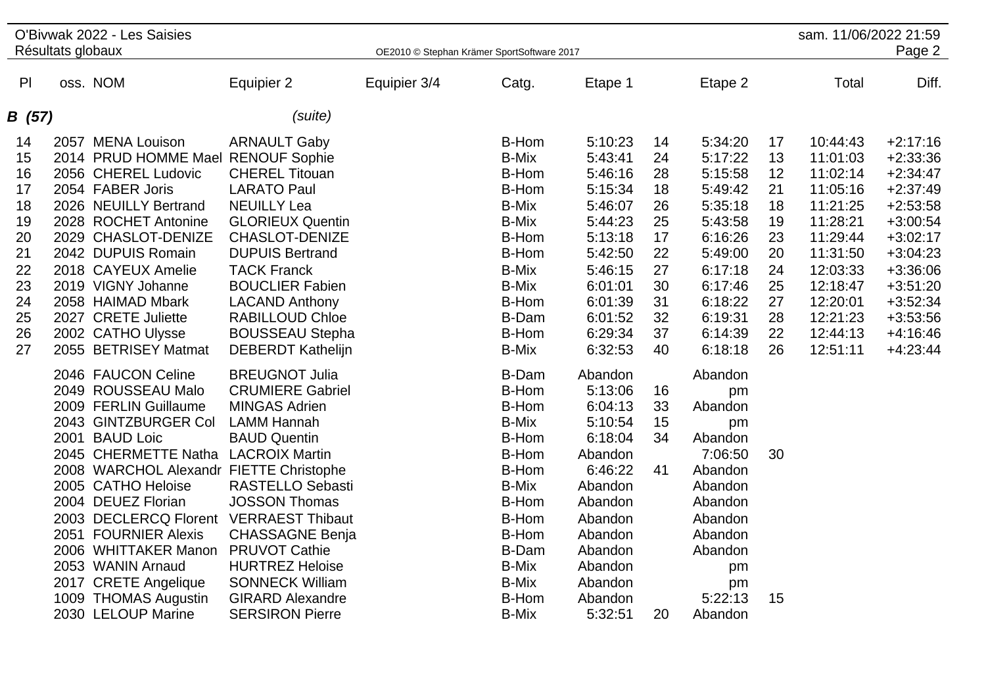|        | Résultats globaux | O'Bivwak 2022 - Les Saisies             |                          | OE2010 © Stephan Krämer SportSoftware 2017 |              |         |    |         |    | sam. 11/06/2022 21:59 | Page 2     |
|--------|-------------------|-----------------------------------------|--------------------------|--------------------------------------------|--------------|---------|----|---------|----|-----------------------|------------|
| PI     |                   | oss. NOM                                | Equipier 2               | Equipier 3/4                               | Catg.        | Etape 1 |    | Etape 2 |    | Total                 | Diff.      |
|        |                   |                                         |                          |                                            |              |         |    |         |    |                       |            |
| B (57) |                   |                                         | (suite)                  |                                            |              |         |    |         |    |                       |            |
| 14     |                   | 2057 MENA Louison                       | <b>ARNAULT Gaby</b>      |                                            | B-Hom        | 5:10:23 | 14 | 5:34:20 | 17 | 10:44:43              | $+2:17:16$ |
| 15     |                   | 2014 PRUD HOMME Mael RENOUF Sophie      |                          |                                            | <b>B-Mix</b> | 5:43:41 | 24 | 5:17:22 | 13 | 11:01:03              | $+2:33:36$ |
| 16     |                   | 2056 CHEREL Ludovic                     | <b>CHEREL Titouan</b>    |                                            | B-Hom        | 5:46:16 | 28 | 5:15:58 | 12 | 11:02:14              | $+2:34:47$ |
| 17     |                   | 2054 FABER Joris                        | <b>LARATO Paul</b>       |                                            | B-Hom        | 5:15:34 | 18 | 5:49:42 | 21 | 11:05:16              | $+2:37:49$ |
| 18     |                   | 2026 NEUILLY Bertrand                   | <b>NEUILLY Lea</b>       |                                            | <b>B-Mix</b> | 5:46:07 | 26 | 5:35:18 | 18 | 11:21:25              | $+2:53:58$ |
| 19     |                   | 2028 ROCHET Antonine                    | <b>GLORIEUX Quentin</b>  |                                            | <b>B-Mix</b> | 5:44:23 | 25 | 5:43:58 | 19 | 11:28:21              | $+3:00:54$ |
| 20     |                   | 2029 CHASLOT-DENIZE                     | <b>CHASLOT-DENIZE</b>    |                                            | B-Hom        | 5:13:18 | 17 | 6:16:26 | 23 | 11:29:44              | $+3:02:17$ |
| 21     |                   | 2042 DUPUIS Romain                      | <b>DUPUIS Bertrand</b>   |                                            | B-Hom        | 5:42:50 | 22 | 5:49:00 | 20 | 11:31:50              | $+3:04:23$ |
| 22     |                   | 2018 CAYEUX Amelie                      | <b>TACK Franck</b>       |                                            | <b>B-Mix</b> | 5:46:15 | 27 | 6:17:18 | 24 | 12:03:33              | $+3:36:06$ |
| 23     |                   | 2019 VIGNY Johanne                      | <b>BOUCLIER Fabien</b>   |                                            | <b>B-Mix</b> | 6:01:01 | 30 | 6:17:46 | 25 | 12:18:47              | $+3:51:20$ |
| 24     |                   | 2058 HAIMAD Mbark                       | <b>LACAND Anthony</b>    |                                            | B-Hom        | 6:01:39 | 31 | 6:18:22 | 27 | 12:20:01              | $+3:52:34$ |
| 25     |                   | 2027 CRETE Juliette                     | <b>RABILLOUD Chloe</b>   |                                            | <b>B-Dam</b> | 6:01:52 | 32 | 6:19:31 | 28 | 12:21:23              | $+3:53:56$ |
| 26     |                   | 2002 CATHO Ulysse                       | <b>BOUSSEAU Stepha</b>   |                                            | B-Hom        | 6:29:34 | 37 | 6:14:39 | 22 | 12:44:13              | $+4:16:46$ |
| 27     |                   | 2055 BETRISEY Matmat                    | <b>DEBERDT Kathelijn</b> |                                            | <b>B-Mix</b> | 6:32:53 | 40 | 6:18:18 | 26 | 12:51:11              | $+4:23:44$ |
|        |                   | 2046 FAUCON Celine                      | <b>BREUGNOT Julia</b>    |                                            | <b>B-Dam</b> | Abandon |    | Abandon |    |                       |            |
|        |                   | 2049 ROUSSEAU Malo                      | <b>CRUMIERE Gabriel</b>  |                                            | B-Hom        | 5:13:06 | 16 | pm      |    |                       |            |
|        |                   | 2009 FERLIN Guillaume                   | <b>MINGAS Adrien</b>     |                                            | B-Hom        | 6:04:13 | 33 | Abandon |    |                       |            |
|        |                   | 2043 GINTZBURGER Col                    | <b>LAMM Hannah</b>       |                                            | <b>B-Mix</b> | 5:10:54 | 15 | pm      |    |                       |            |
|        |                   | 2001 BAUD Loic                          | <b>BAUD Quentin</b>      |                                            | B-Hom        | 6:18:04 | 34 | Abandon |    |                       |            |
|        |                   | 2045 CHERMETTE Natha LACROIX Martin     |                          |                                            | B-Hom        | Abandon |    | 7:06:50 | 30 |                       |            |
|        |                   | 2008 WARCHOL Alexandr FIETTE Christophe |                          |                                            | <b>B-Hom</b> | 6:46:22 | 41 | Abandon |    |                       |            |
|        |                   | 2005 CATHO Heloise                      | <b>RASTELLO Sebasti</b>  |                                            | <b>B-Mix</b> | Abandon |    | Abandon |    |                       |            |
|        |                   | 2004 DEUEZ Florian                      | <b>JOSSON Thomas</b>     |                                            | <b>B-Hom</b> | Abandon |    | Abandon |    |                       |            |
|        |                   | 2003 DECLERCQ Florent VERRAEST Thibaut  |                          |                                            | B-Hom        | Abandon |    | Abandon |    |                       |            |
|        |                   | 2051 FOURNIER Alexis                    | <b>CHASSAGNE Benja</b>   |                                            | B-Hom        | Abandon |    | Abandon |    |                       |            |
|        |                   | 2006 WHITTAKER Manon                    | <b>PRUVOT Cathie</b>     |                                            | <b>B-Dam</b> | Abandon |    | Abandon |    |                       |            |
|        |                   | 2053 WANIN Arnaud                       | <b>HURTREZ Heloise</b>   |                                            | <b>B-Mix</b> | Abandon |    | pm      |    |                       |            |
|        |                   | 2017 CRETE Angelique                    | <b>SONNECK William</b>   |                                            | <b>B-Mix</b> | Abandon |    | pm      |    |                       |            |
|        |                   | 1009 THOMAS Augustin                    | <b>GIRARD Alexandre</b>  |                                            | B-Hom        | Abandon |    | 5:22:13 | 15 |                       |            |
|        |                   | 2030 LELOUP Marine                      | <b>SERSIRON Pierre</b>   |                                            | <b>B-Mix</b> | 5:32:51 | 20 | Abandon |    |                       |            |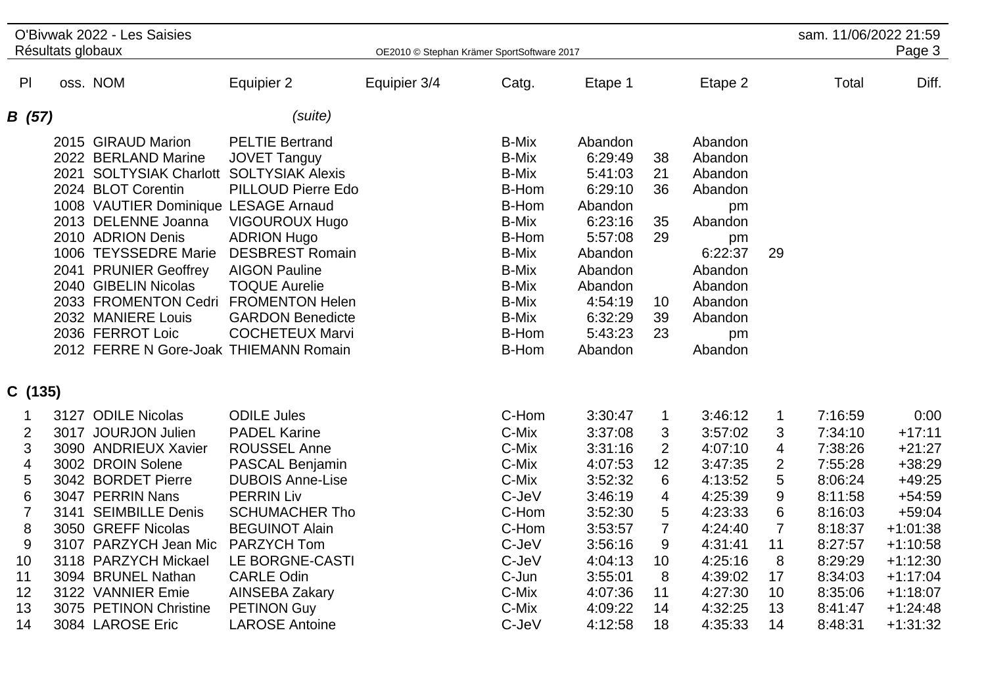|                              | Résultats globaux | O'Bivwak 2022 - Les Saisies                                                                                                                                                                                                                                                                                                                                                                          |                                                                                                                                                                                                                                                   | OE2010 © Stephan Krämer SportSoftware 2017 |                                                                                                                                                                                           |                                                                                                                                                        |                                                             |                                                                                                                                         |                          | sam. 11/06/2022 21:59         | Page 3                             |
|------------------------------|-------------------|------------------------------------------------------------------------------------------------------------------------------------------------------------------------------------------------------------------------------------------------------------------------------------------------------------------------------------------------------------------------------------------------------|---------------------------------------------------------------------------------------------------------------------------------------------------------------------------------------------------------------------------------------------------|--------------------------------------------|-------------------------------------------------------------------------------------------------------------------------------------------------------------------------------------------|--------------------------------------------------------------------------------------------------------------------------------------------------------|-------------------------------------------------------------|-----------------------------------------------------------------------------------------------------------------------------------------|--------------------------|-------------------------------|------------------------------------|
|                              |                   |                                                                                                                                                                                                                                                                                                                                                                                                      |                                                                                                                                                                                                                                                   |                                            |                                                                                                                                                                                           |                                                                                                                                                        |                                                             |                                                                                                                                         |                          |                               |                                    |
| PI                           |                   | oss. NOM                                                                                                                                                                                                                                                                                                                                                                                             | Equipier 2                                                                                                                                                                                                                                        | Equipier 3/4                               | Catg.                                                                                                                                                                                     | Etape 1                                                                                                                                                |                                                             | Etape 2                                                                                                                                 |                          | Total                         | Diff.                              |
| B (57)                       |                   |                                                                                                                                                                                                                                                                                                                                                                                                      | (suite)                                                                                                                                                                                                                                           |                                            |                                                                                                                                                                                           |                                                                                                                                                        |                                                             |                                                                                                                                         |                          |                               |                                    |
|                              |                   | 2015 GIRAUD Marion<br>2022 BERLAND Marine<br>2021 SOLTYSIAK Charlott SOLTYSIAK Alexis<br>2024 BLOT Corentin<br>1008 VAUTIER Dominique LESAGE Arnaud<br>2013 DELENNE Joanna<br>2010 ADRION Denis<br>1006 TEYSSEDRE Marie<br>2041 PRUNIER Geoffrey<br>2040 GIBELIN Nicolas<br>2033 FROMENTON Cedri FROMENTON Helen<br>2032 MANIERE Louis<br>2036 FERROT Loic<br>2012 FERRE N Gore-Joak THIEMANN Romain | <b>PELTIE Bertrand</b><br><b>JOVET Tanguy</b><br>PILLOUD Pierre Edo<br><b>VIGOUROUX Hugo</b><br><b>ADRION Hugo</b><br><b>DESBREST Romain</b><br><b>AIGON Pauline</b><br><b>TOQUE Aurelie</b><br><b>GARDON Benedicte</b><br><b>COCHETEUX Marvi</b> |                                            | <b>B-Mix</b><br><b>B-Mix</b><br><b>B-Mix</b><br>B-Hom<br>B-Hom<br><b>B-Mix</b><br>B-Hom<br><b>B-Mix</b><br><b>B-Mix</b><br><b>B-Mix</b><br><b>B-Mix</b><br><b>B-Mix</b><br>B-Hom<br>B-Hom | Abandon<br>6:29:49<br>5:41:03<br>6:29:10<br>Abandon<br>6:23:16<br>5:57:08<br>Abandon<br>Abandon<br>Abandon<br>4:54:19<br>6:32:29<br>5:43:23<br>Abandon | 38<br>21<br>36<br>35<br>29<br>10<br>39<br>23                | Abandon<br>Abandon<br>Abandon<br>Abandon<br>pm<br>Abandon<br>pm<br>6:22:37<br>Abandon<br>Abandon<br>Abandon<br>Abandon<br>pm<br>Abandon | 29                       |                               |                                    |
| C (135)                      |                   |                                                                                                                                                                                                                                                                                                                                                                                                      |                                                                                                                                                                                                                                                   |                                            |                                                                                                                                                                                           |                                                                                                                                                        |                                                             |                                                                                                                                         |                          |                               |                                    |
| 1<br>$\overline{2}$<br>3     |                   | 3127 ODILE Nicolas<br>3017 JOURJON Julien<br>3090 ANDRIEUX Xavier                                                                                                                                                                                                                                                                                                                                    | <b>ODILE Jules</b><br><b>PADEL Karine</b><br><b>ROUSSEL Anne</b>                                                                                                                                                                                  |                                            | C-Hom<br>C-Mix<br>C-Mix                                                                                                                                                                   | 3:30:47<br>3:37:08<br>3:31:16                                                                                                                          | $\mathbf{1}$<br>3<br>$\overline{2}$                         | 3:46:12<br>3:57:02<br>4:07:10                                                                                                           | $\mathbf{1}$<br>3<br>4   | 7:16:59<br>7:34:10<br>7:38:26 | 0:00<br>$+17:11$<br>$+21:27$       |
| 4<br>5                       |                   | 3002 DROIN Solene<br>3042 BORDET Pierre                                                                                                                                                                                                                                                                                                                                                              | <b>PASCAL Benjamin</b><br><b>DUBOIS Anne-Lise</b>                                                                                                                                                                                                 |                                            | C-Mix<br>C-Mix                                                                                                                                                                            | 4:07:53<br>3:52:32                                                                                                                                     | 12<br>6                                                     | 3:47:35<br>4:13:52                                                                                                                      | $\overline{2}$<br>5      | 7:55:28<br>8:06:24            | $+38:29$<br>$+49:25$               |
| $\,6$<br>$\overline{7}$<br>8 |                   | 3047 PERRIN Nans<br>3141 SEIMBILLE Denis<br>3050 GREFF Nicolas                                                                                                                                                                                                                                                                                                                                       | <b>PERRIN Liv</b><br><b>SCHUMACHER Tho</b><br><b>BEGUINOT Alain</b>                                                                                                                                                                               |                                            | C-JeV<br>C-Hom<br>C-Hom                                                                                                                                                                   | 3:46:19<br>3:52:30<br>3:53:57                                                                                                                          | $\overline{\mathbf{4}}$<br>$\overline{5}$<br>$\overline{7}$ | 4:25:39<br>4:23:33<br>4:24:40                                                                                                           | 9<br>6<br>$\overline{7}$ | 8:11:58<br>8:16:03<br>8:18:37 | $+54:59$<br>$+59:04$<br>$+1:01:38$ |
| $\boldsymbol{9}$<br>10       |                   | 3107 PARZYCH Jean Mic<br>3118 PARZYCH Mickael                                                                                                                                                                                                                                                                                                                                                        | <b>PARZYCH Tom</b><br>LE BORGNE-CASTI                                                                                                                                                                                                             |                                            | C-JeV<br>C-JeV                                                                                                                                                                            | 3:56:16<br>4:04:13                                                                                                                                     | 9<br>10                                                     | 4:31:41<br>4:25:16                                                                                                                      | 11<br>8                  | 8:27:57<br>8:29:29            | $+1:10:58$<br>$+1:12:30$           |
| 11<br>12                     |                   | 3094 BRUNEL Nathan<br>3122 VANNIER Emie                                                                                                                                                                                                                                                                                                                                                              | <b>CARLE Odin</b><br><b>AINSEBA Zakary</b>                                                                                                                                                                                                        |                                            | C-Jun<br>C-Mix                                                                                                                                                                            | 3:55:01<br>4:07:36                                                                                                                                     | 8<br>11                                                     | 4:39:02<br>4:27:30                                                                                                                      | 17<br>10                 | 8:34:03<br>8:35:06            | $+1:17:04$<br>$+1:18:07$           |
| 13<br>14                     |                   | 3075 PETINON Christine<br>3084 LAROSE Eric                                                                                                                                                                                                                                                                                                                                                           | <b>PETINON Guy</b><br><b>LAROSE Antoine</b>                                                                                                                                                                                                       |                                            | C-Mix<br>C-JeV                                                                                                                                                                            | 4:09:22<br>4:12:58                                                                                                                                     | 14<br>18                                                    | 4:32:25<br>4:35:33                                                                                                                      | 13<br>14                 | 8:41:47<br>8:48:31            | $+1:24:48$<br>$+1:31:32$           |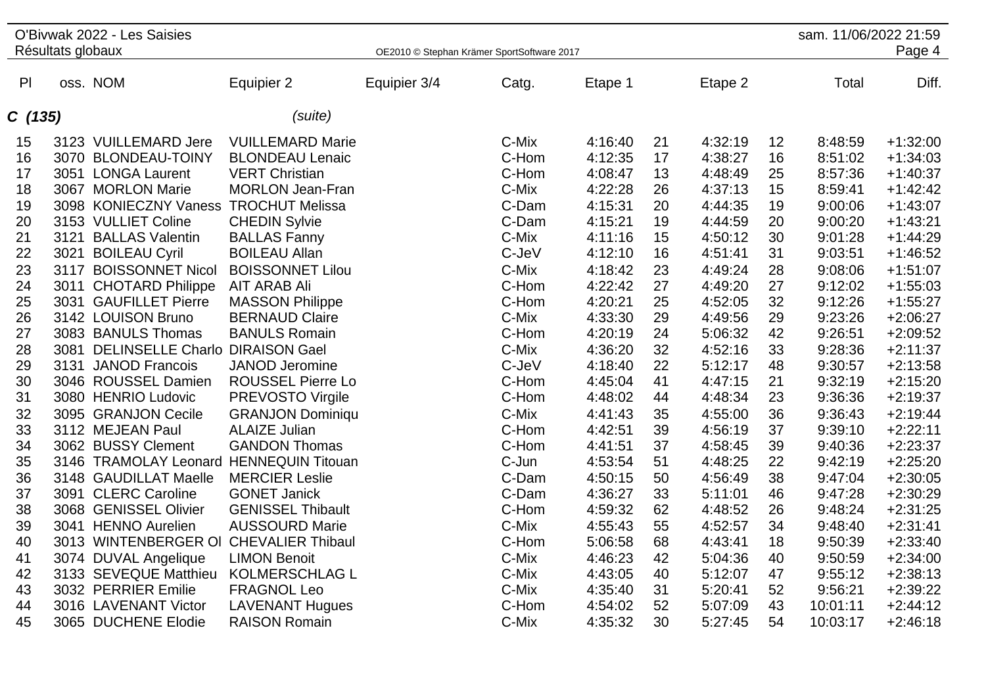|                |                   | O'Bivwak 2022 - Les Saisies             |                          |                                            |       |         |    |         |    | sam. 11/06/2022 21:59 |            |
|----------------|-------------------|-----------------------------------------|--------------------------|--------------------------------------------|-------|---------|----|---------|----|-----------------------|------------|
|                | Résultats globaux |                                         |                          | OE2010 © Stephan Krämer SportSoftware 2017 |       |         |    |         |    |                       | Page 4     |
| P <sub>l</sub> |                   | oss. NOM                                | Equipier 2               | Equipier 3/4                               | Catg. | Etape 1 |    | Etape 2 |    | Total                 | Diff.      |
| C(135)         |                   |                                         | (suite)                  |                                            |       |         |    |         |    |                       |            |
| 15             |                   | 3123 VUILLEMARD Jere                    | <b>VUILLEMARD Marie</b>  |                                            | C-Mix | 4:16:40 | 21 | 4:32:19 | 12 | 8:48:59               | $+1:32:00$ |
| 16             |                   | 3070 BLONDEAU-TOINY                     | <b>BLONDEAU Lenaic</b>   |                                            | C-Hom | 4:12:35 | 17 | 4:38:27 | 16 | 8:51:02               | $+1:34:03$ |
| 17             |                   | 3051 LONGA Laurent                      | <b>VERT Christian</b>    |                                            | C-Hom | 4:08:47 | 13 | 4:48:49 | 25 | 8:57:36               | $+1:40:37$ |
| 18             |                   | 3067 MORLON Marie                       | <b>MORLON Jean-Fran</b>  |                                            | C-Mix | 4:22:28 | 26 | 4:37:13 | 15 | 8:59:41               | $+1:42:42$ |
| 19             |                   | 3098 KONIECZNY Vaness                   | <b>TROCHUT Melissa</b>   |                                            | C-Dam | 4:15:31 | 20 | 4:44:35 | 19 | 9:00:06               | $+1:43:07$ |
| 20             |                   | 3153 VULLIET Coline                     | <b>CHEDIN Sylvie</b>     |                                            | C-Dam | 4:15:21 | 19 | 4:44:59 | 20 | 9:00:20               | $+1:43:21$ |
| 21             |                   | 3121 BALLAS Valentin                    | <b>BALLAS Fanny</b>      |                                            | C-Mix | 4:11:16 | 15 | 4:50:12 | 30 | 9:01:28               | $+1:44:29$ |
| 22             |                   | 3021 BOILEAU Cyril                      | <b>BOILEAU Allan</b>     |                                            | C-JeV | 4:12:10 | 16 | 4:51:41 | 31 | 9:03:51               | $+1:46:52$ |
| 23             |                   | 3117 BOISSONNET Nicol                   | <b>BOISSONNET Lilou</b>  |                                            | C-Mix | 4:18:42 | 23 | 4:49:24 | 28 | 9:08:06               | $+1:51:07$ |
| 24             |                   | 3011 CHOTARD Philippe                   | <b>AIT ARAB Ali</b>      |                                            | C-Hom | 4:22:42 | 27 | 4:49:20 | 27 | 9:12:02               | $+1:55:03$ |
| 25             |                   | 3031 GAUFILLET Pierre                   | <b>MASSON Philippe</b>   |                                            | C-Hom | 4:20:21 | 25 | 4:52:05 | 32 | 9:12:26               | $+1:55:27$ |
| 26             |                   | 3142 LOUISON Bruno                      | <b>BERNAUD Claire</b>    |                                            | C-Mix | 4:33:30 | 29 | 4:49:56 | 29 | 9:23:26               | $+2:06:27$ |
| 27             |                   | 3083 BANULS Thomas                      | <b>BANULS Romain</b>     |                                            | C-Hom | 4:20:19 | 24 | 5:06:32 | 42 | 9:26:51               | $+2:09:52$ |
| 28             | 3081              | <b>DELINSELLE Charlo</b>                | <b>DIRAISON Gael</b>     |                                            | C-Mix | 4:36:20 | 32 | 4:52:16 | 33 | 9:28:36               | $+2:11:37$ |
| 29             |                   | 3131 JANOD Francois                     | JANOD Jeromine           |                                            | C-JeV | 4:18:40 | 22 | 5:12:17 | 48 | 9:30:57               | $+2:13:58$ |
| 30             |                   | 3046 ROUSSEL Damien                     | <b>ROUSSEL Pierre Lo</b> |                                            | C-Hom | 4:45:04 | 41 | 4:47:15 | 21 | 9:32:19               | $+2:15:20$ |
| 31             |                   | 3080 HENRIO Ludovic                     | <b>PREVOSTO Virgile</b>  |                                            | C-Hom | 4:48:02 | 44 | 4:48:34 | 23 | 9:36:36               | $+2:19:37$ |
| 32             |                   | 3095 GRANJON Cecile                     | <b>GRANJON Dominiqu</b>  |                                            | C-Mix | 4:41:43 | 35 | 4:55:00 | 36 | 9:36:43               | $+2:19:44$ |
| 33             |                   | 3112 MEJEAN Paul                        | <b>ALAIZE Julian</b>     |                                            | C-Hom | 4:42:51 | 39 | 4:56:19 | 37 | 9:39:10               | $+2:22:11$ |
| 34             |                   | 3062 BUSSY Clement                      | <b>GANDON Thomas</b>     |                                            | C-Hom | 4:41:51 | 37 | 4:58:45 | 39 | 9:40:36               | $+2:23:37$ |
| 35             |                   | 3146 TRAMOLAY Leonard HENNEQUIN Titouan |                          |                                            | C-Jun | 4:53:54 | 51 | 4:48:25 | 22 | 9:42:19               | $+2:25:20$ |
| 36             |                   | 3148 GAUDILLAT Maelle                   | <b>MERCIER Leslie</b>    |                                            | C-Dam | 4:50:15 | 50 | 4:56:49 | 38 | 9:47:04               | $+2:30:05$ |
| 37             |                   | 3091 CLERC Caroline                     | <b>GONET Janick</b>      |                                            | C-Dam | 4:36:27 | 33 | 5:11:01 | 46 | 9:47:28               | $+2:30:29$ |
| 38             |                   | 3068 GENISSEL Olivier                   | <b>GENISSEL Thibault</b> |                                            | C-Hom | 4:59:32 | 62 | 4:48:52 | 26 | 9:48:24               | $+2:31:25$ |
| 39             |                   | 3041 HENNO Aurelien                     | <b>AUSSOURD Marie</b>    |                                            | C-Mix | 4:55:43 | 55 | 4:52:57 | 34 | 9:48:40               | $+2:31:41$ |
| 40             |                   | 3013 WINTENBERGER OI CHEVALIER Thibaul  |                          |                                            | C-Hom | 5:06:58 | 68 | 4:43:41 | 18 | 9:50:39               | $+2:33:40$ |
| 41             |                   | 3074 DUVAL Angelique                    | <b>LIMON Benoit</b>      |                                            | C-Mix | 4:46:23 | 42 | 5:04:36 | 40 | 9:50:59               | $+2:34:00$ |
| 42             |                   | 3133 SEVEQUE Matthieu                   | <b>KOLMERSCHLAG L</b>    |                                            | C-Mix | 4:43:05 | 40 | 5:12:07 | 47 | 9:55:12               | $+2:38:13$ |
| 43             |                   | 3032 PERRIER Emilie                     | <b>FRAGNOL Leo</b>       |                                            | C-Mix | 4:35:40 | 31 | 5:20:41 | 52 | 9:56:21               | $+2:39:22$ |
| 44             |                   | 3016 LAVENANT Victor                    | <b>LAVENANT Hugues</b>   |                                            | C-Hom | 4:54:02 | 52 | 5:07:09 | 43 | 10:01:11              | $+2:44:12$ |
| 45             |                   | 3065 DUCHENE Elodie                     | <b>RAISON Romain</b>     |                                            | C-Mix | 4:35:32 | 30 | 5:27:45 | 54 | 10:03:17              | $+2:46:18$ |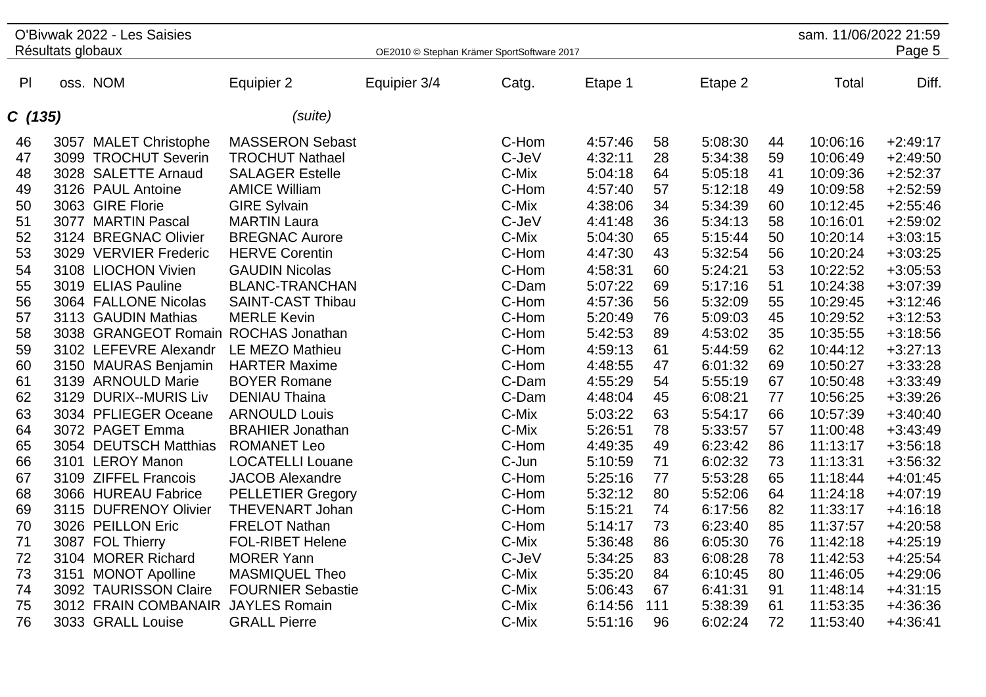|        | Résultats globaux | O'Bivwak 2022 - Les Saisies          |                          |              | OE2010 © Stephan Krämer SportSoftware 2017 |         |     |         |    | sam. 11/06/2022 21:59 | Page 5     |
|--------|-------------------|--------------------------------------|--------------------------|--------------|--------------------------------------------|---------|-----|---------|----|-----------------------|------------|
| P      |                   | oss. NOM                             | Equipier 2               | Equipier 3/4 | Catg.                                      | Etape 1 |     | Etape 2 |    | Total                 | Diff.      |
|        |                   |                                      |                          |              |                                            |         |     |         |    |                       |            |
| C(135) |                   |                                      | (suite)                  |              |                                            |         |     |         |    |                       |            |
| 46     |                   | 3057 MALET Christophe                | <b>MASSERON Sebast</b>   |              | C-Hom                                      | 4:57:46 | 58  | 5:08:30 | 44 | 10:06:16              | $+2:49:17$ |
| 47     |                   | 3099 TROCHUT Severin                 | <b>TROCHUT Nathael</b>   |              | C-JeV                                      | 4:32:11 | 28  | 5:34:38 | 59 | 10:06:49              | $+2:49:50$ |
| 48     |                   | 3028 SALETTE Arnaud                  | <b>SALAGER Estelle</b>   |              | C-Mix                                      | 5:04:18 | 64  | 5:05:18 | 41 | 10:09:36              | $+2:52:37$ |
| 49     |                   | 3126 PAUL Antoine                    | <b>AMICE William</b>     |              | C-Hom                                      | 4:57:40 | 57  | 5:12:18 | 49 | 10:09:58              | $+2:52:59$ |
| 50     |                   | 3063 GIRE Florie                     | <b>GIRE Sylvain</b>      |              | C-Mix                                      | 4:38:06 | 34  | 5:34:39 | 60 | 10:12:45              | $+2:55:46$ |
| 51     |                   | 3077 MARTIN Pascal                   | <b>MARTIN Laura</b>      |              | C-JeV                                      | 4:41:48 | 36  | 5:34:13 | 58 | 10:16:01              | $+2:59:02$ |
| 52     |                   | 3124 BREGNAC Olivier                 | <b>BREGNAC Aurore</b>    |              | C-Mix                                      | 5:04:30 | 65  | 5:15:44 | 50 | 10:20:14              | $+3:03:15$ |
| 53     |                   | 3029 VERVIER Frederic                | <b>HERVE Corentin</b>    |              | C-Hom                                      | 4:47:30 | 43  | 5:32:54 | 56 | 10:20:24              | $+3:03:25$ |
| 54     |                   | 3108 LIOCHON Vivien                  | <b>GAUDIN Nicolas</b>    |              | C-Hom                                      | 4:58:31 | 60  | 5:24:21 | 53 | 10:22:52              | $+3:05:53$ |
| 55     |                   | 3019 ELIAS Pauline                   | <b>BLANC-TRANCHAN</b>    |              | C-Dam                                      | 5:07:22 | 69  | 5:17:16 | 51 | 10:24:38              | $+3:07:39$ |
| 56     |                   | 3064 FALLONE Nicolas                 | <b>SAINT-CAST Thibau</b> |              | C-Hom                                      | 4:57:36 | 56  | 5:32:09 | 55 | 10:29:45              | $+3:12:46$ |
| 57     |                   | 3113 GAUDIN Mathias                  | <b>MERLE Kevin</b>       |              | C-Hom                                      | 5:20:49 | 76  | 5:09:03 | 45 | 10:29:52              | $+3:12:53$ |
| 58     |                   | 3038 GRANGEOT Romain ROCHAS Jonathan |                          |              | C-Hom                                      | 5:42:53 | 89  | 4:53:02 | 35 | 10:35:55              | $+3:18:56$ |
| 59     |                   | 3102 LEFEVRE Alexandr                | LE MEZO Mathieu          |              | C-Hom                                      | 4:59:13 | 61  | 5:44:59 | 62 | 10:44:12              | $+3:27:13$ |
| 60     |                   | 3150 MAURAS Benjamin                 | <b>HARTER Maxime</b>     |              | C-Hom                                      | 4:48:55 | 47  | 6:01:32 | 69 | 10:50:27              | $+3:33:28$ |
| 61     |                   | 3139 ARNOULD Marie                   | <b>BOYER Romane</b>      |              | C-Dam                                      | 4:55:29 | 54  | 5:55:19 | 67 | 10:50:48              | $+3:33:49$ |
| 62     |                   | 3129 DURIX--MURIS Liv                | <b>DENIAU Thaina</b>     |              | C-Dam                                      | 4:48:04 | 45  | 6:08:21 | 77 | 10:56:25              | $+3:39:26$ |
| 63     |                   | 3034 PFLIEGER Oceane                 | <b>ARNOULD Louis</b>     |              | C-Mix                                      | 5:03:22 | 63  | 5:54:17 | 66 | 10:57:39              | $+3:40:40$ |
| 64     |                   | 3072 PAGET Emma                      | <b>BRAHIER Jonathan</b>  |              | C-Mix                                      | 5:26:51 | 78  | 5:33:57 | 57 | 11:00:48              | $+3:43:49$ |
| 65     |                   | 3054 DEUTSCH Matthias                | <b>ROMANET Leo</b>       |              | C-Hom                                      | 4:49:35 | 49  | 6:23:42 | 86 | 11:13:17              | $+3:56:18$ |
| 66     |                   | 3101 LEROY Manon                     | <b>LOCATELLI Louane</b>  |              | C-Jun                                      | 5:10:59 | 71  | 6:02:32 | 73 | 11:13:31              | $+3:56:32$ |
| 67     |                   | 3109 ZIFFEL Francois                 | <b>JACOB Alexandre</b>   |              | C-Hom                                      | 5:25:16 | 77  | 5:53:28 | 65 | 11:18:44              | $+4:01:45$ |
| 68     |                   | 3066 HUREAU Fabrice                  | <b>PELLETIER Gregory</b> |              | C-Hom                                      | 5:32:12 | 80  | 5:52:06 | 64 | 11:24:18              | $+4:07:19$ |
| 69     |                   | 3115 DUFRENOY Olivier                | <b>THEVENART Johan</b>   |              | C-Hom                                      | 5:15:21 | 74  | 6:17:56 | 82 | 11:33:17              | $+4:16:18$ |
| 70     |                   | 3026 PEILLON Eric                    | <b>FRELOT Nathan</b>     |              | C-Hom                                      | 5:14:17 | 73  | 6:23:40 | 85 | 11:37:57              | $+4:20:58$ |
| 71     |                   | 3087 FOL Thierry                     | <b>FOL-RIBET Helene</b>  |              | C-Mix                                      | 5:36:48 | 86  | 6:05:30 | 76 | 11:42:18              | $+4:25:19$ |
| 72     |                   | 3104 MORER Richard                   | <b>MORER Yann</b>        |              | C-JeV                                      | 5:34:25 | 83  | 6:08:28 | 78 | 11:42:53              | $+4:25:54$ |
| 73     |                   | 3151 MONOT Apolline                  | <b>MASMIQUEL Theo</b>    |              | C-Mix                                      | 5:35:20 | 84  | 6:10:45 | 80 | 11:46:05              | $+4:29:06$ |
| 74     |                   | 3092 TAURISSON Claire                | <b>FOURNIER Sebastie</b> |              | C-Mix                                      | 5:06:43 | 67  | 6:41:31 | 91 | 11:48:14              | $+4:31:15$ |
| 75     |                   | 3012 FRAIN COMBANAIR                 | <b>JAYLES Romain</b>     |              | C-Mix                                      | 6:14:56 | 111 | 5:38:39 | 61 | 11:53:35              | $+4:36:36$ |
| 76     |                   | 3033 GRALL Louise                    | <b>GRALL Pierre</b>      |              | C-Mix                                      | 5:51:16 | 96  | 6:02:24 | 72 | 11:53:40              | $+4:36:41$ |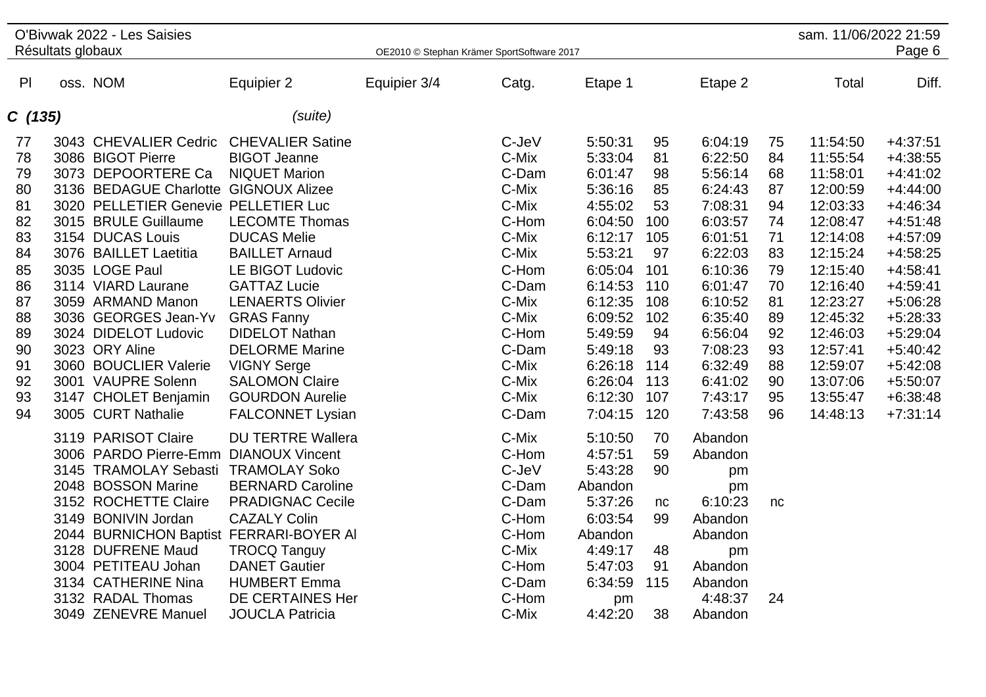|                                                                                                          | Résultats globaux | O'Bivwak 2022 - Les Saisies                                                                                                                                                                                                                                                                                                                                                                                                                                                                                                                                                                                                                                                                                                    |                                                                                                                                                                                                                                                                                                                                                                                                                                                                                                                                                                                                        | OE2010 © Stephan Krämer SportSoftware 2017 |                                                                                                                                                                                                                                                          |                                                                                                                                                                                                                                                                                                                  |                                                                                                                                                                     |                                                                                                                                                                                                                                                                                                   |                                                                                                                | sam. 11/06/2022 21:59                                                                                                                                                                                                | Page 6                                                                                                                                                                                                                                                   |
|----------------------------------------------------------------------------------------------------------|-------------------|--------------------------------------------------------------------------------------------------------------------------------------------------------------------------------------------------------------------------------------------------------------------------------------------------------------------------------------------------------------------------------------------------------------------------------------------------------------------------------------------------------------------------------------------------------------------------------------------------------------------------------------------------------------------------------------------------------------------------------|--------------------------------------------------------------------------------------------------------------------------------------------------------------------------------------------------------------------------------------------------------------------------------------------------------------------------------------------------------------------------------------------------------------------------------------------------------------------------------------------------------------------------------------------------------------------------------------------------------|--------------------------------------------|----------------------------------------------------------------------------------------------------------------------------------------------------------------------------------------------------------------------------------------------------------|------------------------------------------------------------------------------------------------------------------------------------------------------------------------------------------------------------------------------------------------------------------------------------------------------------------|---------------------------------------------------------------------------------------------------------------------------------------------------------------------|---------------------------------------------------------------------------------------------------------------------------------------------------------------------------------------------------------------------------------------------------------------------------------------------------|----------------------------------------------------------------------------------------------------------------|----------------------------------------------------------------------------------------------------------------------------------------------------------------------------------------------------------------------|----------------------------------------------------------------------------------------------------------------------------------------------------------------------------------------------------------------------------------------------------------|
| P <sub>1</sub>                                                                                           |                   | oss. NOM                                                                                                                                                                                                                                                                                                                                                                                                                                                                                                                                                                                                                                                                                                                       | Equipier 2                                                                                                                                                                                                                                                                                                                                                                                                                                                                                                                                                                                             | Equipier 3/4                               | Catg.                                                                                                                                                                                                                                                    | Etape 1                                                                                                                                                                                                                                                                                                          |                                                                                                                                                                     | Etape 2                                                                                                                                                                                                                                                                                           |                                                                                                                | Total                                                                                                                                                                                                                | Diff.                                                                                                                                                                                                                                                    |
| C(135)                                                                                                   |                   |                                                                                                                                                                                                                                                                                                                                                                                                                                                                                                                                                                                                                                                                                                                                | (suite)                                                                                                                                                                                                                                                                                                                                                                                                                                                                                                                                                                                                |                                            |                                                                                                                                                                                                                                                          |                                                                                                                                                                                                                                                                                                                  |                                                                                                                                                                     |                                                                                                                                                                                                                                                                                                   |                                                                                                                |                                                                                                                                                                                                                      |                                                                                                                                                                                                                                                          |
| 77<br>78<br>79<br>80<br>81<br>82<br>83<br>84<br>85<br>86<br>87<br>88<br>89<br>90<br>91<br>92<br>93<br>94 |                   | 3043 CHEVALIER Cedric<br>3086 BIGOT Pierre<br>3073 DEPOORTERE Ca<br>3136 BEDAGUE Charlotte GIGNOUX Alizee<br>3020 PELLETIER Genevie PELLETIER Luc<br>3015 BRULE Guillaume<br>3154 DUCAS Louis<br>3076 BAILLET Laetitia<br>3035 LOGE Paul<br>3114 VIARD Laurane<br>3059 ARMAND Manon<br>3036 GEORGES Jean-Yv<br>3024 DIDELOT Ludovic<br>3023 ORY Aline<br>3060 BOUCLIER Valerie<br>3001 VAUPRE Solenn<br>3147 CHOLET Benjamin<br>3005 CURT Nathalie<br>3119 PARISOT Claire<br>3006 PARDO Pierre-Emm DIANOUX Vincent<br>3145 TRAMOLAY Sebasti<br>2048 BOSSON Marine<br>3152 ROCHETTE Claire<br>3149 BONIVIN Jordan<br>2044 BURNICHON Baptist FERRARI-BOYER AI<br>3128 DUFRENE Maud<br>3004 PETITEAU Johan<br>3134 CATHERINE Nina | <b>CHEVALIER Satine</b><br><b>BIGOT Jeanne</b><br><b>NIQUET Marion</b><br><b>LECOMTE Thomas</b><br><b>DUCAS Melie</b><br><b>BAILLET Arnaud</b><br>LE BIGOT Ludovic<br><b>GATTAZ Lucie</b><br><b>LENAERTS Olivier</b><br><b>GRAS Fanny</b><br><b>DIDELOT Nathan</b><br><b>DELORME Marine</b><br><b>VIGNY Serge</b><br><b>SALOMON Claire</b><br><b>GOURDON Aurelie</b><br><b>FALCONNET Lysian</b><br><b>DU TERTRE Wallera</b><br><b>TRAMOLAY Soko</b><br><b>BERNARD Caroline</b><br><b>PRADIGNAC Cecile</b><br><b>CAZALY Colin</b><br><b>TROCQ Tanguy</b><br><b>DANET Gautier</b><br><b>HUMBERT Emma</b> |                                            | C-JeV<br>C-Mix<br>C-Dam<br>C-Mix<br>C-Mix<br>C-Hom<br>C-Mix<br>C-Mix<br>C-Hom<br>C-Dam<br>C-Mix<br>C-Mix<br>C-Hom<br>C-Dam<br>C-Mix<br>C-Mix<br>C-Mix<br>C-Dam<br>C-Mix<br>C-Hom<br>C-JeV<br>C-Dam<br>C-Dam<br>C-Hom<br>C-Hom<br>C-Mix<br>C-Hom<br>C-Dam | 5:50:31<br>5:33:04<br>6:01:47<br>5:36:16<br>4:55:02<br>6:04:50<br>6:12:17<br>5:53:21<br>6:05:04<br>6:14:53<br>6:12:35<br>6:09:52<br>5:49:59<br>5:49:18<br>6:26:18<br>6:26:04<br>6:12:30<br>7:04:15<br>5:10:50<br>4:57:51<br>5:43:28<br>Abandon<br>5:37:26<br>6:03:54<br>Abandon<br>4:49:17<br>5:47:03<br>6:34:59 | 95<br>81<br>98<br>85<br>53<br>100<br>105<br>97<br>101<br>110<br>108<br>102<br>94<br>93<br>114<br>113<br>107<br>120<br>70<br>59<br>90<br>nc<br>99<br>48<br>91<br>115 | 6:04:19<br>6:22:50<br>5:56:14<br>6:24:43<br>7:08:31<br>6:03:57<br>6:01:51<br>6:22:03<br>6:10:36<br>6:01:47<br>6:10:52<br>6:35:40<br>6:56:04<br>7:08:23<br>6:32:49<br>6:41:02<br>7:43:17<br>7:43:58<br>Abandon<br>Abandon<br>pm<br>pm<br>6:10:23<br>Abandon<br>Abandon<br>pm<br>Abandon<br>Abandon | 75<br>84<br>68<br>87<br>94<br>74<br>71<br>83<br>79<br>70<br>81<br>89<br>92<br>93<br>88<br>90<br>95<br>96<br>nc | 11:54:50<br>11:55:54<br>11:58:01<br>12:00:59<br>12:03:33<br>12:08:47<br>12:14:08<br>12:15:24<br>12:15:40<br>12:16:40<br>12:23:27<br>12:45:32<br>12:46:03<br>12:57:41<br>12:59:07<br>13:07:06<br>13:55:47<br>14:48:13 | $+4:37:51$<br>$+4:38:55$<br>$+4:41:02$<br>$+4:44:00$<br>$+4:46:34$<br>$+4:51:48$<br>$+4:57:09$<br>$+4:58:25$<br>$+4:58:41$<br>$+4:59:41$<br>$+5:06:28$<br>$+5:28:33$<br>$+5:29:04$<br>$+5:40:42$<br>$+5:42:08$<br>$+5:50:07$<br>$+6:38:48$<br>$+7:31:14$ |
|                                                                                                          |                   | 3132 RADAL Thomas<br>3049 ZENEVRE Manuel                                                                                                                                                                                                                                                                                                                                                                                                                                                                                                                                                                                                                                                                                       | DE CERTAINES Her<br><b>JOUCLA Patricia</b>                                                                                                                                                                                                                                                                                                                                                                                                                                                                                                                                                             |                                            | C-Hom<br>C-Mix                                                                                                                                                                                                                                           | pm<br>4:42:20                                                                                                                                                                                                                                                                                                    | 38                                                                                                                                                                  | 4:48:37<br>Abandon                                                                                                                                                                                                                                                                                | 24                                                                                                             |                                                                                                                                                                                                                      |                                                                                                                                                                                                                                                          |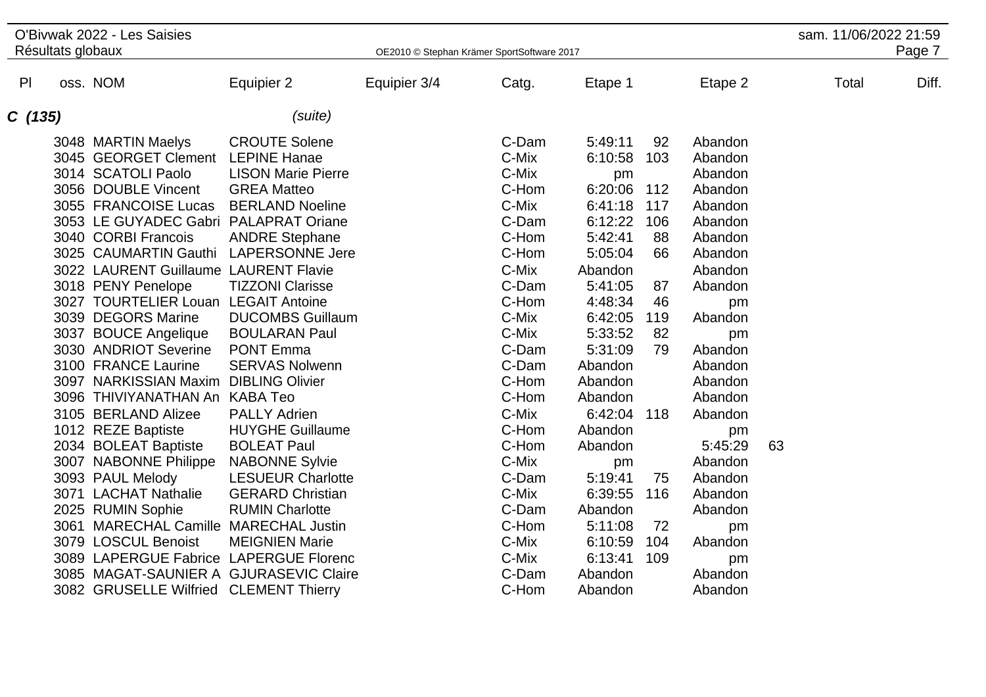| oss. NOM<br>P<br>Equipier 2<br>Equipier 3/4<br>Etape 1<br>Total<br>Catg.<br>Etape 2<br>(suite)<br>C(135)<br><b>CROUTE Solene</b><br>C-Dam<br>3048 MARTIN Maelys<br>5:49:11<br>92<br>Abandon<br>C-Mix<br>3045 GEORGET Clement<br><b>LEPINE Hanae</b><br>6:10:58<br>103<br>Abandon<br>3014 SCATOLI Paolo<br>C-Mix<br><b>LISON Marie Pierre</b><br>Abandon<br>pm<br>C-Hom<br>3056 DOUBLE Vincent<br>6:20:06<br>112<br><b>GREA Matteo</b><br>Abandon<br>3055 FRANCOISE Lucas<br><b>BERLAND Noeline</b><br>C-Mix<br>6:41:18<br>117<br>Abandon<br>3053 LE GUYADEC Gabri PALAPRAT Oriane<br>C-Dam<br>6:12:22<br>106<br>Abandon                                                                                                                                                                                                                                                                                                                                                                                                                                                                                                                                                                                                                                                                                                                                                                                                                                                                                                                                                                                                                                                                                                                                                                                                                                                             | sam. 11/06/2022 21:59<br>Page 7 |
|-------------------------------------------------------------------------------------------------------------------------------------------------------------------------------------------------------------------------------------------------------------------------------------------------------------------------------------------------------------------------------------------------------------------------------------------------------------------------------------------------------------------------------------------------------------------------------------------------------------------------------------------------------------------------------------------------------------------------------------------------------------------------------------------------------------------------------------------------------------------------------------------------------------------------------------------------------------------------------------------------------------------------------------------------------------------------------------------------------------------------------------------------------------------------------------------------------------------------------------------------------------------------------------------------------------------------------------------------------------------------------------------------------------------------------------------------------------------------------------------------------------------------------------------------------------------------------------------------------------------------------------------------------------------------------------------------------------------------------------------------------------------------------------------------------------------------------------------------------------------------------------|---------------------------------|
|                                                                                                                                                                                                                                                                                                                                                                                                                                                                                                                                                                                                                                                                                                                                                                                                                                                                                                                                                                                                                                                                                                                                                                                                                                                                                                                                                                                                                                                                                                                                                                                                                                                                                                                                                                                                                                                                                     | Diff.                           |
|                                                                                                                                                                                                                                                                                                                                                                                                                                                                                                                                                                                                                                                                                                                                                                                                                                                                                                                                                                                                                                                                                                                                                                                                                                                                                                                                                                                                                                                                                                                                                                                                                                                                                                                                                                                                                                                                                     |                                 |
| 5:42:41<br>3040 CORBI Francois<br><b>ANDRE Stephane</b><br>C-Hom<br>88<br>Abandon<br>3025 CAUMARTIN Gauthi LAPERSONNE Jere<br>C-Hom<br>5:05:04<br>66<br>Abandon<br>C-Mix<br>3022 LAURENT Guillaume LAURENT Flavie<br>Abandon<br>Abandon<br>3018 PENY Penelope<br><b>TIZZONI Clarisse</b><br>C-Dam<br>5:41:05<br>87<br>Abandon<br>C-Hom<br>3027 TOURTELIER Louan LEGAIT Antoine<br>4:48:34<br>46<br>pm<br>3039 DEGORS Marine<br>C-Mix<br><b>DUCOMBS Guillaum</b><br>6:42:05<br>119<br>Abandon<br>C-Mix<br>3037 BOUCE Angelique<br>5:33:52<br>82<br><b>BOULARAN Paul</b><br>pm<br>3030 ANDRIOT Severine<br><b>PONT Emma</b><br>C-Dam<br>5:31:09<br>79<br>Abandon<br>C-Dam<br>3100 FRANCE Laurine<br><b>SERVAS Nolwenn</b><br>Abandon<br>Abandon<br>3097 NARKISSIAN Maxim DIBLING Olivier<br>C-Hom<br>Abandon<br>Abandon<br>3096 THIVIYANATHAN An<br><b>KABA Teo</b><br>C-Hom<br>Abandon<br>Abandon<br>3105 BERLAND Alizee<br><b>PALLY Adrien</b><br>C-Mix<br>6:42:04 118<br>Abandon<br>C-Hom<br>1012 REZE Baptiste<br><b>HUYGHE Guillaume</b><br>Abandon<br>pm<br>2034 BOLEAT Baptiste<br><b>BOLEAT Paul</b><br>C-Hom<br>5:45:29<br>63<br>Abandon<br>C-Mix<br>3007 NABONNE Philippe<br><b>NABONNE Sylvie</b><br>Abandon<br>pm<br>3093 PAUL Melody<br><b>LESUEUR Charlotte</b><br>C-Dam<br>5:19:41<br>75<br>Abandon<br>3071 LACHAT Nathalie<br>C-Mix<br>6:39:55<br><b>GERARD Christian</b><br>116<br>Abandon<br>2025 RUMIN Sophie<br><b>RUMIN Charlotte</b><br>C-Dam<br>Abandon<br>Abandon<br>3061 MARECHAL Camille MARECHAL Justin<br>C-Hom<br>5:11:08<br>72<br>pm<br>3079 LOSCUL Benoist<br>C-Mix<br><b>MEIGNIEN Marie</b><br>6:10:59<br>104<br>Abandon<br>C-Mix<br>3089 LAPERGUE Fabrice LAPERGUE Florenc<br>6:13:41<br>109<br>pm<br>3085 MAGAT-SAUNIER A GJURASEVIC Claire<br>C-Dam<br>Abandon<br>Abandon<br>C-Hom<br>3082 GRUSELLE Wilfried CLEMENT Thierry<br>Abandon<br>Abandon |                                 |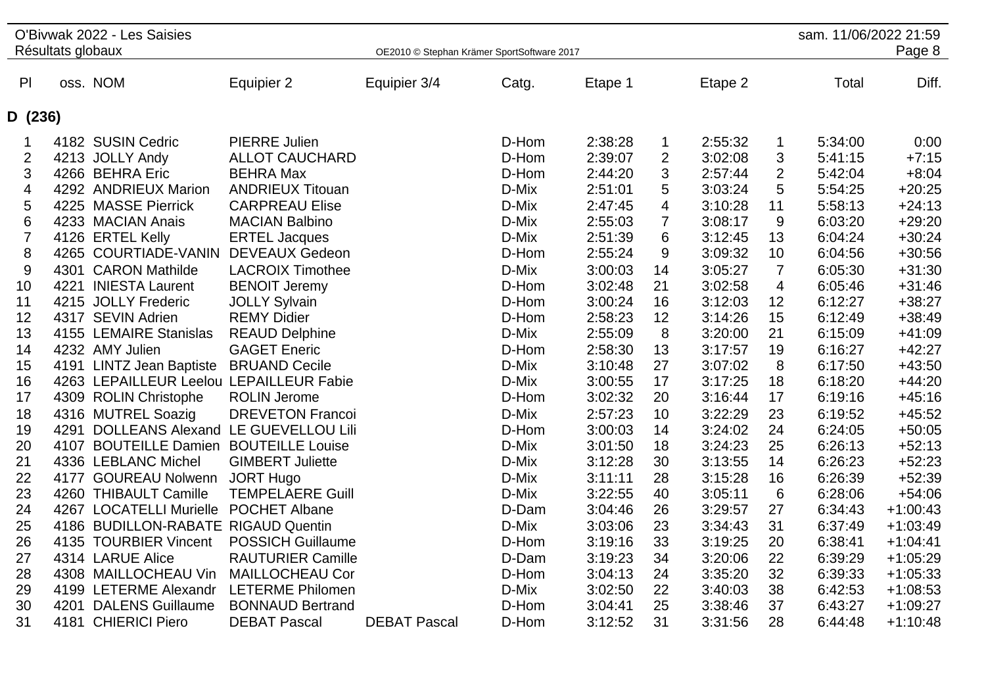|                | Résultats globaux | O'Bivwak 2022 - Les Saisies             |                          | OE2010 © Stephan Krämer SportSoftware 2017 |       |         |                         |         |                | sam. 11/06/2022 21:59 | Page 8     |
|----------------|-------------------|-----------------------------------------|--------------------------|--------------------------------------------|-------|---------|-------------------------|---------|----------------|-----------------------|------------|
|                |                   |                                         |                          |                                            |       |         |                         |         |                |                       |            |
| P              |                   | oss. NOM                                | Equipier 2               | Equipier 3/4                               | Catg. | Etape 1 |                         | Etape 2 |                | Total                 | Diff.      |
| D (236)        |                   |                                         |                          |                                            |       |         |                         |         |                |                       |            |
| 1              |                   | 4182 SUSIN Cedric                       | <b>PIERRE Julien</b>     |                                            | D-Hom | 2:38:28 | $\mathbf 1$             | 2:55:32 | 1              | 5:34:00               | 0:00       |
| $\overline{2}$ |                   | 4213 JOLLY Andy                         | <b>ALLOT CAUCHARD</b>    |                                            | D-Hom | 2:39:07 | $\overline{2}$          | 3:02:08 | 3              | 5:41:15               | $+7:15$    |
| 3              |                   | 4266 BEHRA Eric                         | <b>BEHRA Max</b>         |                                            | D-Hom | 2:44:20 | 3                       | 2:57:44 | 2              | 5:42:04               | $+8:04$    |
| 4              |                   | 4292 ANDRIEUX Marion                    | <b>ANDRIEUX Titouan</b>  |                                            | D-Mix | 2:51:01 | 5                       | 3:03:24 | 5              | 5:54:25               | $+20:25$   |
| 5              |                   | 4225 MASSE Pierrick                     | <b>CARPREAU Elise</b>    |                                            | D-Mix | 2:47:45 | $\overline{\mathbf{4}}$ | 3:10:28 | 11             | 5:58:13               | $+24:13$   |
| 6              |                   | 4233 MACIAN Anais                       | <b>MACIAN Balbino</b>    |                                            | D-Mix | 2:55:03 | $\overline{7}$          | 3:08:17 | 9              | 6:03:20               | $+29:20$   |
| $\overline{7}$ |                   | 4126 ERTEL Kelly                        | <b>ERTEL Jacques</b>     |                                            | D-Mix | 2:51:39 | 6                       | 3:12:45 | 13             | 6:04:24               | $+30:24$   |
| 8              |                   | 4265 COURTIADE-VANIN                    | <b>DEVEAUX Gedeon</b>    |                                            | D-Hom | 2:55:24 | 9                       | 3:09:32 | 10             | 6:04:56               | $+30:56$   |
| 9              |                   | 4301 CARON Mathilde                     | <b>LACROIX Timothee</b>  |                                            | D-Mix | 3:00:03 | 14                      | 3:05:27 | $\overline{7}$ | 6:05:30               | $+31:30$   |
| 10             |                   | 4221 INIESTA Laurent                    | <b>BENOIT Jeremy</b>     |                                            | D-Hom | 3:02:48 | 21                      | 3:02:58 | 4              | 6:05:46               | $+31:46$   |
| 11             |                   | 4215 JOLLY Frederic                     | <b>JOLLY Sylvain</b>     |                                            | D-Hom | 3:00:24 | 16                      | 3:12:03 | 12             | 6:12:27               | $+38:27$   |
| 12             |                   | 4317 SEVIN Adrien                       | <b>REMY Didier</b>       |                                            | D-Hom | 2:58:23 | 12                      | 3:14:26 | 15             | 6:12:49               | $+38:49$   |
| 13             |                   | 4155 LEMAIRE Stanislas                  | <b>REAUD Delphine</b>    |                                            | D-Mix | 2:55:09 | 8                       | 3:20:00 | 21             | 6:15:09               | $+41:09$   |
| 14             |                   | 4232 AMY Julien                         | <b>GAGET Eneric</b>      |                                            | D-Hom | 2:58:30 | 13                      | 3:17:57 | 19             | 6:16:27               | $+42:27$   |
| 15             |                   | 4191 LINTZ Jean Baptiste                | <b>BRUAND Cecile</b>     |                                            | D-Mix | 3:10:48 | 27                      | 3:07:02 | 8              | 6:17:50               | $+43:50$   |
| 16             |                   | 4263 LEPAILLEUR Leelou LEPAILLEUR Fabie |                          |                                            | D-Mix | 3:00:55 | 17                      | 3:17:25 | 18             | 6:18:20               | $+44:20$   |
| 17             |                   | 4309 ROLIN Christophe                   | <b>ROLIN Jerome</b>      |                                            | D-Hom | 3:02:32 | 20                      | 3:16:44 | 17             | 6:19:16               | $+45:16$   |
| 18             |                   | 4316 MUTREL Soazig                      | <b>DREVETON Francoi</b>  |                                            | D-Mix | 2:57:23 | 10                      | 3:22:29 | 23             | 6:19:52               | $+45:52$   |
| 19             |                   | 4291 DOLLEANS Alexand LE GUEVELLOU Lili |                          |                                            | D-Hom | 3:00:03 | 14                      | 3:24:02 | 24             | 6:24:05               | $+50:05$   |
| 20             |                   | 4107 BOUTEILLE Damien BOUTEILLE Louise  |                          |                                            | D-Mix | 3:01:50 | 18                      | 3:24:23 | 25             | 6:26:13               | $+52:13$   |
| 21             |                   | 4336 LEBLANC Michel                     | <b>GIMBERT Juliette</b>  |                                            | D-Mix | 3:12:28 | 30                      | 3:13:55 | 14             | 6:26:23               | $+52:23$   |
| 22             |                   | 4177 GOUREAU Nolwenn                    | <b>JORT Hugo</b>         |                                            | D-Mix | 3:11:11 | 28                      | 3:15:28 | 16             | 6:26:39               | $+52:39$   |
| 23             |                   | 4260 THIBAULT Camille                   | <b>TEMPELAERE Guill</b>  |                                            | D-Mix | 3:22:55 | 40                      | 3:05:11 | 6              | 6:28:06               | $+54:06$   |
| 24             |                   | 4267 LOCATELLI Murielle POCHET Albane   |                          |                                            | D-Dam | 3:04:46 | 26                      | 3:29:57 | 27             | 6:34:43               | $+1:00:43$ |
| 25             |                   | 4186 BUDILLON-RABATE RIGAUD Quentin     |                          |                                            | D-Mix | 3:03:06 | 23                      | 3:34:43 | 31             | 6:37:49               | $+1:03:49$ |
| 26             |                   | 4135 TOURBIER Vincent                   | <b>POSSICH Guillaume</b> |                                            | D-Hom | 3:19:16 | 33                      | 3:19:25 | 20             | 6:38:41               | $+1:04:41$ |
| 27             |                   | 4314 LARUE Alice                        | <b>RAUTURIER Camille</b> |                                            | D-Dam | 3:19:23 | 34                      | 3:20:06 | 22             | 6:39:29               | $+1:05:29$ |
| 28             |                   | 4308 MAILLOCHEAU Vin                    | <b>MAILLOCHEAU Cor</b>   |                                            | D-Hom | 3:04:13 | 24                      | 3:35:20 | 32             | 6:39:33               | $+1:05:33$ |
| 29             |                   | 4199 LETERME Alexandr                   | <b>LETERME Philomen</b>  |                                            | D-Mix | 3:02:50 | 22                      | 3:40:03 | 38             | 6:42:53               | $+1:08:53$ |
| 30             | 4201              | <b>DALENS Guillaume</b>                 | <b>BONNAUD Bertrand</b>  |                                            | D-Hom | 3:04:41 | 25                      | 3:38:46 | 37             | 6:43:27               | $+1:09:27$ |
| 31             | 4181              | <b>CHIERICI Piero</b>                   | <b>DEBAT Pascal</b>      | <b>DEBAT Pascal</b>                        | D-Hom | 3:12:52 | 31                      | 3:31:56 | 28             | 6:44:48               | $+1:10:48$ |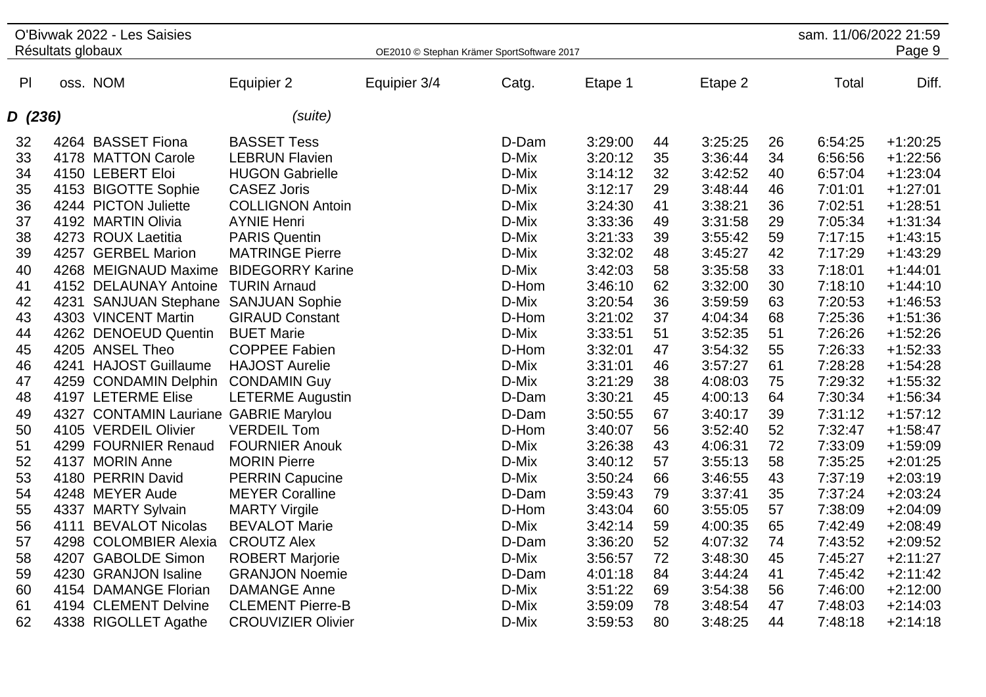| Résultats globaux<br>OE2010 © Stephan Krämer SportSoftware 2017<br>P<br>oss. NOM<br>Equipier 3/4<br>Total<br>Diff.<br>Equipier 2<br>Catg.<br>Etape 1<br>Etape 2<br>(suite)<br>D (236)<br>4264 BASSET Fiona<br><b>BASSET Tess</b><br>3:29:00<br>3:25:25<br>$+1:20:25$<br>D-Dam<br>44<br>26<br>6:54:25<br>32<br>4178 MATTON Carole<br><b>LEBRUN Flavien</b><br>3:20:12<br>35<br>3:36:44<br>$+1:22:56$<br>33<br>D-Mix<br>34<br>6:56:56<br>34<br>4150 LEBERT Eloi<br><b>HUGON Gabrielle</b><br>D-Mix<br>32<br>$+1:23:04$<br>3:14:12<br>3:42:52<br>6:57:04<br>40<br>$+1:27:01$<br>35<br>4153 BIGOTTE Sophie<br><b>CASEZ Joris</b><br>D-Mix<br>3:12:17<br>29<br>3:48:44<br>7:01:01<br>46<br>4244 PICTON Juliette<br>D-Mix<br>7:02:51<br>$+1:28:51$<br>36<br><b>COLLIGNON Antoin</b><br>3:24:30<br>41<br>3:38:21<br>36<br>4192 MARTIN Olivia<br>$+1:31:34$<br>37<br><b>AYNIE Henri</b><br>D-Mix<br>3:33:36<br>49<br>3:31:58<br>29<br>7:05:34<br>38<br><b>PARIS Quentin</b><br>D-Mix<br>3:21:33<br>39<br>3:55:42<br>7:17:15<br>$+1:43:15$<br>4273 ROUX Laetitia<br>59<br>$+1:43:29$<br>39<br>4257 GERBEL Marion<br><b>MATRINGE Pierre</b><br>D-Mix<br>3:32:02<br>48<br>3:45:27<br>42<br>7:17:29<br>40<br>4268 MEIGNAUD Maxime<br><b>BIDEGORRY Karine</b><br>D-Mix<br>3:42:03<br>3:35:58<br>33<br>7:18:01<br>$+1:44:01$<br>58<br>D-Hom<br>3:32:00<br>30<br>7:18:10<br>$+1:44:10$<br>41<br>4152 DELAUNAY Antoine<br><b>TURIN Arnaud</b><br>3:46:10<br>62<br>42<br>4231 SANJUAN Stephane SANJUAN Sophie<br>D-Mix<br>3:20:54<br>36<br>3:59:59<br>63<br>7:20:53<br>$+1:46:53$<br>43<br>4303 VINCENT Martin<br><b>GIRAUD Constant</b><br>D-Hom<br>3:21:02<br>37<br>4:04:34<br>68<br>7:25:36<br>$+1:51:36$<br>4262 DENOEUD Quentin<br><b>BUET Marie</b><br>D-Mix<br>3:33:51<br>51<br>3:52:35<br>51<br>7:26:26<br>$+1:52:26$<br>44<br>55<br>$+1:52:33$<br>4205 ANSEL Theo<br><b>COPPEE Fabien</b><br>D-Hom<br>3:32:01<br>3:54:32<br>7:26:33<br>45<br>47<br>46<br>4241 HAJOST Guillaume<br><b>HAJOST Aurelie</b><br>3:31:01<br>3:57:27<br>61<br>7:28:28<br>$+1:54:28$<br>D-Mix<br>46<br>47<br>3:21:29<br>38<br>4:08:03<br>75<br>7:29:32<br>$+1:55:32$<br>4259 CONDAMIN Delphin<br><b>CONDAMIN Guy</b><br>D-Mix<br>4197 LETERME Elise<br>3:30:21<br>7:30:34<br>$+1:56:34$<br>48<br><b>LETERME Augustin</b><br>D-Dam<br>45<br>4:00:13<br>64<br>4327 CONTAMIN Lauriane GABRIE Marylou<br>D-Dam<br>67<br>39<br>7:31:12<br>$+1:57:12$<br>49<br>3:50:55<br>3:40:17<br><b>VERDEIL Tom</b><br>D-Hom<br>52<br>7:32:47<br>$+1:58:47$<br>50<br>4105 VERDEIL Olivier<br>3:40:07<br>56<br>3:52:40<br>51<br>4299 FOURNIER Renaud<br><b>FOURNIER Anouk</b><br>D-Mix<br>3:26:38<br>43<br>4:06:31<br>72<br>7:33:09<br>$+1:59:09$<br>52<br>4137 MORIN Anne<br><b>MORIN Pierre</b><br>D-Mix<br>3:40:12<br>57<br>3:55:13<br>58<br>7:35:25<br>$+2:01:25$<br>4180 PERRIN David<br>7:37:19<br>$+2:03:19$<br>53<br><b>PERRIN Capucine</b><br>D-Mix<br>3:50:24<br>66<br>3:46:55<br>43<br>54<br>7:37:24<br>$+2:03:24$<br>4248 MEYER Aude<br><b>MEYER Coralline</b><br>D-Dam<br>3:59:43<br>79<br>3:37:41<br>35<br>55<br>D-Hom<br>3:43:04<br>3:55:05<br>7:38:09<br>$+2:04:09$<br>4337 MARTY Sylvain<br><b>MARTY Virgile</b><br>60<br>57<br>56<br><b>BEVALOT Marie</b><br>D-Mix<br>3:42:14<br>65<br>7:42:49<br>$+2:08:49$<br>4111<br><b>BEVALOT Nicolas</b><br>59<br>4:00:35<br>4298 COLOMBIER Alexia<br><b>CROUTZ Alex</b><br>D-Dam<br>3:36:20<br>52<br>4:07:32<br>74<br>7:43:52<br>$+2:09:52$<br>57<br>4207 GABOLDE Simon<br><b>ROBERT Marjorie</b><br>D-Mix<br>72<br>7:45:27<br>$+2:11:27$<br>58<br>3:56:57<br>3:48:30<br>45<br>$+2:11:42$<br>59<br>4230 GRANJON Isaline<br><b>GRANJON Noemie</b><br>D-Dam<br>4:01:18<br>84<br>3:44:24<br>7:45:42<br>41 |  | O'Bivwak 2022 - Les Saisies |  |  |  | sam. 11/06/2022 21:59 | Page 9 |
|--------------------------------------------------------------------------------------------------------------------------------------------------------------------------------------------------------------------------------------------------------------------------------------------------------------------------------------------------------------------------------------------------------------------------------------------------------------------------------------------------------------------------------------------------------------------------------------------------------------------------------------------------------------------------------------------------------------------------------------------------------------------------------------------------------------------------------------------------------------------------------------------------------------------------------------------------------------------------------------------------------------------------------------------------------------------------------------------------------------------------------------------------------------------------------------------------------------------------------------------------------------------------------------------------------------------------------------------------------------------------------------------------------------------------------------------------------------------------------------------------------------------------------------------------------------------------------------------------------------------------------------------------------------------------------------------------------------------------------------------------------------------------------------------------------------------------------------------------------------------------------------------------------------------------------------------------------------------------------------------------------------------------------------------------------------------------------------------------------------------------------------------------------------------------------------------------------------------------------------------------------------------------------------------------------------------------------------------------------------------------------------------------------------------------------------------------------------------------------------------------------------------------------------------------------------------------------------------------------------------------------------------------------------------------------------------------------------------------------------------------------------------------------------------------------------------------------------------------------------------------------------------------------------------------------------------------------------------------------------------------------------------------------------------------------------------------------------------------------------------------------------------------------------------------------------------------------------------------------------------------------------------------------------------------------------------------------------------------------------------------------------------------------------------------------------------------------------------------------------------------------------------------------------------------------------------------------------------------------------------------------------------------------------------------------------------------------------|--|-----------------------------|--|--|--|-----------------------|--------|
|                                                                                                                                                                                                                                                                                                                                                                                                                                                                                                                                                                                                                                                                                                                                                                                                                                                                                                                                                                                                                                                                                                                                                                                                                                                                                                                                                                                                                                                                                                                                                                                                                                                                                                                                                                                                                                                                                                                                                                                                                                                                                                                                                                                                                                                                                                                                                                                                                                                                                                                                                                                                                                                                                                                                                                                                                                                                                                                                                                                                                                                                                                                                                                                                                                                                                                                                                                                                                                                                                                                                                                                                                                                                                                              |  |                             |  |  |  |                       |        |
|                                                                                                                                                                                                                                                                                                                                                                                                                                                                                                                                                                                                                                                                                                                                                                                                                                                                                                                                                                                                                                                                                                                                                                                                                                                                                                                                                                                                                                                                                                                                                                                                                                                                                                                                                                                                                                                                                                                                                                                                                                                                                                                                                                                                                                                                                                                                                                                                                                                                                                                                                                                                                                                                                                                                                                                                                                                                                                                                                                                                                                                                                                                                                                                                                                                                                                                                                                                                                                                                                                                                                                                                                                                                                                              |  |                             |  |  |  |                       |        |
|                                                                                                                                                                                                                                                                                                                                                                                                                                                                                                                                                                                                                                                                                                                                                                                                                                                                                                                                                                                                                                                                                                                                                                                                                                                                                                                                                                                                                                                                                                                                                                                                                                                                                                                                                                                                                                                                                                                                                                                                                                                                                                                                                                                                                                                                                                                                                                                                                                                                                                                                                                                                                                                                                                                                                                                                                                                                                                                                                                                                                                                                                                                                                                                                                                                                                                                                                                                                                                                                                                                                                                                                                                                                                                              |  |                             |  |  |  |                       |        |
|                                                                                                                                                                                                                                                                                                                                                                                                                                                                                                                                                                                                                                                                                                                                                                                                                                                                                                                                                                                                                                                                                                                                                                                                                                                                                                                                                                                                                                                                                                                                                                                                                                                                                                                                                                                                                                                                                                                                                                                                                                                                                                                                                                                                                                                                                                                                                                                                                                                                                                                                                                                                                                                                                                                                                                                                                                                                                                                                                                                                                                                                                                                                                                                                                                                                                                                                                                                                                                                                                                                                                                                                                                                                                                              |  |                             |  |  |  |                       |        |
|                                                                                                                                                                                                                                                                                                                                                                                                                                                                                                                                                                                                                                                                                                                                                                                                                                                                                                                                                                                                                                                                                                                                                                                                                                                                                                                                                                                                                                                                                                                                                                                                                                                                                                                                                                                                                                                                                                                                                                                                                                                                                                                                                                                                                                                                                                                                                                                                                                                                                                                                                                                                                                                                                                                                                                                                                                                                                                                                                                                                                                                                                                                                                                                                                                                                                                                                                                                                                                                                                                                                                                                                                                                                                                              |  |                             |  |  |  |                       |        |
|                                                                                                                                                                                                                                                                                                                                                                                                                                                                                                                                                                                                                                                                                                                                                                                                                                                                                                                                                                                                                                                                                                                                                                                                                                                                                                                                                                                                                                                                                                                                                                                                                                                                                                                                                                                                                                                                                                                                                                                                                                                                                                                                                                                                                                                                                                                                                                                                                                                                                                                                                                                                                                                                                                                                                                                                                                                                                                                                                                                                                                                                                                                                                                                                                                                                                                                                                                                                                                                                                                                                                                                                                                                                                                              |  |                             |  |  |  |                       |        |
|                                                                                                                                                                                                                                                                                                                                                                                                                                                                                                                                                                                                                                                                                                                                                                                                                                                                                                                                                                                                                                                                                                                                                                                                                                                                                                                                                                                                                                                                                                                                                                                                                                                                                                                                                                                                                                                                                                                                                                                                                                                                                                                                                                                                                                                                                                                                                                                                                                                                                                                                                                                                                                                                                                                                                                                                                                                                                                                                                                                                                                                                                                                                                                                                                                                                                                                                                                                                                                                                                                                                                                                                                                                                                                              |  |                             |  |  |  |                       |        |
|                                                                                                                                                                                                                                                                                                                                                                                                                                                                                                                                                                                                                                                                                                                                                                                                                                                                                                                                                                                                                                                                                                                                                                                                                                                                                                                                                                                                                                                                                                                                                                                                                                                                                                                                                                                                                                                                                                                                                                                                                                                                                                                                                                                                                                                                                                                                                                                                                                                                                                                                                                                                                                                                                                                                                                                                                                                                                                                                                                                                                                                                                                                                                                                                                                                                                                                                                                                                                                                                                                                                                                                                                                                                                                              |  |                             |  |  |  |                       |        |
|                                                                                                                                                                                                                                                                                                                                                                                                                                                                                                                                                                                                                                                                                                                                                                                                                                                                                                                                                                                                                                                                                                                                                                                                                                                                                                                                                                                                                                                                                                                                                                                                                                                                                                                                                                                                                                                                                                                                                                                                                                                                                                                                                                                                                                                                                                                                                                                                                                                                                                                                                                                                                                                                                                                                                                                                                                                                                                                                                                                                                                                                                                                                                                                                                                                                                                                                                                                                                                                                                                                                                                                                                                                                                                              |  |                             |  |  |  |                       |        |
|                                                                                                                                                                                                                                                                                                                                                                                                                                                                                                                                                                                                                                                                                                                                                                                                                                                                                                                                                                                                                                                                                                                                                                                                                                                                                                                                                                                                                                                                                                                                                                                                                                                                                                                                                                                                                                                                                                                                                                                                                                                                                                                                                                                                                                                                                                                                                                                                                                                                                                                                                                                                                                                                                                                                                                                                                                                                                                                                                                                                                                                                                                                                                                                                                                                                                                                                                                                                                                                                                                                                                                                                                                                                                                              |  |                             |  |  |  |                       |        |
|                                                                                                                                                                                                                                                                                                                                                                                                                                                                                                                                                                                                                                                                                                                                                                                                                                                                                                                                                                                                                                                                                                                                                                                                                                                                                                                                                                                                                                                                                                                                                                                                                                                                                                                                                                                                                                                                                                                                                                                                                                                                                                                                                                                                                                                                                                                                                                                                                                                                                                                                                                                                                                                                                                                                                                                                                                                                                                                                                                                                                                                                                                                                                                                                                                                                                                                                                                                                                                                                                                                                                                                                                                                                                                              |  |                             |  |  |  |                       |        |
|                                                                                                                                                                                                                                                                                                                                                                                                                                                                                                                                                                                                                                                                                                                                                                                                                                                                                                                                                                                                                                                                                                                                                                                                                                                                                                                                                                                                                                                                                                                                                                                                                                                                                                                                                                                                                                                                                                                                                                                                                                                                                                                                                                                                                                                                                                                                                                                                                                                                                                                                                                                                                                                                                                                                                                                                                                                                                                                                                                                                                                                                                                                                                                                                                                                                                                                                                                                                                                                                                                                                                                                                                                                                                                              |  |                             |  |  |  |                       |        |
|                                                                                                                                                                                                                                                                                                                                                                                                                                                                                                                                                                                                                                                                                                                                                                                                                                                                                                                                                                                                                                                                                                                                                                                                                                                                                                                                                                                                                                                                                                                                                                                                                                                                                                                                                                                                                                                                                                                                                                                                                                                                                                                                                                                                                                                                                                                                                                                                                                                                                                                                                                                                                                                                                                                                                                                                                                                                                                                                                                                                                                                                                                                                                                                                                                                                                                                                                                                                                                                                                                                                                                                                                                                                                                              |  |                             |  |  |  |                       |        |
|                                                                                                                                                                                                                                                                                                                                                                                                                                                                                                                                                                                                                                                                                                                                                                                                                                                                                                                                                                                                                                                                                                                                                                                                                                                                                                                                                                                                                                                                                                                                                                                                                                                                                                                                                                                                                                                                                                                                                                                                                                                                                                                                                                                                                                                                                                                                                                                                                                                                                                                                                                                                                                                                                                                                                                                                                                                                                                                                                                                                                                                                                                                                                                                                                                                                                                                                                                                                                                                                                                                                                                                                                                                                                                              |  |                             |  |  |  |                       |        |
|                                                                                                                                                                                                                                                                                                                                                                                                                                                                                                                                                                                                                                                                                                                                                                                                                                                                                                                                                                                                                                                                                                                                                                                                                                                                                                                                                                                                                                                                                                                                                                                                                                                                                                                                                                                                                                                                                                                                                                                                                                                                                                                                                                                                                                                                                                                                                                                                                                                                                                                                                                                                                                                                                                                                                                                                                                                                                                                                                                                                                                                                                                                                                                                                                                                                                                                                                                                                                                                                                                                                                                                                                                                                                                              |  |                             |  |  |  |                       |        |
|                                                                                                                                                                                                                                                                                                                                                                                                                                                                                                                                                                                                                                                                                                                                                                                                                                                                                                                                                                                                                                                                                                                                                                                                                                                                                                                                                                                                                                                                                                                                                                                                                                                                                                                                                                                                                                                                                                                                                                                                                                                                                                                                                                                                                                                                                                                                                                                                                                                                                                                                                                                                                                                                                                                                                                                                                                                                                                                                                                                                                                                                                                                                                                                                                                                                                                                                                                                                                                                                                                                                                                                                                                                                                                              |  |                             |  |  |  |                       |        |
|                                                                                                                                                                                                                                                                                                                                                                                                                                                                                                                                                                                                                                                                                                                                                                                                                                                                                                                                                                                                                                                                                                                                                                                                                                                                                                                                                                                                                                                                                                                                                                                                                                                                                                                                                                                                                                                                                                                                                                                                                                                                                                                                                                                                                                                                                                                                                                                                                                                                                                                                                                                                                                                                                                                                                                                                                                                                                                                                                                                                                                                                                                                                                                                                                                                                                                                                                                                                                                                                                                                                                                                                                                                                                                              |  |                             |  |  |  |                       |        |
|                                                                                                                                                                                                                                                                                                                                                                                                                                                                                                                                                                                                                                                                                                                                                                                                                                                                                                                                                                                                                                                                                                                                                                                                                                                                                                                                                                                                                                                                                                                                                                                                                                                                                                                                                                                                                                                                                                                                                                                                                                                                                                                                                                                                                                                                                                                                                                                                                                                                                                                                                                                                                                                                                                                                                                                                                                                                                                                                                                                                                                                                                                                                                                                                                                                                                                                                                                                                                                                                                                                                                                                                                                                                                                              |  |                             |  |  |  |                       |        |
|                                                                                                                                                                                                                                                                                                                                                                                                                                                                                                                                                                                                                                                                                                                                                                                                                                                                                                                                                                                                                                                                                                                                                                                                                                                                                                                                                                                                                                                                                                                                                                                                                                                                                                                                                                                                                                                                                                                                                                                                                                                                                                                                                                                                                                                                                                                                                                                                                                                                                                                                                                                                                                                                                                                                                                                                                                                                                                                                                                                                                                                                                                                                                                                                                                                                                                                                                                                                                                                                                                                                                                                                                                                                                                              |  |                             |  |  |  |                       |        |
|                                                                                                                                                                                                                                                                                                                                                                                                                                                                                                                                                                                                                                                                                                                                                                                                                                                                                                                                                                                                                                                                                                                                                                                                                                                                                                                                                                                                                                                                                                                                                                                                                                                                                                                                                                                                                                                                                                                                                                                                                                                                                                                                                                                                                                                                                                                                                                                                                                                                                                                                                                                                                                                                                                                                                                                                                                                                                                                                                                                                                                                                                                                                                                                                                                                                                                                                                                                                                                                                                                                                                                                                                                                                                                              |  |                             |  |  |  |                       |        |
|                                                                                                                                                                                                                                                                                                                                                                                                                                                                                                                                                                                                                                                                                                                                                                                                                                                                                                                                                                                                                                                                                                                                                                                                                                                                                                                                                                                                                                                                                                                                                                                                                                                                                                                                                                                                                                                                                                                                                                                                                                                                                                                                                                                                                                                                                                                                                                                                                                                                                                                                                                                                                                                                                                                                                                                                                                                                                                                                                                                                                                                                                                                                                                                                                                                                                                                                                                                                                                                                                                                                                                                                                                                                                                              |  |                             |  |  |  |                       |        |
|                                                                                                                                                                                                                                                                                                                                                                                                                                                                                                                                                                                                                                                                                                                                                                                                                                                                                                                                                                                                                                                                                                                                                                                                                                                                                                                                                                                                                                                                                                                                                                                                                                                                                                                                                                                                                                                                                                                                                                                                                                                                                                                                                                                                                                                                                                                                                                                                                                                                                                                                                                                                                                                                                                                                                                                                                                                                                                                                                                                                                                                                                                                                                                                                                                                                                                                                                                                                                                                                                                                                                                                                                                                                                                              |  |                             |  |  |  |                       |        |
|                                                                                                                                                                                                                                                                                                                                                                                                                                                                                                                                                                                                                                                                                                                                                                                                                                                                                                                                                                                                                                                                                                                                                                                                                                                                                                                                                                                                                                                                                                                                                                                                                                                                                                                                                                                                                                                                                                                                                                                                                                                                                                                                                                                                                                                                                                                                                                                                                                                                                                                                                                                                                                                                                                                                                                                                                                                                                                                                                                                                                                                                                                                                                                                                                                                                                                                                                                                                                                                                                                                                                                                                                                                                                                              |  |                             |  |  |  |                       |        |
|                                                                                                                                                                                                                                                                                                                                                                                                                                                                                                                                                                                                                                                                                                                                                                                                                                                                                                                                                                                                                                                                                                                                                                                                                                                                                                                                                                                                                                                                                                                                                                                                                                                                                                                                                                                                                                                                                                                                                                                                                                                                                                                                                                                                                                                                                                                                                                                                                                                                                                                                                                                                                                                                                                                                                                                                                                                                                                                                                                                                                                                                                                                                                                                                                                                                                                                                                                                                                                                                                                                                                                                                                                                                                                              |  |                             |  |  |  |                       |        |
|                                                                                                                                                                                                                                                                                                                                                                                                                                                                                                                                                                                                                                                                                                                                                                                                                                                                                                                                                                                                                                                                                                                                                                                                                                                                                                                                                                                                                                                                                                                                                                                                                                                                                                                                                                                                                                                                                                                                                                                                                                                                                                                                                                                                                                                                                                                                                                                                                                                                                                                                                                                                                                                                                                                                                                                                                                                                                                                                                                                                                                                                                                                                                                                                                                                                                                                                                                                                                                                                                                                                                                                                                                                                                                              |  |                             |  |  |  |                       |        |
|                                                                                                                                                                                                                                                                                                                                                                                                                                                                                                                                                                                                                                                                                                                                                                                                                                                                                                                                                                                                                                                                                                                                                                                                                                                                                                                                                                                                                                                                                                                                                                                                                                                                                                                                                                                                                                                                                                                                                                                                                                                                                                                                                                                                                                                                                                                                                                                                                                                                                                                                                                                                                                                                                                                                                                                                                                                                                                                                                                                                                                                                                                                                                                                                                                                                                                                                                                                                                                                                                                                                                                                                                                                                                                              |  |                             |  |  |  |                       |        |
|                                                                                                                                                                                                                                                                                                                                                                                                                                                                                                                                                                                                                                                                                                                                                                                                                                                                                                                                                                                                                                                                                                                                                                                                                                                                                                                                                                                                                                                                                                                                                                                                                                                                                                                                                                                                                                                                                                                                                                                                                                                                                                                                                                                                                                                                                                                                                                                                                                                                                                                                                                                                                                                                                                                                                                                                                                                                                                                                                                                                                                                                                                                                                                                                                                                                                                                                                                                                                                                                                                                                                                                                                                                                                                              |  |                             |  |  |  |                       |        |
|                                                                                                                                                                                                                                                                                                                                                                                                                                                                                                                                                                                                                                                                                                                                                                                                                                                                                                                                                                                                                                                                                                                                                                                                                                                                                                                                                                                                                                                                                                                                                                                                                                                                                                                                                                                                                                                                                                                                                                                                                                                                                                                                                                                                                                                                                                                                                                                                                                                                                                                                                                                                                                                                                                                                                                                                                                                                                                                                                                                                                                                                                                                                                                                                                                                                                                                                                                                                                                                                                                                                                                                                                                                                                                              |  |                             |  |  |  |                       |        |
|                                                                                                                                                                                                                                                                                                                                                                                                                                                                                                                                                                                                                                                                                                                                                                                                                                                                                                                                                                                                                                                                                                                                                                                                                                                                                                                                                                                                                                                                                                                                                                                                                                                                                                                                                                                                                                                                                                                                                                                                                                                                                                                                                                                                                                                                                                                                                                                                                                                                                                                                                                                                                                                                                                                                                                                                                                                                                                                                                                                                                                                                                                                                                                                                                                                                                                                                                                                                                                                                                                                                                                                                                                                                                                              |  |                             |  |  |  |                       |        |
|                                                                                                                                                                                                                                                                                                                                                                                                                                                                                                                                                                                                                                                                                                                                                                                                                                                                                                                                                                                                                                                                                                                                                                                                                                                                                                                                                                                                                                                                                                                                                                                                                                                                                                                                                                                                                                                                                                                                                                                                                                                                                                                                                                                                                                                                                                                                                                                                                                                                                                                                                                                                                                                                                                                                                                                                                                                                                                                                                                                                                                                                                                                                                                                                                                                                                                                                                                                                                                                                                                                                                                                                                                                                                                              |  |                             |  |  |  |                       |        |
|                                                                                                                                                                                                                                                                                                                                                                                                                                                                                                                                                                                                                                                                                                                                                                                                                                                                                                                                                                                                                                                                                                                                                                                                                                                                                                                                                                                                                                                                                                                                                                                                                                                                                                                                                                                                                                                                                                                                                                                                                                                                                                                                                                                                                                                                                                                                                                                                                                                                                                                                                                                                                                                                                                                                                                                                                                                                                                                                                                                                                                                                                                                                                                                                                                                                                                                                                                                                                                                                                                                                                                                                                                                                                                              |  |                             |  |  |  |                       |        |
| <b>DAMANGE Anne</b><br>D-Mix<br>3:54:38<br>56<br>7:46:00<br>$+2:12:00$<br>60<br>4154 DAMANGE Florian<br>3:51:22<br>69                                                                                                                                                                                                                                                                                                                                                                                                                                                                                                                                                                                                                                                                                                                                                                                                                                                                                                                                                                                                                                                                                                                                                                                                                                                                                                                                                                                                                                                                                                                                                                                                                                                                                                                                                                                                                                                                                                                                                                                                                                                                                                                                                                                                                                                                                                                                                                                                                                                                                                                                                                                                                                                                                                                                                                                                                                                                                                                                                                                                                                                                                                                                                                                                                                                                                                                                                                                                                                                                                                                                                                                        |  |                             |  |  |  |                       |        |
| 78<br>$+2:14:03$<br>61<br>4194 CLEMENT Delvine<br><b>CLEMENT Pierre-B</b><br>D-Mix<br>3:59:09<br>3:48:54<br>47<br>7:48:03                                                                                                                                                                                                                                                                                                                                                                                                                                                                                                                                                                                                                                                                                                                                                                                                                                                                                                                                                                                                                                                                                                                                                                                                                                                                                                                                                                                                                                                                                                                                                                                                                                                                                                                                                                                                                                                                                                                                                                                                                                                                                                                                                                                                                                                                                                                                                                                                                                                                                                                                                                                                                                                                                                                                                                                                                                                                                                                                                                                                                                                                                                                                                                                                                                                                                                                                                                                                                                                                                                                                                                                    |  |                             |  |  |  |                       |        |
| 62<br>4338 RIGOLLET Agathe<br><b>CROUVIZIER Olivier</b><br>D-Mix<br>3:59:53<br>80<br>3:48:25<br>44<br>7:48:18<br>$+2:14:18$                                                                                                                                                                                                                                                                                                                                                                                                                                                                                                                                                                                                                                                                                                                                                                                                                                                                                                                                                                                                                                                                                                                                                                                                                                                                                                                                                                                                                                                                                                                                                                                                                                                                                                                                                                                                                                                                                                                                                                                                                                                                                                                                                                                                                                                                                                                                                                                                                                                                                                                                                                                                                                                                                                                                                                                                                                                                                                                                                                                                                                                                                                                                                                                                                                                                                                                                                                                                                                                                                                                                                                                  |  |                             |  |  |  |                       |        |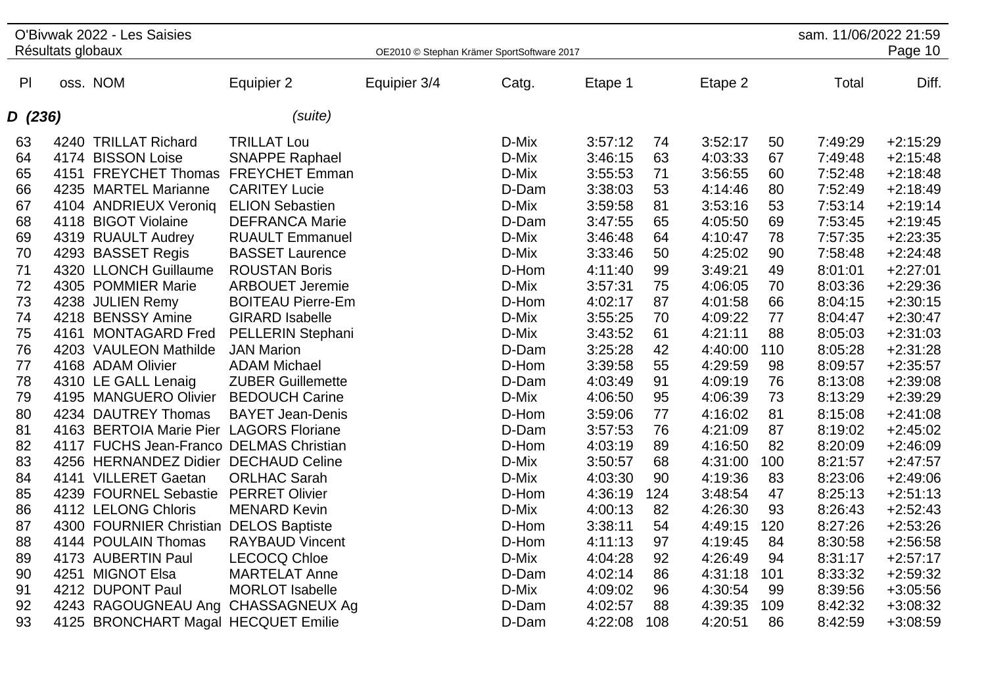|         |                   | O'Bivwak 2022 - Les Saisies             |                          |                                            |       |         |     |         |     | sam. 11/06/2022 21:59 |            |
|---------|-------------------|-----------------------------------------|--------------------------|--------------------------------------------|-------|---------|-----|---------|-----|-----------------------|------------|
|         | Résultats globaux |                                         |                          | OE2010 © Stephan Krämer SportSoftware 2017 |       |         |     |         |     |                       | Page 10    |
| P       |                   | oss. NOM                                | Equipier 2               | Equipier 3/4                               | Catg. | Etape 1 |     | Etape 2 |     | Total                 | Diff.      |
| D (236) |                   |                                         | (suite)                  |                                            |       |         |     |         |     |                       |            |
| 63      |                   | 4240 TRILLAT Richard                    | <b>TRILLAT Lou</b>       |                                            | D-Mix | 3:57:12 | 74  | 3:52:17 | 50  | 7:49:29               | $+2:15:29$ |
| 64      |                   | 4174 BISSON Loise                       | <b>SNAPPE Raphael</b>    |                                            | D-Mix | 3:46:15 | 63  | 4:03:33 | 67  | 7:49:48               | $+2:15:48$ |
| 65      |                   | 4151 FREYCHET Thomas FREYCHET Emman     |                          |                                            | D-Mix | 3:55:53 | 71  | 3:56:55 | 60  | 7:52:48               | $+2:18:48$ |
| 66      |                   | 4235 MARTEL Marianne                    | <b>CARITEY Lucie</b>     |                                            | D-Dam | 3:38:03 | 53  | 4:14:46 | 80  | 7:52:49               | $+2:18:49$ |
| 67      |                   | 4104 ANDRIEUX Veroniq                   | <b>ELION Sebastien</b>   |                                            | D-Mix | 3:59:58 | 81  | 3:53:16 | 53  | 7:53:14               | $+2:19:14$ |
| 68      |                   | 4118 BIGOT Violaine                     | <b>DEFRANCA Marie</b>    |                                            | D-Dam | 3:47:55 | 65  | 4:05:50 | 69  | 7:53:45               | $+2:19:45$ |
| 69      |                   | 4319 RUAULT Audrey                      | <b>RUAULT Emmanuel</b>   |                                            | D-Mix | 3:46:48 | 64  | 4:10:47 | 78  | 7:57:35               | $+2:23:35$ |
| 70      |                   | 4293 BASSET Regis                       | <b>BASSET Laurence</b>   |                                            | D-Mix | 3:33:46 | 50  | 4:25:02 | 90  | 7:58:48               | $+2:24:48$ |
| 71      |                   | 4320 LLONCH Guillaume                   | <b>ROUSTAN Boris</b>     |                                            | D-Hom | 4:11:40 | 99  | 3:49:21 | 49  | 8:01:01               | $+2:27:01$ |
| 72      |                   | 4305 POMMIER Marie                      | <b>ARBOUET Jeremie</b>   |                                            | D-Mix | 3:57:31 | 75  | 4:06:05 | 70  | 8:03:36               | $+2:29:36$ |
| 73      |                   | 4238 JULIEN Remy                        | <b>BOITEAU Pierre-Em</b> |                                            | D-Hom | 4:02:17 | 87  | 4:01:58 | 66  | 8:04:15               | $+2:30:15$ |
| 74      |                   | 4218 BENSSY Amine                       | <b>GIRARD Isabelle</b>   |                                            | D-Mix | 3:55:25 | 70  | 4:09:22 | 77  | 8:04:47               | $+2:30:47$ |
| 75      |                   | 4161 MONTAGARD Fred                     | <b>PELLERIN Stephani</b> |                                            | D-Mix | 3:43:52 | 61  | 4:21:11 | 88  | 8:05:03               | $+2:31:03$ |
| 76      |                   | 4203 VAULEON Mathilde                   | <b>JAN Marion</b>        |                                            | D-Dam | 3:25:28 | 42  | 4:40:00 | 110 | 8:05:28               | $+2:31:28$ |
| 77      |                   | 4168 ADAM Olivier                       | <b>ADAM Michael</b>      |                                            | D-Hom | 3:39:58 | 55  | 4:29:59 | 98  | 8:09:57               | $+2:35:57$ |
| 78      |                   | 4310 LE GALL Lenaig                     | <b>ZUBER Guillemette</b> |                                            | D-Dam | 4:03:49 | 91  | 4:09:19 | 76  | 8:13:08               | $+2:39:08$ |
| 79      |                   | 4195 MANGUERO Olivier                   | <b>BEDOUCH Carine</b>    |                                            | D-Mix | 4:06:50 | 95  | 4:06:39 | 73  | 8:13:29               | $+2:39:29$ |
| 80      |                   | 4234 DAUTREY Thomas                     | <b>BAYET Jean-Denis</b>  |                                            | D-Hom | 3:59:06 | 77  | 4:16:02 | 81  | 8:15:08               | $+2:41:08$ |
| 81      |                   | 4163 BERTOIA Marie Pier LAGORS Floriane |                          |                                            | D-Dam | 3:57:53 | 76  | 4:21:09 | 87  | 8:19:02               | $+2:45:02$ |
| 82      |                   | 4117 FUCHS Jean-Franco DELMAS Christian |                          |                                            | D-Hom | 4:03:19 | 89  | 4:16:50 | 82  | 8:20:09               | $+2:46:09$ |
| 83      |                   | 4256 HERNANDEZ Didier DECHAUD Celine    |                          |                                            | D-Mix | 3:50:57 | 68  | 4:31:00 | 100 | 8:21:57               | $+2:47:57$ |
| 84      |                   | 4141 VILLERET Gaetan                    | <b>ORLHAC Sarah</b>      |                                            | D-Mix | 4:03:30 | 90  | 4:19:36 | 83  | 8:23:06               | $+2:49:06$ |
| 85      |                   | 4239 FOURNEL Sebastie                   | <b>PERRET Olivier</b>    |                                            | D-Hom | 4:36:19 | 124 | 3:48:54 | 47  | 8:25:13               | $+2:51:13$ |
| 86      |                   | 4112 LELONG Chloris                     | <b>MENARD Kevin</b>      |                                            | D-Mix | 4:00:13 | 82  | 4:26:30 | 93  | 8:26:43               | $+2:52:43$ |
| 87      |                   | 4300 FOURNIER Christian DELOS Baptiste  |                          |                                            | D-Hom | 3:38:11 | 54  | 4:49:15 | 120 | 8:27:26               | $+2:53:26$ |
| 88      |                   | 4144 POULAIN Thomas                     | <b>RAYBAUD Vincent</b>   |                                            | D-Hom | 4:11:13 | 97  | 4:19:45 | 84  | 8:30:58               | $+2:56:58$ |
| 89      |                   | 4173 AUBERTIN Paul                      | <b>LECOCQ Chloe</b>      |                                            | D-Mix | 4:04:28 | 92  | 4:26:49 | 94  | 8:31:17               | $+2:57:17$ |
| 90      |                   | 4251 MIGNOT Elsa                        | <b>MARTELAT Anne</b>     |                                            | D-Dam | 4:02:14 | 86  | 4:31:18 | 101 | 8:33:32               | $+2:59:32$ |
| 91      |                   | 4212 DUPONT Paul                        | <b>MORLOT</b> Isabelle   |                                            | D-Mix | 4:09:02 | 96  | 4:30:54 | 99  | 8:39:56               | $+3:05:56$ |
| 92      |                   | 4243 RAGOUGNEAU Ang CHASSAGNEUX Ag      |                          |                                            | D-Dam | 4:02:57 | 88  | 4:39:35 | 109 | 8:42:32               | $+3:08:32$ |
| 93      |                   | 4125 BRONCHART Magal HECQUET Emilie     |                          |                                            | D-Dam | 4:22:08 | 108 | 4:20:51 | 86  | 8:42:59               | $+3:08:59$ |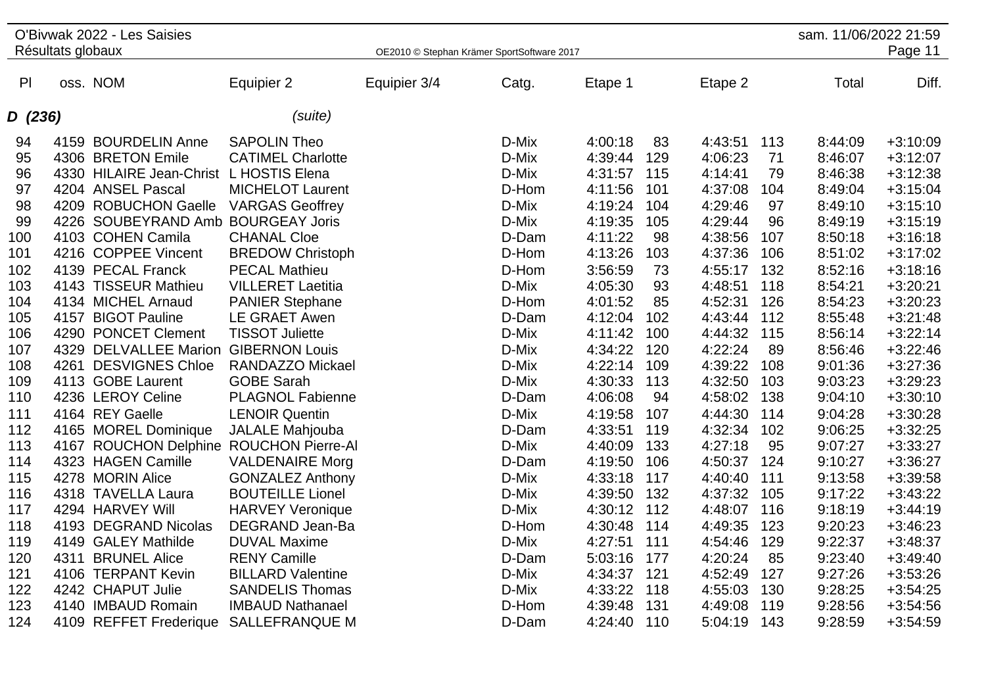|         |                   | O'Bivwak 2022 - Les Saisies |                          |                                            |       |         |     |         |     | sam. 11/06/2022 21:59 |            |
|---------|-------------------|-----------------------------|--------------------------|--------------------------------------------|-------|---------|-----|---------|-----|-----------------------|------------|
|         | Résultats globaux |                             |                          | OE2010 © Stephan Krämer SportSoftware 2017 |       |         |     |         |     |                       | Page 11    |
|         |                   |                             |                          |                                            |       |         |     |         |     |                       |            |
| P       |                   | oss. NOM                    | Equipier 2               | Equipier 3/4                               | Catg. | Etape 1 |     | Etape 2 |     | Total                 | Diff.      |
| D (236) |                   |                             | (suite)                  |                                            |       |         |     |         |     |                       |            |
| 94      |                   | 4159 BOURDELIN Anne         | <b>SAPOLIN Theo</b>      |                                            | D-Mix | 4:00:18 | 83  | 4:43:51 | 113 | 8:44:09               | $+3:10:09$ |
| 95      |                   | 4306 BRETON Emile           | <b>CATIMEL Charlotte</b> |                                            | D-Mix | 4:39:44 | 129 | 4:06:23 | 71  | 8:46:07               | $+3:12:07$ |
| 96      |                   | 4330 HILAIRE Jean-Christ    | L HOSTIS Elena           |                                            | D-Mix | 4:31:57 | 115 | 4:14:41 | 79  | 8:46:38               | $+3:12:38$ |
| 97      |                   | 4204 ANSEL Pascal           | <b>MICHELOT Laurent</b>  |                                            | D-Hom | 4:11:56 | 101 | 4:37:08 | 104 | 8:49:04               | $+3:15:04$ |
| 98      |                   | 4209 ROBUCHON Gaelle        | <b>VARGAS Geoffrey</b>   |                                            | D-Mix | 4:19:24 | 104 | 4:29:46 | 97  | 8:49:10               | $+3:15:10$ |
| 99      |                   | 4226 SOUBEYRAND Amb         | <b>BOURGEAY Joris</b>    |                                            | D-Mix | 4:19:35 | 105 | 4:29:44 | 96  | 8:49:19               | $+3:15:19$ |
| 100     |                   | 4103 COHEN Camila           | <b>CHANAL Cloe</b>       |                                            | D-Dam | 4:11:22 | 98  | 4:38:56 | 107 | 8:50:18               | $+3:16:18$ |
| 101     |                   | 4216 COPPEE Vincent         | <b>BREDOW Christoph</b>  |                                            | D-Hom | 4:13:26 | 103 | 4:37:36 | 106 | 8:51:02               | $+3:17:02$ |
| 102     |                   | 4139 PECAL Franck           | <b>PECAL Mathieu</b>     |                                            | D-Hom | 3:56:59 | 73  | 4:55:17 | 132 | 8:52:16               | $+3:18:16$ |
| 103     |                   | 4143 TISSEUR Mathieu        | <b>VILLERET Laetitia</b> |                                            | D-Mix | 4:05:30 | 93  | 4:48:51 | 118 | 8:54:21               | $+3:20:21$ |
| 104     |                   | 4134 MICHEL Arnaud          | <b>PANIER Stephane</b>   |                                            | D-Hom | 4:01:52 | 85  | 4:52:31 | 126 | 8:54:23               | $+3:20:23$ |
| 105     |                   | 4157 BIGOT Pauline          | <b>LE GRAET Awen</b>     |                                            | D-Dam | 4:12:04 | 102 | 4:43:44 | 112 | 8:55:48               | $+3:21:48$ |
| 106     |                   | 4290 PONCET Clement         | <b>TISSOT Juliette</b>   |                                            | D-Mix | 4:11:42 | 100 | 4:44:32 | 115 | 8:56:14               | $+3:22:14$ |
| 107     |                   | 4329 DELVALLEE Marion       | <b>GIBERNON Louis</b>    |                                            | D-Mix | 4:34:22 | 120 | 4:22:24 | 89  | 8:56:46               | $+3:22:46$ |
| 108     | 4261              | <b>DESVIGNES Chloe</b>      | <b>RANDAZZO Mickael</b>  |                                            | D-Mix | 4:22:14 | 109 | 4:39:22 | 108 | 9:01:36               | $+3:27:36$ |
| 109     |                   | 4113 GOBE Laurent           | <b>GOBE Sarah</b>        |                                            | D-Mix | 4:30:33 | 113 | 4:32:50 | 103 | 9:03:23               | $+3:29:23$ |
| 110     |                   | 4236 LEROY Celine           | <b>PLAGNOL Fabienne</b>  |                                            | D-Dam | 4:06:08 | 94  | 4:58:02 | 138 | 9:04:10               | $+3:30:10$ |
| 111     |                   | 4164 REY Gaelle             | <b>LENOIR Quentin</b>    |                                            | D-Mix | 4:19:58 | 107 | 4:44:30 | 114 | 9:04:28               | $+3:30:28$ |
| 112     |                   | 4165 MOREL Dominique        | JALALE Mahjouba          |                                            | D-Dam | 4:33:51 | 119 | 4:32:34 | 102 | 9:06:25               | $+3:32:25$ |
| 113     |                   | 4167 ROUCHON Delphine       | <b>ROUCHON Pierre-Al</b> |                                            | D-Mix | 4:40:09 | 133 | 4:27:18 | 95  | 9:07:27               | $+3:33:27$ |
| 114     |                   | 4323 HAGEN Camille          | <b>VALDENAIRE Morg</b>   |                                            | D-Dam | 4:19:50 | 106 | 4:50:37 | 124 | 9:10:27               | $+3:36:27$ |
| 115     |                   | 4278 MORIN Alice            | <b>GONZALEZ Anthony</b>  |                                            | D-Mix | 4:33:18 | 117 | 4:40:40 | 111 | 9:13:58               | $+3:39:58$ |
| 116     |                   | 4318 TAVELLA Laura          | <b>BOUTEILLE Lionel</b>  |                                            | D-Mix | 4:39:50 | 132 | 4:37:32 | 105 | 9:17:22               | $+3:43:22$ |
| 117     |                   | 4294 HARVEY Will            | <b>HARVEY Veronique</b>  |                                            | D-Mix | 4:30:12 | 112 | 4:48:07 | 116 | 9:18:19               | $+3:44:19$ |
| 118     |                   | 4193 DEGRAND Nicolas        | DEGRAND Jean-Ba          |                                            | D-Hom | 4:30:48 | 114 | 4:49:35 | 123 | 9:20:23               | $+3:46:23$ |
| 119     |                   | 4149 GALEY Mathilde         | <b>DUVAL Maxime</b>      |                                            | D-Mix | 4:27:51 | 111 | 4:54:46 | 129 | 9:22:37               | $+3:48:37$ |
| 120     | 4311              | <b>BRUNEL Alice</b>         | <b>RENY Camille</b>      |                                            | D-Dam | 5:03:16 | 177 | 4:20:24 | 85  | 9:23:40               | $+3:49:40$ |
| 121     |                   | 4106 TERPANT Kevin          | <b>BILLARD Valentine</b> |                                            | D-Mix | 4:34:37 | 121 | 4:52:49 | 127 | 9:27:26               | $+3:53:26$ |
| 122     |                   | 4242 CHAPUT Julie           | <b>SANDELIS Thomas</b>   |                                            | D-Mix | 4:33:22 | 118 | 4:55:03 | 130 | 9:28:25               | $+3:54:25$ |
| 123     |                   | 4140 IMBAUD Romain          | <b>IMBAUD Nathanael</b>  |                                            | D-Hom | 4:39:48 | 131 | 4:49:08 | 119 | 9:28:56               | $+3:54:56$ |
| 124     |                   | 4109 REFFET Frederique      | <b>SALLEFRANQUE M</b>    |                                            | D-Dam | 4:24:40 | 110 | 5:04:19 | 143 | 9:28:59               | $+3:54:59$ |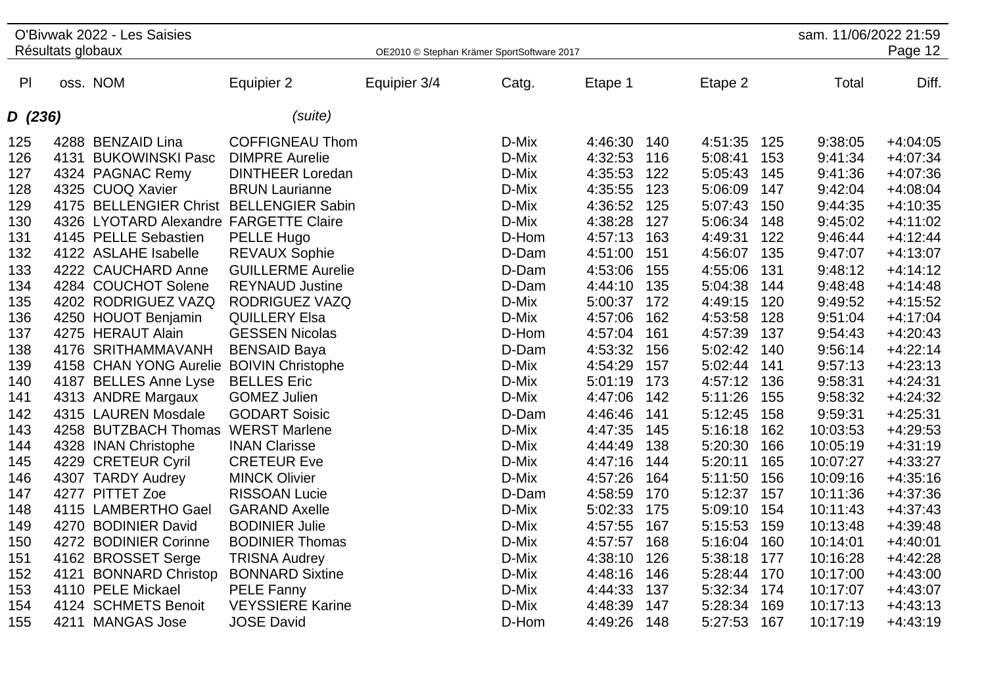|                |                   | O'Bivwak 2022 - Les Saisies             |                          |                                            |       |         |     |         |     | sam. 11/06/2022 21:59 |            |
|----------------|-------------------|-----------------------------------------|--------------------------|--------------------------------------------|-------|---------|-----|---------|-----|-----------------------|------------|
|                | Résultats globaux |                                         |                          | OE2010 © Stephan Krämer SportSoftware 2017 |       |         |     |         |     |                       | Page 12    |
|                |                   |                                         |                          |                                            |       |         |     |         |     |                       |            |
| P <sub>1</sub> |                   | oss. NOM                                | Equipier 2               | Equipier 3/4                               | Catg. | Etape 1 |     | Etape 2 |     | Total                 | Diff.      |
| D (236)        |                   |                                         | (suite)                  |                                            |       |         |     |         |     |                       |            |
| 125            |                   | 4288 BENZAID Lina                       | <b>COFFIGNEAU Thom</b>   |                                            | D-Mix | 4:46:30 | 140 | 4:51:35 | 125 | 9:38:05               | $+4:04:05$ |
| 126            | 4131              | <b>BUKOWINSKI Pasc</b>                  | <b>DIMPRE Aurelie</b>    |                                            | D-Mix | 4:32:53 | 116 | 5:08:41 | 153 | 9:41:34               | $+4:07:34$ |
| 127            |                   | 4324 PAGNAC Remy                        | <b>DINTHEER Loredan</b>  |                                            | D-Mix | 4:35:53 | 122 | 5:05:43 | 145 | 9:41:36               | $+4:07:36$ |
| 128            |                   | 4325 CUOQ Xavier                        | <b>BRUN Laurianne</b>    |                                            | D-Mix | 4:35:55 | 123 | 5:06:09 | 147 | 9:42:04               | $+4:08:04$ |
| 129            |                   | 4175 BELLENGIER Christ BELLENGIER Sabin |                          |                                            | D-Mix | 4:36:52 | 125 | 5:07:43 | 150 | 9:44:35               | $+4:10:35$ |
| 130            |                   | 4326 LYOTARD Alexandre FARGETTE Claire  |                          |                                            | D-Mix | 4:38:28 | 127 | 5:06:34 | 148 | 9:45:02               | $+4:11:02$ |
| 131            |                   | 4145 PELLE Sebastien                    | PELLE Hugo               |                                            | D-Hom | 4:57:13 | 163 | 4:49:31 | 122 | 9:46:44               | $+4:12:44$ |
| 132            |                   | 4122 ASLAHE Isabelle                    | <b>REVAUX Sophie</b>     |                                            | D-Dam | 4:51:00 | 151 | 4:56:07 | 135 | 9:47:07               | $+4:13:07$ |
| 133            |                   | 4222 CAUCHARD Anne                      | <b>GUILLERME Aurelie</b> |                                            | D-Dam | 4:53:06 | 155 | 4:55:06 | 131 | 9:48:12               | $+4:14:12$ |
| 134            |                   | 4284 COUCHOT Solene                     | <b>REYNAUD Justine</b>   |                                            | D-Dam | 4:44:10 | 135 | 5:04:38 | 144 | 9:48:48               | $+4:14:48$ |
| 135            |                   | 4202 RODRIGUEZ VAZQ                     | <b>RODRIGUEZ VAZQ</b>    |                                            | D-Mix | 5:00:37 | 172 | 4:49:15 | 120 | 9:49:52               | $+4:15:52$ |
| 136            |                   | 4250 HOUOT Benjamin                     | <b>QUILLERY Elsa</b>     |                                            | D-Mix | 4:57:06 | 162 | 4:53:58 | 128 | 9:51:04               | $+4:17:04$ |
| 137            |                   | 4275 HERAUT Alain                       | <b>GESSEN Nicolas</b>    |                                            | D-Hom | 4:57:04 | 161 | 4:57:39 | 137 | 9:54:43               | $+4:20:43$ |
| 138            |                   | 4176 SRITHAMMAVANH                      | <b>BENSAID Baya</b>      |                                            | D-Dam | 4:53:32 | 156 | 5:02:42 | 140 | 9:56:14               | $+4:22:14$ |
| 139            |                   | 4158 CHAN YONG Aurelie                  | <b>BOIVIN Christophe</b> |                                            | D-Mix | 4:54:29 | 157 | 5:02:44 | 141 | 9:57:13               | $+4:23:13$ |
| 140            |                   | 4187 BELLES Anne Lyse                   | <b>BELLES</b> Eric       |                                            | D-Mix | 5:01:19 | 173 | 4:57:12 | 136 | 9:58:31               | $+4:24:31$ |
| 141            |                   | 4313 ANDRE Margaux                      | <b>GOMEZ Julien</b>      |                                            | D-Mix | 4:47:06 | 142 | 5:11:26 | 155 | 9:58:32               | $+4:24:32$ |
| 142            |                   | 4315 LAUREN Mosdale                     | <b>GODART Soisic</b>     |                                            | D-Dam | 4:46:46 | 141 | 5:12:45 | 158 | 9:59:31               | $+4:25:31$ |
| 143            |                   | 4258 BUTZBACH Thomas                    | <b>WERST Marlene</b>     |                                            | D-Mix | 4:47:35 | 145 | 5:16:18 | 162 | 10:03:53              | $+4:29:53$ |
| 144            |                   | 4328 INAN Christophe                    | <b>INAN Clarisse</b>     |                                            | D-Mix | 4:44:49 | 138 | 5:20:30 | 166 | 10:05:19              | $+4:31:19$ |
| 145            |                   | 4229 CRETEUR Cyril                      | <b>CRETEUR Eve</b>       |                                            | D-Mix | 4:47:16 | 144 | 5:20:11 | 165 | 10:07:27              | $+4:33:27$ |
| 146            |                   | 4307 TARDY Audrey                       | <b>MINCK Olivier</b>     |                                            | D-Mix | 4:57:26 | 164 | 5:11:50 | 156 | 10:09:16              | $+4:35:16$ |
| 147            |                   | 4277 PITTET Zoe                         | <b>RISSOAN Lucie</b>     |                                            | D-Dam | 4:58:59 | 170 | 5:12:37 | 157 | 10:11:36              | $+4:37:36$ |
| 148            |                   | 4115 LAMBERTHO Gael                     | <b>GARAND Axelle</b>     |                                            | D-Mix | 5:02:33 | 175 | 5:09:10 | 154 | 10:11:43              | $+4:37:43$ |
| 149            |                   | 4270 BODINIER David                     | <b>BODINIER Julie</b>    |                                            | D-Mix | 4:57:55 | 167 | 5:15:53 | 159 | 10:13:48              | $+4:39:48$ |
| 150            |                   | 4272 BODINIER Corinne                   | <b>BODINIER Thomas</b>   |                                            | D-Mix | 4:57:57 | 168 | 5:16:04 | 160 | 10:14:01              | $+4:40:01$ |
| 151            |                   | 4162 BROSSET Serge                      | <b>TRISNA Audrey</b>     |                                            | D-Mix | 4:38:10 | 126 | 5:38:18 | 177 | 10:16:28              | $+4:42:28$ |
| 152            | 4121              | <b>BONNARD Christop</b>                 | <b>BONNARD Sixtine</b>   |                                            | D-Mix | 4:48:16 | 146 | 5:28:44 | 170 | 10:17:00              | $+4:43:00$ |
| 153            |                   | 4110 PELE Mickael                       | PELE Fanny               |                                            | D-Mix | 4:44:33 | 137 | 5:32:34 | 174 | 10:17:07              | $+4:43:07$ |
| 154            |                   | 4124 SCHMETS Benoit                     | <b>VEYSSIERE Karine</b>  |                                            | D-Mix | 4:48:39 | 147 | 5:28:34 | 169 | 10:17:13              | $+4:43:13$ |
| 155            | 4211              | <b>MANGAS Jose</b>                      | <b>JOSE David</b>        |                                            | D-Hom | 4:49:26 | 148 | 5:27:53 | 167 | 10:17:19              | $+4:43:19$ |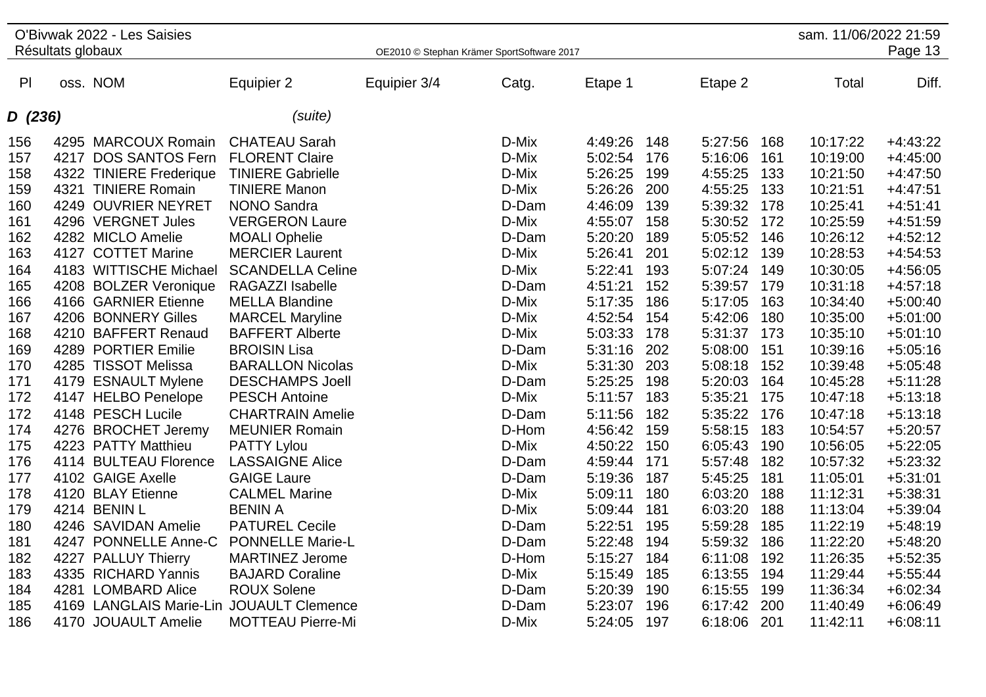|                |                   | O'Bivwak 2022 - Les Saisies              |                          |                                            |       |         |     |         |     | sam. 11/06/2022 21:59 |            |
|----------------|-------------------|------------------------------------------|--------------------------|--------------------------------------------|-------|---------|-----|---------|-----|-----------------------|------------|
|                | Résultats globaux |                                          |                          | OE2010 © Stephan Krämer SportSoftware 2017 |       |         |     |         |     |                       | Page 13    |
|                |                   |                                          |                          |                                            |       |         |     |         |     |                       |            |
| P <sub>l</sub> |                   | oss. NOM                                 | Equipier 2               | Equipier 3/4                               | Catg. | Etape 1 |     | Etape 2 |     | Total                 | Diff.      |
| D (236)        |                   |                                          | (suite)                  |                                            |       |         |     |         |     |                       |            |
|                |                   |                                          |                          |                                            |       |         |     |         |     |                       |            |
| 156            |                   | 4295 MARCOUX Romain                      | <b>CHATEAU Sarah</b>     |                                            | D-Mix | 4:49:26 | 148 | 5:27:56 | 168 | 10:17:22              | $+4:43:22$ |
| 157            |                   | 4217 DOS SANTOS Fern                     | <b>FLORENT Claire</b>    |                                            | D-Mix | 5:02:54 | 176 | 5:16:06 | 161 | 10:19:00              | $+4:45:00$ |
| 158            |                   | 4322 TINIERE Frederique                  | <b>TINIERE Gabrielle</b> |                                            | D-Mix | 5:26:25 | 199 | 4:55:25 | 133 | 10:21:50              | $+4:47:50$ |
| 159            |                   | 4321 TINIERE Romain                      | <b>TINIERE Manon</b>     |                                            | D-Mix | 5:26:26 | 200 | 4:55:25 | 133 | 10:21:51              | $+4:47:51$ |
| 160            |                   | 4249 OUVRIER NEYRET                      | <b>NONO Sandra</b>       |                                            | D-Dam | 4:46:09 | 139 | 5:39:32 | 178 | 10:25:41              | $+4:51:41$ |
| 161            |                   | 4296 VERGNET Jules                       | <b>VERGERON Laure</b>    |                                            | D-Mix | 4:55:07 | 158 | 5:30:52 | 172 | 10:25:59              | $+4:51:59$ |
| 162            |                   | 4282 MICLO Amelie                        | <b>MOALI Ophelie</b>     |                                            | D-Dam | 5:20:20 | 189 | 5:05:52 | 146 | 10:26:12              | $+4:52:12$ |
| 163            |                   | 4127 COTTET Marine                       | <b>MERCIER Laurent</b>   |                                            | D-Mix | 5:26:41 | 201 | 5:02:12 | 139 | 10:28:53              | $+4:54:53$ |
| 164            |                   | 4183 WITTISCHE Michael                   | <b>SCANDELLA Celine</b>  |                                            | D-Mix | 5:22:41 | 193 | 5:07:24 | 149 | 10:30:05              | $+4:56:05$ |
| 165            |                   | 4208 BOLZER Veronique                    | RAGAZZI Isabelle         |                                            | D-Dam | 4:51:21 | 152 | 5:39:57 | 179 | 10:31:18              | $+4:57:18$ |
| 166            |                   | 4166 GARNIER Etienne                     | <b>MELLA Blandine</b>    |                                            | D-Mix | 5:17:35 | 186 | 5:17:05 | 163 | 10:34:40              | $+5:00:40$ |
| 167            |                   | 4206 BONNERY Gilles                      | <b>MARCEL Maryline</b>   |                                            | D-Mix | 4:52:54 | 154 | 5:42:06 | 180 | 10:35:00              | $+5:01:00$ |
| 168            |                   | 4210 BAFFERT Renaud                      | <b>BAFFERT Alberte</b>   |                                            | D-Mix | 5:03:33 | 178 | 5:31:37 | 173 | 10:35:10              | $+5:01:10$ |
| 169            |                   | 4289 PORTIER Emilie                      | <b>BROISIN Lisa</b>      |                                            | D-Dam | 5:31:16 | 202 | 5:08:00 | 151 | 10:39:16              | $+5:05:16$ |
| 170            |                   | 4285 TISSOT Melissa                      | <b>BARALLON Nicolas</b>  |                                            | D-Mix | 5:31:30 | 203 | 5:08:18 | 152 | 10:39:48              | $+5:05:48$ |
| 171            |                   | 4179 ESNAULT Mylene                      | <b>DESCHAMPS Joell</b>   |                                            | D-Dam | 5:25:25 | 198 | 5:20:03 | 164 | 10:45:28              | $+5:11:28$ |
| 172            |                   | 4147 HELBO Penelope                      | <b>PESCH Antoine</b>     |                                            | D-Mix | 5:11:57 | 183 | 5:35:21 | 175 | 10:47:18              | $+5:13:18$ |
| 172            |                   | 4148 PESCH Lucile                        | <b>CHARTRAIN Amelie</b>  |                                            | D-Dam | 5:11:56 | 182 | 5:35:22 | 176 | 10:47:18              | $+5:13:18$ |
| 174            |                   | 4276 BROCHET Jeremy                      | <b>MEUNIER Romain</b>    |                                            | D-Hom | 4:56:42 | 159 | 5:58:15 | 183 | 10:54:57              | $+5:20:57$ |
| 175            |                   | 4223 PATTY Matthieu                      | <b>PATTY Lylou</b>       |                                            | D-Mix | 4:50:22 | 150 | 6:05:43 | 190 | 10:56:05              | $+5:22:05$ |
| 176            |                   | 4114 BULTEAU Florence                    | <b>LASSAIGNE Alice</b>   |                                            | D-Dam | 4:59:44 | 171 | 5:57:48 | 182 | 10:57:32              | $+5:23:32$ |
| 177            |                   | 4102 GAIGE Axelle                        | <b>GAIGE Laure</b>       |                                            | D-Dam | 5:19:36 | 187 | 5:45:25 | 181 | 11:05:01              | $+5:31:01$ |
| 178            |                   | 4120 BLAY Etienne                        | <b>CALMEL Marine</b>     |                                            | D-Mix | 5:09:11 | 180 | 6:03:20 | 188 | 11:12:31              | $+5:38:31$ |
| 179            |                   | 4214 BENIN L                             | <b>BENIN A</b>           |                                            | D-Mix | 5:09:44 | 181 | 6:03:20 | 188 | 11:13:04              | $+5:39:04$ |
| 180            |                   | 4246 SAVIDAN Amelie                      | <b>PATUREL Cecile</b>    |                                            | D-Dam | 5:22:51 | 195 | 5:59:28 | 185 | 11:22:19              | $+5:48:19$ |
| 181            |                   | 4247 PONNELLE Anne-C                     | <b>PONNELLE Marie-L</b>  |                                            | D-Dam | 5:22:48 | 194 | 5:59:32 | 186 | 11:22:20              | $+5:48:20$ |
| 182            |                   | 4227 PALLUY Thierry                      | <b>MARTINEZ Jerome</b>   |                                            | D-Hom | 5:15:27 | 184 | 6:11:08 | 192 | 11:26:35              | $+5:52:35$ |
| 183            |                   | 4335 RICHARD Yannis                      | <b>BAJARD Coraline</b>   |                                            | D-Mix | 5:15:49 | 185 | 6:13:55 | 194 | 11:29:44              | $+5:55:44$ |
| 184            |                   | 4281 LOMBARD Alice                       | <b>ROUX Solene</b>       |                                            | D-Dam | 5:20:39 | 190 | 6:15:55 | 199 | 11:36:34              | $+6:02:34$ |
| 185            |                   | 4169 LANGLAIS Marie-Lin JOUAULT Clemence |                          |                                            | D-Dam | 5:23:07 | 196 | 6:17:42 | 200 | 11:40:49              | $+6:06:49$ |
| 186            |                   | 4170 JOUAULT Amelie                      | <b>MOTTEAU Pierre-Mi</b> |                                            | D-Mix | 5:24:05 | 197 | 6:18:06 | 201 | 11:42:11              | $+6:08:11$ |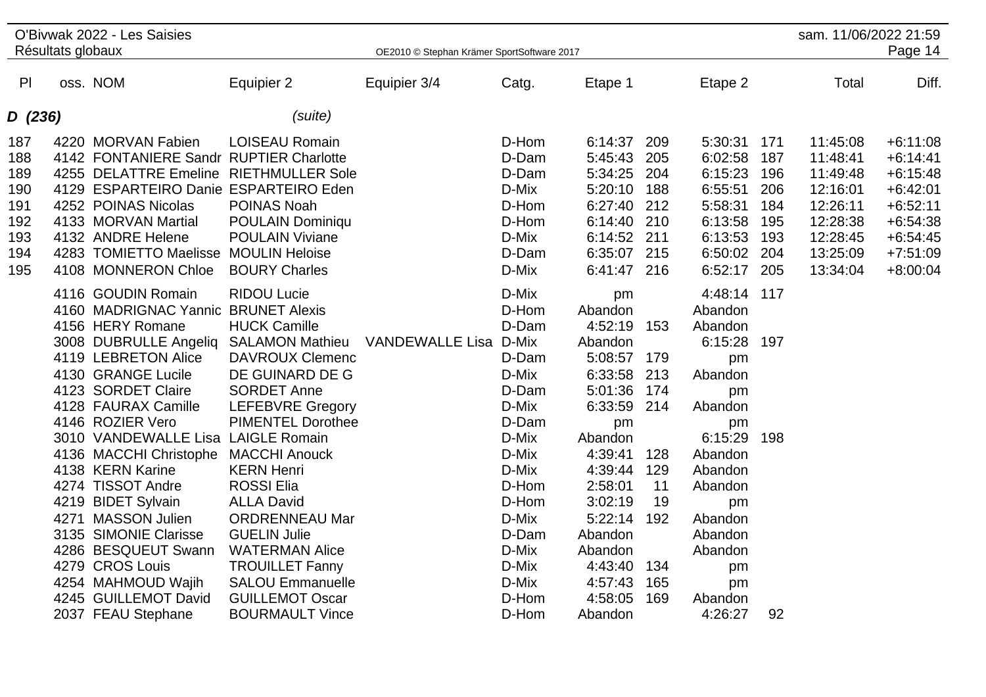| Résultats globaux                                           | O'Bivwak 2022 - Les Saisies                                                                                                                                                                                                                                                                                                                                                                                                                                                                              |                                                                                                                                                                                                                                                                                                                                                                                                                      | OE2010 © Stephan Krämer SportSoftware 2017 |                                                                                                                                                                         |                                                                                                                                                                                                                    |                                                                                |                                                                                                                                                                                                    |                                                             | sam. 11/06/2022 21:59                                                                                    | Page 14                                                                                                                    |
|-------------------------------------------------------------|----------------------------------------------------------------------------------------------------------------------------------------------------------------------------------------------------------------------------------------------------------------------------------------------------------------------------------------------------------------------------------------------------------------------------------------------------------------------------------------------------------|----------------------------------------------------------------------------------------------------------------------------------------------------------------------------------------------------------------------------------------------------------------------------------------------------------------------------------------------------------------------------------------------------------------------|--------------------------------------------|-------------------------------------------------------------------------------------------------------------------------------------------------------------------------|--------------------------------------------------------------------------------------------------------------------------------------------------------------------------------------------------------------------|--------------------------------------------------------------------------------|----------------------------------------------------------------------------------------------------------------------------------------------------------------------------------------------------|-------------------------------------------------------------|----------------------------------------------------------------------------------------------------------|----------------------------------------------------------------------------------------------------------------------------|
| P <sub>l</sub>                                              | oss. NOM                                                                                                                                                                                                                                                                                                                                                                                                                                                                                                 | Equipier 2                                                                                                                                                                                                                                                                                                                                                                                                           | Equipier 3/4                               | Catg.                                                                                                                                                                   | Etape 1                                                                                                                                                                                                            |                                                                                | Etape 2                                                                                                                                                                                            |                                                             | Total                                                                                                    | Diff.                                                                                                                      |
| D (236)                                                     |                                                                                                                                                                                                                                                                                                                                                                                                                                                                                                          | (suite)                                                                                                                                                                                                                                                                                                                                                                                                              |                                            |                                                                                                                                                                         |                                                                                                                                                                                                                    |                                                                                |                                                                                                                                                                                                    |                                                             |                                                                                                          |                                                                                                                            |
| 187<br>188<br>189<br>190<br>191<br>192<br>193<br>194<br>195 | 4220 MORVAN Fabien<br>4142 FONTANIERE Sandr RUPTIER Charlotte<br>4255 DELATTRE Emeline RIETHMULLER Sole<br>4129 ESPARTEIRO Danie ESPARTEIRO Eden<br>4252 POINAS Nicolas<br>4133 MORVAN Martial<br>4132 ANDRE Helene<br>4283 TOMIETTO Maelisse MOULIN Heloise<br>4108 MONNERON Chloe                                                                                                                                                                                                                      | <b>LOISEAU Romain</b><br>POINAS Noah<br>POULAIN Dominiqu<br><b>POULAIN Viviane</b><br><b>BOURY Charles</b>                                                                                                                                                                                                                                                                                                           |                                            | D-Hom<br>D-Dam<br>D-Dam<br>D-Mix<br>D-Hom<br>D-Hom<br>D-Mix<br>D-Dam<br>D-Mix                                                                                           | 6:14:37 209<br>5:45:43<br>5:34:25<br>5:20:10<br>6:27:40<br>6:14:40 210<br>6:14:52 211<br>6:35:07 215<br>6:41:47 216                                                                                                | 205<br>204<br>188<br>212                                                       | 5:30:31<br>6:02:58<br>6:15:23<br>6:55:51<br>5:58:31<br>6:13:58<br>6:13:53<br>6:50:02<br>6:52:17                                                                                                    | 171<br>187<br>196<br>206<br>184<br>195<br>193<br>204<br>205 | 11:45:08<br>11:48:41<br>11:49:48<br>12:16:01<br>12:26:11<br>12:28:38<br>12:28:45<br>13:25:09<br>13:34:04 | $+6:11:08$<br>$+6:14:41$<br>$+6:15:48$<br>$+6:42:01$<br>$+6:52:11$<br>$+6:54:38$<br>$+6:54:45$<br>$+7:51:09$<br>$+8:00:04$ |
|                                                             | 4116 GOUDIN Romain<br>4160 MADRIGNAC Yannic BRUNET Alexis<br>4156 HERY Romane<br>3008 DUBRULLE Angeliq<br>4119 LEBRETON Alice<br>4130 GRANGE Lucile<br>4123 SORDET Claire<br>4128 FAURAX Camille<br>4146 ROZIER Vero<br>3010 VANDEWALLE Lisa LAIGLE Romain<br>4136 MACCHI Christophe MACCHI Anouck<br>4138 KERN Karine<br>4274 TISSOT Andre<br>4219 BIDET Sylvain<br>4271 MASSON Julien<br>3135 SIMONIE Clarisse<br>4286 BESQUEUT Swann<br>4279 CROS Louis<br>4254 MAHMOUD Wajih<br>4245 GUILLEMOT David | <b>RIDOU Lucie</b><br><b>HUCK Camille</b><br><b>SALAMON Mathieu</b><br><b>DAVROUX Clemenc</b><br>DE GUINARD DE G<br><b>SORDET Anne</b><br><b>LEFEBVRE Gregory</b><br><b>PIMENTEL Dorothee</b><br><b>KERN Henri</b><br><b>ROSSI Elia</b><br><b>ALLA David</b><br><b>ORDRENNEAU Mar</b><br><b>GUELIN Julie</b><br><b>WATERMAN Alice</b><br><b>TROUILLET Fanny</b><br><b>SALOU Emmanuelle</b><br><b>GUILLEMOT Oscar</b> | VANDEWALLE Lisa D-Mix                      | D-Mix<br>D-Hom<br>D-Dam<br>D-Dam<br>D-Mix<br>D-Dam<br>D-Mix<br>D-Dam<br>D-Mix<br>D-Mix<br>D-Mix<br>D-Hom<br>D-Hom<br>D-Mix<br>D-Dam<br>D-Mix<br>D-Mix<br>D-Mix<br>D-Hom | pm<br>Abandon<br>4:52:19<br>Abandon<br>5:08:57 179<br>6:33:58<br>5:01:36<br>6:33:59<br>pm<br>Abandon<br>4:39:41<br>4:39:44<br>2:58:01<br>3:02:19<br>5:22:14<br>Abandon<br>Abandon<br>4:43:40<br>4:57:43<br>4:58:05 | 153<br>213<br>174<br>214<br>128<br>129<br>11<br>19<br>192<br>134<br>165<br>169 | 4:48:14 117<br>Abandon<br>Abandon<br>6:15:28 197<br>pm<br>Abandon<br>pm<br>Abandon<br>pm<br>6:15:29<br>Abandon<br>Abandon<br>Abandon<br>pm<br>Abandon<br>Abandon<br>Abandon<br>pm<br>pm<br>Abandon | 198                                                         |                                                                                                          |                                                                                                                            |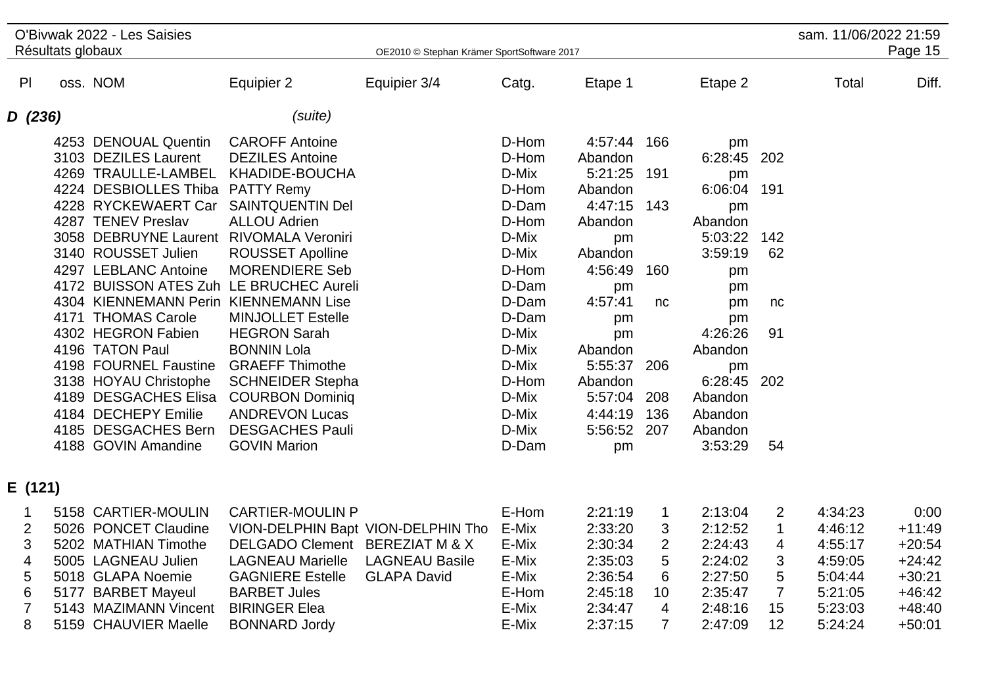| O'Bivwak 2022 - Les Saisies<br>Résultats globaux |  |                                                                                                                                                                                                                                                                                                                                                                                                                                                                          |                                                                                                                                                                                                                                                                                                                                                                                                                                                                                                       |                                             | OE2010 © Stephan Krämer SportSoftware 2017                                                                                                                                       |                                                                                                                                                                                                     |                                                              |                                                                                                                                                                                      |                                                  | sam. 11/06/2022 21:59                                                                | Page 15                                                                                  |
|--------------------------------------------------|--|--------------------------------------------------------------------------------------------------------------------------------------------------------------------------------------------------------------------------------------------------------------------------------------------------------------------------------------------------------------------------------------------------------------------------------------------------------------------------|-------------------------------------------------------------------------------------------------------------------------------------------------------------------------------------------------------------------------------------------------------------------------------------------------------------------------------------------------------------------------------------------------------------------------------------------------------------------------------------------------------|---------------------------------------------|----------------------------------------------------------------------------------------------------------------------------------------------------------------------------------|-----------------------------------------------------------------------------------------------------------------------------------------------------------------------------------------------------|--------------------------------------------------------------|--------------------------------------------------------------------------------------------------------------------------------------------------------------------------------------|--------------------------------------------------|--------------------------------------------------------------------------------------|------------------------------------------------------------------------------------------|
| PI                                               |  | oss. NOM                                                                                                                                                                                                                                                                                                                                                                                                                                                                 | Equipier 2                                                                                                                                                                                                                                                                                                                                                                                                                                                                                            | Equipier 3/4                                | Catg.                                                                                                                                                                            | Etape 1                                                                                                                                                                                             |                                                              | Etape 2                                                                                                                                                                              |                                                  | Total                                                                                | Diff.                                                                                    |
| D (236)                                          |  |                                                                                                                                                                                                                                                                                                                                                                                                                                                                          | (suite)                                                                                                                                                                                                                                                                                                                                                                                                                                                                                               |                                             |                                                                                                                                                                                  |                                                                                                                                                                                                     |                                                              |                                                                                                                                                                                      |                                                  |                                                                                      |                                                                                          |
|                                                  |  | 4253 DENOUAL Quentin<br>3103 DEZILES Laurent<br>4269 TRAULLE-LAMBEL<br>4224 DESBIOLLES Thiba<br>4228 RYCKEWAERT Car<br>4287 TENEV Preslav<br>3058 DEBRUYNE Laurent<br>3140 ROUSSET Julien<br>4297 LEBLANC Antoine<br>4304 KIENNEMANN Perin KIENNEMANN Lise<br>4171 THOMAS Carole<br>4302 HEGRON Fabien<br>4196 TATON Paul<br>4198 FOURNEL Faustine<br>3138 HOYAU Christophe<br>4189 DESGACHES Elisa<br>4184 DECHEPY Emilie<br>4185 DESGACHES Bern<br>4188 GOVIN Amandine | <b>CAROFF Antoine</b><br><b>DEZILES Antoine</b><br>KHADIDE-BOUCHA<br><b>PATTY Remy</b><br><b>SAINTQUENTIN Del</b><br><b>ALLOU Adrien</b><br><b>RIVOMALA Veroniri</b><br><b>ROUSSET Apolline</b><br><b>MORENDIERE Seb</b><br>4172 BUISSON ATES Zuh LE BRUCHEC Aureli<br><b>MINJOLLET Estelle</b><br><b>HEGRON Sarah</b><br><b>BONNIN Lola</b><br><b>GRAEFF Thimothe</b><br><b>SCHNEIDER Stepha</b><br><b>COURBON Dominiq</b><br><b>ANDREVON Lucas</b><br><b>DESGACHES Pauli</b><br><b>GOVIN Marion</b> |                                             | D-Hom<br>D-Hom<br>D-Mix<br>D-Hom<br>D-Dam<br>D-Hom<br>D-Mix<br>D-Mix<br>D-Hom<br>D-Dam<br>D-Dam<br>D-Dam<br>D-Mix<br>D-Mix<br>D-Mix<br>D-Hom<br>D-Mix<br>D-Mix<br>D-Mix<br>D-Dam | 4:57:44<br>Abandon<br>5:21:25<br>Abandon<br>4:47:15 143<br>Abandon<br>pm<br>Abandon<br>4:56:49<br>pm<br>4:57:41<br>pm<br>pm<br>Abandon<br>5:55:37<br>Abandon<br>5:57:04<br>4:44:19<br>5:56:52<br>pm | 166<br>191<br>160<br>nc<br>206<br>208<br>136<br>207          | pm<br>6:28:45<br>pm<br>6:06:04 191<br>pm<br>Abandon<br>5:03:22<br>3:59:19<br>pm<br>pm<br>pm<br>pm<br>4:26:26<br>Abandon<br>pm<br>6:28:45<br>Abandon<br>Abandon<br>Abandon<br>3:53:29 | 202<br>142<br>62<br>nc<br>91<br>202<br>54        |                                                                                      |                                                                                          |
| E (121)                                          |  |                                                                                                                                                                                                                                                                                                                                                                                                                                                                          |                                                                                                                                                                                                                                                                                                                                                                                                                                                                                                       |                                             |                                                                                                                                                                                  |                                                                                                                                                                                                     |                                                              |                                                                                                                                                                                      |                                                  |                                                                                      |                                                                                          |
| 2<br>3<br>4<br>5<br>6<br>8                       |  | 5158 CARTIER-MOULIN<br>5026 PONCET Claudine<br>5202 MATHIAN Timothe<br>5005 LAGNEAU Julien<br>5018 GLAPA Noemie<br>5177 BARBET Mayeul<br>5143 MAZIMANN Vincent<br>5159 CHAUVIER Maelle                                                                                                                                                                                                                                                                                   | <b>CARTIER-MOULIN P</b><br>VION-DELPHIN Bapt VION-DELPHIN Tho<br>DELGADO Clement BEREZIAT M & X<br><b>LAGNEAU Marielle</b><br><b>GAGNIERE Estelle</b><br><b>BARBET Jules</b><br><b>BIRINGER Elea</b><br><b>BONNARD Jordy</b>                                                                                                                                                                                                                                                                          | <b>LAGNEAU Basile</b><br><b>GLAPA David</b> | E-Hom<br>E-Mix<br>E-Mix<br>E-Mix<br>E-Mix<br>E-Hom<br>E-Mix<br>E-Mix                                                                                                             | 2:21:19<br>2:33:20<br>2:30:34<br>2:35:03<br>2:36:54<br>2:45:18<br>2:34:47<br>2:37:15                                                                                                                | $\mathbf 1$<br>3<br>$\overline{2}$<br>5<br>6<br>10<br>4<br>7 | 2:13:04<br>2:12:52<br>2:24:43<br>2:24:02<br>2:27:50<br>2:35:47<br>2:48:16<br>2:47:09                                                                                                 | 2<br>$\mathbf 1$<br>4<br>3<br>5<br>7<br>15<br>12 | 4:34:23<br>4:46:12<br>4:55:17<br>4:59:05<br>5:04:44<br>5:21:05<br>5:23:03<br>5:24:24 | 0:00<br>$+11:49$<br>$+20:54$<br>$+24:42$<br>$+30:21$<br>$+46:42$<br>$+48:40$<br>$+50:01$ |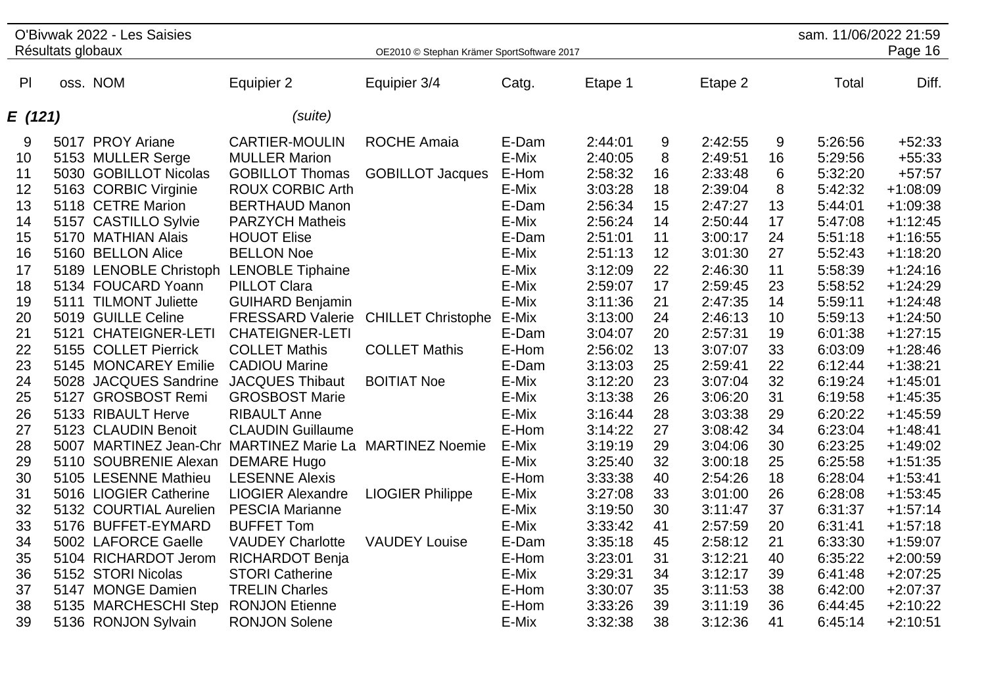| Résultats globaux<br>OE2010 © Stephan Krämer SportSoftware 2017<br>Diff.<br>P<br>oss. NOM<br>Total<br>Equipier 2<br>Equipier 3/4<br>Catg.<br>Etape 1<br>Etape 2<br>(suite)<br>E (121)<br>5017 PROY Ariane<br><b>CARTIER-MOULIN</b><br><b>ROCHE Amaia</b><br>E-Dam<br>$+52:33$<br>9<br>2:44:01<br>9<br>2:42:55<br>9<br>5:26:56<br>5153 MULLER Serge<br>E-Mix<br>2:40:05<br>8<br>5:29:56<br>$+55:33$<br><b>MULLER Marion</b><br>2:49:51<br>16<br>10<br>5030 GOBILLOT Nicolas<br><b>GOBILLOT Jacques</b><br>E-Hom<br>2:58:32<br>2:33:48<br>5:32:20<br>$+57:57$<br><b>GOBILLOT Thomas</b><br>16<br>6<br>11<br>3:03:28<br>$+1:08:09$<br>12<br>5163 CORBIC Virginie<br><b>ROUX CORBIC Arth</b><br>E-Mix<br>18<br>2:39:04<br>8<br>5:42:32<br>13<br>5118 CETRE Marion<br><b>BERTHAUD Manon</b><br>E-Dam<br>2:56:34<br>2:47:27<br>5:44:01<br>$+1:09:38$<br>15<br>13<br>5157 CASTILLO Sylvie<br>E-Mix<br>2:56:24<br>$+1:12:45$<br>14<br><b>PARZYCH Matheis</b><br>14<br>2:50:44<br>17<br>5:47:08<br>15<br>5170 MATHIAN Alais<br><b>HOUOT Elise</b><br>E-Dam<br>2:51:01<br>11<br>3:00:17<br>24<br>5:51:18<br>$+1:16:55$<br>16<br>5160 BELLON Alice<br><b>BELLON Noe</b><br>E-Mix<br>2:51:13<br>12<br>5:52:43<br>3:01:30<br>27<br>17<br>5189 LENOBLE Christoph<br><b>LENOBLE Tiphaine</b><br>E-Mix<br>3:12:09<br>22<br>2:46:30<br>11<br>5:58:39 | O'Bivwak 2022 - Les Saisies |  |  | sam. 11/06/2022 21:59 |  |  |            |
|-------------------------------------------------------------------------------------------------------------------------------------------------------------------------------------------------------------------------------------------------------------------------------------------------------------------------------------------------------------------------------------------------------------------------------------------------------------------------------------------------------------------------------------------------------------------------------------------------------------------------------------------------------------------------------------------------------------------------------------------------------------------------------------------------------------------------------------------------------------------------------------------------------------------------------------------------------------------------------------------------------------------------------------------------------------------------------------------------------------------------------------------------------------------------------------------------------------------------------------------------------------------------------------------------------------------------------------|-----------------------------|--|--|-----------------------|--|--|------------|
|                                                                                                                                                                                                                                                                                                                                                                                                                                                                                                                                                                                                                                                                                                                                                                                                                                                                                                                                                                                                                                                                                                                                                                                                                                                                                                                                     |                             |  |  |                       |  |  | Page 16    |
|                                                                                                                                                                                                                                                                                                                                                                                                                                                                                                                                                                                                                                                                                                                                                                                                                                                                                                                                                                                                                                                                                                                                                                                                                                                                                                                                     |                             |  |  |                       |  |  |            |
|                                                                                                                                                                                                                                                                                                                                                                                                                                                                                                                                                                                                                                                                                                                                                                                                                                                                                                                                                                                                                                                                                                                                                                                                                                                                                                                                     |                             |  |  |                       |  |  |            |
|                                                                                                                                                                                                                                                                                                                                                                                                                                                                                                                                                                                                                                                                                                                                                                                                                                                                                                                                                                                                                                                                                                                                                                                                                                                                                                                                     |                             |  |  |                       |  |  |            |
|                                                                                                                                                                                                                                                                                                                                                                                                                                                                                                                                                                                                                                                                                                                                                                                                                                                                                                                                                                                                                                                                                                                                                                                                                                                                                                                                     |                             |  |  |                       |  |  |            |
|                                                                                                                                                                                                                                                                                                                                                                                                                                                                                                                                                                                                                                                                                                                                                                                                                                                                                                                                                                                                                                                                                                                                                                                                                                                                                                                                     |                             |  |  |                       |  |  |            |
|                                                                                                                                                                                                                                                                                                                                                                                                                                                                                                                                                                                                                                                                                                                                                                                                                                                                                                                                                                                                                                                                                                                                                                                                                                                                                                                                     |                             |  |  |                       |  |  |            |
|                                                                                                                                                                                                                                                                                                                                                                                                                                                                                                                                                                                                                                                                                                                                                                                                                                                                                                                                                                                                                                                                                                                                                                                                                                                                                                                                     |                             |  |  |                       |  |  |            |
|                                                                                                                                                                                                                                                                                                                                                                                                                                                                                                                                                                                                                                                                                                                                                                                                                                                                                                                                                                                                                                                                                                                                                                                                                                                                                                                                     |                             |  |  |                       |  |  |            |
|                                                                                                                                                                                                                                                                                                                                                                                                                                                                                                                                                                                                                                                                                                                                                                                                                                                                                                                                                                                                                                                                                                                                                                                                                                                                                                                                     |                             |  |  |                       |  |  |            |
|                                                                                                                                                                                                                                                                                                                                                                                                                                                                                                                                                                                                                                                                                                                                                                                                                                                                                                                                                                                                                                                                                                                                                                                                                                                                                                                                     |                             |  |  |                       |  |  |            |
|                                                                                                                                                                                                                                                                                                                                                                                                                                                                                                                                                                                                                                                                                                                                                                                                                                                                                                                                                                                                                                                                                                                                                                                                                                                                                                                                     |                             |  |  |                       |  |  |            |
|                                                                                                                                                                                                                                                                                                                                                                                                                                                                                                                                                                                                                                                                                                                                                                                                                                                                                                                                                                                                                                                                                                                                                                                                                                                                                                                                     |                             |  |  |                       |  |  | $+1:18:20$ |
|                                                                                                                                                                                                                                                                                                                                                                                                                                                                                                                                                                                                                                                                                                                                                                                                                                                                                                                                                                                                                                                                                                                                                                                                                                                                                                                                     |                             |  |  |                       |  |  | $+1:24:16$ |
| 18<br>5134 FOUCARD Yoann<br><b>PILLOT Clara</b><br>E-Mix<br>2:59:07<br>17<br>2:59:45<br>23<br>5:58:52                                                                                                                                                                                                                                                                                                                                                                                                                                                                                                                                                                                                                                                                                                                                                                                                                                                                                                                                                                                                                                                                                                                                                                                                                               |                             |  |  |                       |  |  | $+1:24:29$ |
| 19<br>5111 TILMONT Juliette<br><b>GUIHARD Benjamin</b><br>E-Mix<br>3:11:36<br>21<br>5:59:11<br>2:47:35<br>14                                                                                                                                                                                                                                                                                                                                                                                                                                                                                                                                                                                                                                                                                                                                                                                                                                                                                                                                                                                                                                                                                                                                                                                                                        |                             |  |  |                       |  |  | $+1:24:48$ |
| <b>CHILLET Christophe</b><br>20<br>5019 GUILLE Celine<br><b>FRESSARD Valerie</b><br>E-Mix<br>3:13:00<br>2:46:13<br>5:59:13<br>24<br>10                                                                                                                                                                                                                                                                                                                                                                                                                                                                                                                                                                                                                                                                                                                                                                                                                                                                                                                                                                                                                                                                                                                                                                                              |                             |  |  |                       |  |  | $+1:24:50$ |
| 5121 CHATEIGNER-LETI<br><b>CHATEIGNER-LETI</b><br>20<br>19<br>6:01:38<br>21<br>E-Dam<br>3:04:07<br>2:57:31                                                                                                                                                                                                                                                                                                                                                                                                                                                                                                                                                                                                                                                                                                                                                                                                                                                                                                                                                                                                                                                                                                                                                                                                                          |                             |  |  |                       |  |  | $+1:27:15$ |
| 5155 COLLET Pierrick<br><b>COLLET Mathis</b><br>E-Hom<br>22<br><b>COLLET Mathis</b><br>2:56:02<br>13<br>3:07:07<br>33<br>6:03:09                                                                                                                                                                                                                                                                                                                                                                                                                                                                                                                                                                                                                                                                                                                                                                                                                                                                                                                                                                                                                                                                                                                                                                                                    |                             |  |  |                       |  |  | $+1:28:46$ |
| 23<br>5145 MONCAREY Emilie<br><b>CADIOU Marine</b><br>E-Dam<br>3:13:03<br>25<br>2:59:41<br>22<br>6:12:44                                                                                                                                                                                                                                                                                                                                                                                                                                                                                                                                                                                                                                                                                                                                                                                                                                                                                                                                                                                                                                                                                                                                                                                                                            |                             |  |  |                       |  |  | $+1:38:21$ |
| 24<br><b>BOITIAT Noe</b><br>E-Mix<br>3:12:20<br>23<br>3:07:04<br>32<br>5028 JACQUES Sandrine<br><b>JACQUES Thibaut</b><br>6:19:24                                                                                                                                                                                                                                                                                                                                                                                                                                                                                                                                                                                                                                                                                                                                                                                                                                                                                                                                                                                                                                                                                                                                                                                                   |                             |  |  |                       |  |  | $+1:45:01$ |
| E-Mix<br>3:13:38<br>26<br>25<br>5127 GROSBOST Remi<br><b>GROSBOST Marie</b><br>3:06:20<br>31<br>6:19:58                                                                                                                                                                                                                                                                                                                                                                                                                                                                                                                                                                                                                                                                                                                                                                                                                                                                                                                                                                                                                                                                                                                                                                                                                             |                             |  |  |                       |  |  | $+1:45:35$ |
| E-Mix<br>5133 RIBAULT Herve<br><b>RIBAULT Anne</b><br>28<br>6:20:22<br>26<br>3:16:44<br>3:03:38<br>29                                                                                                                                                                                                                                                                                                                                                                                                                                                                                                                                                                                                                                                                                                                                                                                                                                                                                                                                                                                                                                                                                                                                                                                                                               |                             |  |  |                       |  |  | $+1:45:59$ |
| 5123 CLAUDIN Benoit<br><b>CLAUDIN Guillaume</b><br>E-Hom<br>27<br>34<br>6:23:04<br>27<br>3:14:22<br>3:08:42                                                                                                                                                                                                                                                                                                                                                                                                                                                                                                                                                                                                                                                                                                                                                                                                                                                                                                                                                                                                                                                                                                                                                                                                                         |                             |  |  |                       |  |  | $+1:48:41$ |
| <b>MARTINEZ Marie La MARTINEZ Noemie</b><br>30<br>28<br>5007 MARTINEZ Jean-Chr<br>E-Mix<br>3:19:19<br>29<br>3:04:06<br>6:23:25                                                                                                                                                                                                                                                                                                                                                                                                                                                                                                                                                                                                                                                                                                                                                                                                                                                                                                                                                                                                                                                                                                                                                                                                      |                             |  |  |                       |  |  | $+1:49:02$ |
| 5110 SOUBRENIE Alexan<br><b>DEMARE Hugo</b><br>E-Mix<br>3:25:40<br>32<br>3:00:18<br>25<br>6:25:58<br>29                                                                                                                                                                                                                                                                                                                                                                                                                                                                                                                                                                                                                                                                                                                                                                                                                                                                                                                                                                                                                                                                                                                                                                                                                             |                             |  |  |                       |  |  | $+1:51:35$ |
| 5105 LESENNE Mathieu<br><b>LESENNE Alexis</b><br>E-Hom<br>3:33:38<br>40<br>2:54:26<br>6:28:04<br>30<br>18                                                                                                                                                                                                                                                                                                                                                                                                                                                                                                                                                                                                                                                                                                                                                                                                                                                                                                                                                                                                                                                                                                                                                                                                                           |                             |  |  |                       |  |  | $+1:53:41$ |
| 3:27:08<br>26<br>5016 LIOGIER Catherine<br><b>LIOGIER Alexandre</b><br><b>LIOGIER Philippe</b><br>E-Mix<br>33<br>3:01:00<br>6:28:08<br>31                                                                                                                                                                                                                                                                                                                                                                                                                                                                                                                                                                                                                                                                                                                                                                                                                                                                                                                                                                                                                                                                                                                                                                                           |                             |  |  |                       |  |  | $+1:53:45$ |
| E-Mix<br>5132 COURTIAL Aurelien<br><b>PESCIA Marianne</b><br>3:19:50<br>30<br>3:11:47<br>37<br>6:31:37<br>32                                                                                                                                                                                                                                                                                                                                                                                                                                                                                                                                                                                                                                                                                                                                                                                                                                                                                                                                                                                                                                                                                                                                                                                                                        |                             |  |  |                       |  |  | $+1:57:14$ |
| 33<br>5176 BUFFET-EYMARD<br><b>BUFFET Tom</b><br>E-Mix<br>3:33:42<br>41<br>20<br>6:31:41<br>2:57:59                                                                                                                                                                                                                                                                                                                                                                                                                                                                                                                                                                                                                                                                                                                                                                                                                                                                                                                                                                                                                                                                                                                                                                                                                                 |                             |  |  |                       |  |  | $+1:57:18$ |
| 5002 LAFORCE Gaelle<br><b>VAUDEY Charlotte</b><br><b>VAUDEY Louise</b><br>E-Dam<br>3:35:18<br>2:58:12<br>21<br>6:33:30<br>34<br>45                                                                                                                                                                                                                                                                                                                                                                                                                                                                                                                                                                                                                                                                                                                                                                                                                                                                                                                                                                                                                                                                                                                                                                                                  |                             |  |  |                       |  |  | $+1:59:07$ |
| 5104 RICHARDOT Jerom<br>RICHARDOT Benja<br>E-Hom<br>3:23:01<br>31<br>3:12:21<br>40<br>6:35:22<br>35                                                                                                                                                                                                                                                                                                                                                                                                                                                                                                                                                                                                                                                                                                                                                                                                                                                                                                                                                                                                                                                                                                                                                                                                                                 |                             |  |  |                       |  |  | $+2:00:59$ |
| 5152 STORI Nicolas<br><b>STORI Catherine</b><br>E-Mix<br>3:29:31<br>3:12:17<br>36<br>34<br>39<br>6:41:48                                                                                                                                                                                                                                                                                                                                                                                                                                                                                                                                                                                                                                                                                                                                                                                                                                                                                                                                                                                                                                                                                                                                                                                                                            |                             |  |  |                       |  |  | $+2:07:25$ |
| 5147 MONGE Damien<br><b>TRELIN Charles</b><br>E-Hom<br>6:42:00<br>3:30:07<br>35<br>3:11:53<br>38<br>37                                                                                                                                                                                                                                                                                                                                                                                                                                                                                                                                                                                                                                                                                                                                                                                                                                                                                                                                                                                                                                                                                                                                                                                                                              |                             |  |  |                       |  |  | $+2:07:37$ |
| 38<br>5135 MARCHESCHI Step<br><b>RONJON Etienne</b><br>E-Hom<br>3:33:26<br>39<br>3:11:19<br>36<br>6:44:45                                                                                                                                                                                                                                                                                                                                                                                                                                                                                                                                                                                                                                                                                                                                                                                                                                                                                                                                                                                                                                                                                                                                                                                                                           |                             |  |  |                       |  |  | $+2:10:22$ |
| 39<br>5136 RONJON Sylvain<br><b>RONJON Solene</b><br>E-Mix<br>3:32:38<br>38<br>3:12:36<br>41<br>6:45:14                                                                                                                                                                                                                                                                                                                                                                                                                                                                                                                                                                                                                                                                                                                                                                                                                                                                                                                                                                                                                                                                                                                                                                                                                             |                             |  |  |                       |  |  | $+2:10:51$ |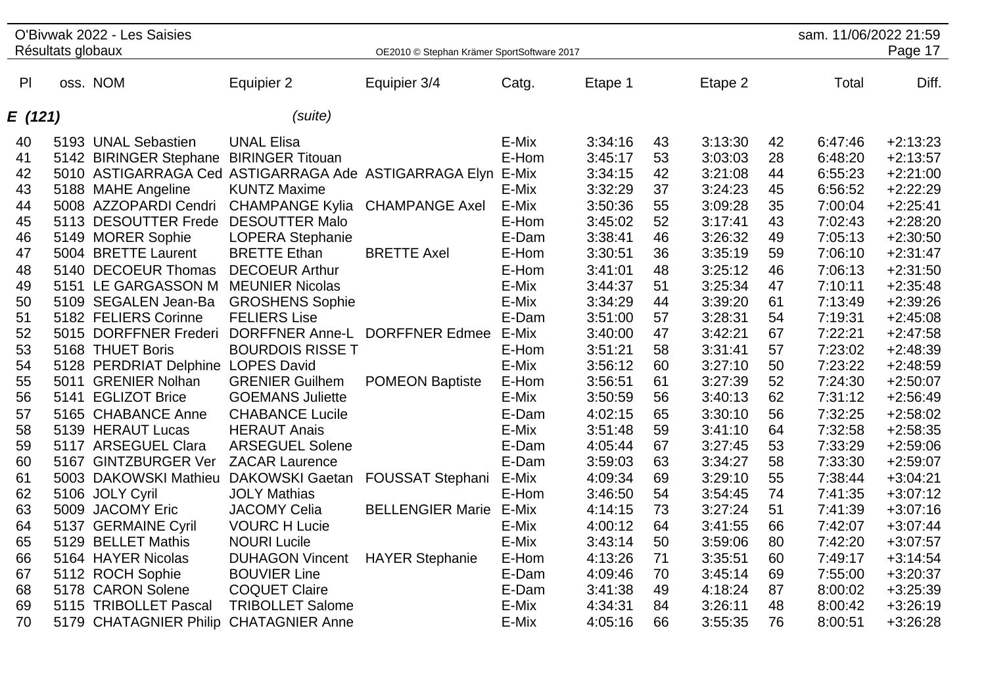|         |                   | O'Bivwak 2022 - Les Saisies             |                                                             |                                            |       |         |    |         |    | sam. 11/06/2022 21:59 |            |
|---------|-------------------|-----------------------------------------|-------------------------------------------------------------|--------------------------------------------|-------|---------|----|---------|----|-----------------------|------------|
|         | Résultats globaux |                                         |                                                             | OE2010 © Stephan Krämer SportSoftware 2017 |       |         |    |         |    |                       | Page 17    |
|         |                   |                                         |                                                             |                                            |       |         |    |         |    |                       |            |
| PI      |                   | oss. NOM                                | Equipier 2                                                  | Equipier 3/4                               | Catg. | Etape 1 |    | Etape 2 |    | Total                 | Diff.      |
| E (121) |                   |                                         | (suite)                                                     |                                            |       |         |    |         |    |                       |            |
|         |                   |                                         |                                                             |                                            |       |         |    |         |    |                       |            |
| 40      |                   | 5193 UNAL Sebastien                     | <b>UNAL Elisa</b>                                           |                                            | E-Mix | 3:34:16 | 43 | 3:13:30 | 42 | 6:47:46               | $+2:13:23$ |
| 41      |                   | 5142 BIRINGER Stephane BIRINGER Titouan |                                                             |                                            | E-Hom | 3:45:17 | 53 | 3:03:03 | 28 | 6:48:20               | $+2:13:57$ |
| 42      |                   |                                         | 5010 ASTIGARRAGA Ced ASTIGARRAGA Ade ASTIGARRAGA Elyn E-Mix |                                            |       | 3:34:15 | 42 | 3:21:08 | 44 | 6:55:23               | $+2:21:00$ |
| 43      |                   | 5188 MAHE Angeline                      | <b>KUNTZ Maxime</b>                                         |                                            | E-Mix | 3:32:29 | 37 | 3:24:23 | 45 | 6:56:52               | $+2:22:29$ |
| 44      |                   | 5008 AZZOPARDI Cendri                   | <b>CHAMPANGE Kylia</b>                                      | <b>CHAMPANGE Axel</b>                      | E-Mix | 3:50:36 | 55 | 3:09:28 | 35 | 7:00:04               | $+2:25:41$ |
| 45      |                   | 5113 DESOUTTER Frede                    | <b>DESOUTTER Malo</b>                                       |                                            | E-Hom | 3:45:02 | 52 | 3:17:41 | 43 | 7:02:43               | $+2:28:20$ |
| 46      |                   | 5149 MORER Sophie                       | <b>LOPERA Stephanie</b>                                     |                                            | E-Dam | 3:38:41 | 46 | 3:26:32 | 49 | 7:05:13               | $+2:30:50$ |
| 47      |                   | 5004 BRETTE Laurent                     | <b>BRETTE Ethan</b>                                         | <b>BRETTE Axel</b>                         | E-Hom | 3:30:51 | 36 | 3:35:19 | 59 | 7:06:10               | $+2:31:47$ |
| 48      |                   | 5140 DECOEUR Thomas                     | <b>DECOEUR Arthur</b>                                       |                                            | E-Hom | 3:41:01 | 48 | 3:25:12 | 46 | 7:06:13               | $+2:31:50$ |
| 49      |                   | 5151 LE GARGASSON M                     | <b>MEUNIER Nicolas</b>                                      |                                            | E-Mix | 3:44:37 | 51 | 3:25:34 | 47 | 7:10:11               | $+2:35:48$ |
| 50      |                   | 5109 SEGALEN Jean-Ba                    | <b>GROSHENS Sophie</b>                                      |                                            | E-Mix | 3:34:29 | 44 | 3:39:20 | 61 | 7:13:49               | $+2:39:26$ |
| 51      |                   | 5182 FELIERS Corinne                    | <b>FELIERS Lise</b>                                         |                                            | E-Dam | 3:51:00 | 57 | 3:28:31 | 54 | 7:19:31               | $+2:45:08$ |
| 52      |                   | 5015 DORFFNER Frederi                   |                                                             | DORFFNER Anne-L DORFFNER Edmee E-Mix       |       | 3:40:00 | 47 | 3:42:21 | 67 | 7:22:21               | $+2:47:58$ |
| 53      |                   | 5168 THUET Boris                        | <b>BOURDOIS RISSE T</b>                                     |                                            | E-Hom | 3:51:21 | 58 | 3:31:41 | 57 | 7:23:02               | $+2:48:39$ |
| 54      |                   | 5128 PERDRIAT Delphine LOPES David      |                                                             |                                            | E-Mix | 3:56:12 | 60 | 3:27:10 | 50 | 7:23:22               | $+2:48:59$ |
| 55      |                   | 5011 GRENIER Nolhan                     | <b>GRENIER Guilhem</b>                                      | <b>POMEON Baptiste</b>                     | E-Hom | 3:56:51 | 61 | 3:27:39 | 52 | 7:24:30               | $+2:50:07$ |
| 56      |                   | 5141 EGLIZOT Brice                      | <b>GOEMANS Juliette</b>                                     |                                            | E-Mix | 3:50:59 | 56 | 3:40:13 | 62 | 7:31:12               | $+2:56:49$ |
| 57      |                   | 5165 CHABANCE Anne                      | <b>CHABANCE Lucile</b>                                      |                                            | E-Dam | 4:02:15 | 65 | 3:30:10 | 56 | 7:32:25               | $+2:58:02$ |
| 58      |                   | 5139 HERAUT Lucas                       | <b>HERAUT Anais</b>                                         |                                            | E-Mix | 3:51:48 | 59 | 3:41:10 | 64 | 7:32:58               | $+2:58:35$ |
| 59      |                   | 5117 ARSEGUEL Clara                     | <b>ARSEGUEL Solene</b>                                      |                                            | E-Dam | 4:05:44 | 67 | 3:27:45 | 53 | 7:33:29               | $+2:59:06$ |
| 60      |                   | 5167 GINTZBURGER Ver                    | <b>ZACAR Laurence</b>                                       |                                            | E-Dam | 3:59:03 | 63 | 3:34:27 | 58 | 7:33:30               | $+2:59:07$ |
| 61      |                   | 5003 DAKOWSKI Mathieu                   | <b>DAKOWSKI Gaetan</b>                                      | <b>FOUSSAT Stephani</b>                    | E-Mix | 4:09:34 | 69 | 3:29:10 | 55 | 7:38:44               | $+3:04:21$ |
| 62      |                   | 5106 JOLY Cyril                         | <b>JOLY Mathias</b>                                         |                                            | E-Hom | 3:46:50 | 54 | 3:54:45 | 74 | 7:41:35               | $+3:07:12$ |
| 63      |                   | 5009 JACOMY Eric                        | <b>JACOMY Celia</b>                                         | <b>BELLENGIER Marie</b>                    | E-Mix | 4:14:15 | 73 | 3:27:24 | 51 | 7:41:39               | $+3:07:16$ |
| 64      |                   | 5137 GERMAINE Cyril                     | <b>VOURC H Lucie</b>                                        |                                            | E-Mix | 4:00:12 | 64 | 3:41:55 | 66 | 7:42:07               | $+3:07:44$ |
| 65      |                   | 5129 BELLET Mathis                      | <b>NOURI Lucile</b>                                         |                                            | E-Mix | 3:43:14 | 50 | 3:59:06 | 80 | 7:42:20               | $+3:07:57$ |
| 66      |                   | 5164 HAYER Nicolas                      | <b>DUHAGON Vincent</b>                                      | <b>HAYER Stephanie</b>                     | E-Hom | 4:13:26 | 71 | 3:35:51 | 60 | 7:49:17               | $+3:14:54$ |
| 67      |                   | 5112 ROCH Sophie                        | <b>BOUVIER Line</b>                                         |                                            | E-Dam | 4:09:46 | 70 | 3:45:14 | 69 | 7:55:00               | $+3:20:37$ |
| 68      |                   | 5178 CARON Solene                       | <b>COQUET Claire</b>                                        |                                            | E-Dam | 3:41:38 | 49 | 4:18:24 | 87 | 8:00:02               | $+3:25:39$ |
| 69      |                   | 5115 TRIBOLLET Pascal                   | <b>TRIBOLLET Salome</b>                                     |                                            | E-Mix | 4:34:31 | 84 | 3:26:11 | 48 | 8:00:42               | $+3:26:19$ |
| 70      |                   | 5179 CHATAGNIER Philip                  | <b>CHATAGNIER Anne</b>                                      |                                            | E-Mix | 4:05:16 | 66 | 3:55:35 | 76 | 8:00:51               | $+3:26:28$ |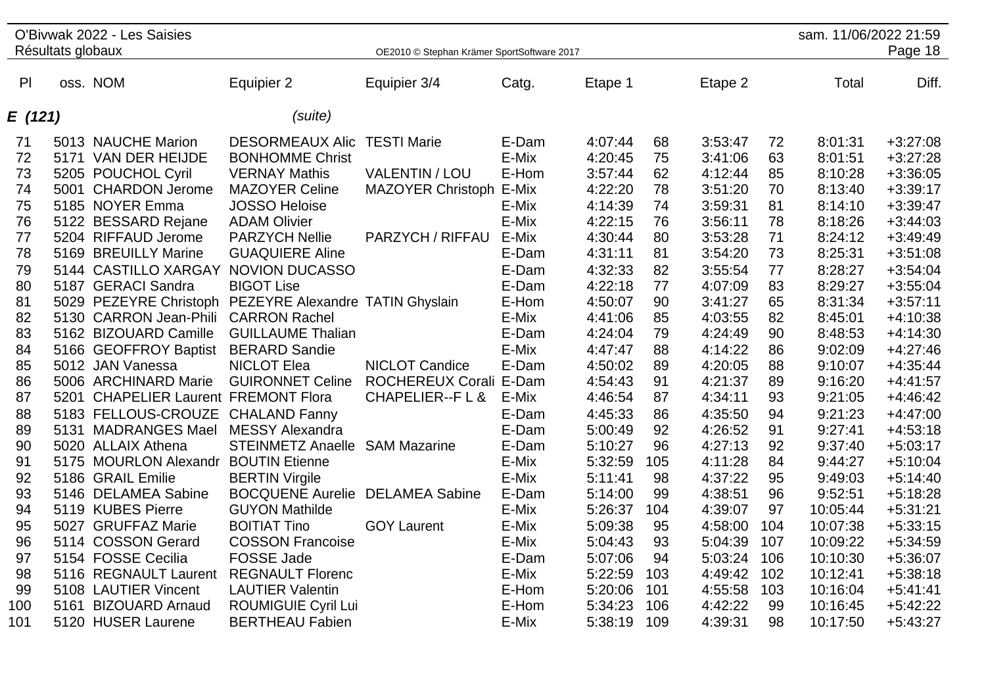| O'Bivwak 2022 - Les Saisies<br>Résultats globaux |      |                                                         |                            |                                            |       |         |     |         | sam. 11/06/2022 21:59 |          |            |
|--------------------------------------------------|------|---------------------------------------------------------|----------------------------|--------------------------------------------|-------|---------|-----|---------|-----------------------|----------|------------|
|                                                  |      |                                                         |                            | OE2010 © Stephan Krämer SportSoftware 2017 |       |         |     |         |                       |          | Page 18    |
| P                                                |      | oss. NOM                                                | Equipier 2                 | Equipier 3/4                               | Catg. | Etape 1 |     | Etape 2 |                       | Total    | Diff.      |
| E (121)                                          |      |                                                         | (suite)                    |                                            |       |         |     |         |                       |          |            |
| 71                                               |      | 5013 NAUCHE Marion                                      | <b>DESORMEAUX Alic</b>     | <b>TESTI Marie</b>                         | E-Dam | 4:07:44 | 68  | 3:53:47 | 72                    | 8:01:31  | $+3:27:08$ |
| 72                                               |      | 5171 VAN DER HEIJDE                                     | <b>BONHOMME Christ</b>     |                                            | E-Mix | 4:20:45 | 75  | 3:41:06 | 63                    | 8:01:51  | $+3:27:28$ |
| 73                                               |      | 5205 POUCHOL Cyril                                      | <b>VERNAY Mathis</b>       | <b>VALENTIN / LOU</b>                      | E-Hom | 3:57:44 | 62  | 4:12:44 | 85                    | 8:10:28  | $+3:36:05$ |
| 74                                               |      | 5001 CHARDON Jerome                                     | <b>MAZOYER Celine</b>      | MAZOYER Christoph E-Mix                    |       | 4:22:20 | 78  | 3:51:20 | 70                    | 8:13:40  | $+3:39:17$ |
| 75                                               |      | 5185 NOYER Emma                                         | <b>JOSSO Heloise</b>       |                                            | E-Mix | 4:14:39 | 74  | 3:59:31 | 81                    | 8:14:10  | $+3:39:47$ |
| 76                                               |      | 5122 BESSARD Rejane                                     | <b>ADAM Olivier</b>        |                                            | E-Mix | 4:22:15 | 76  | 3:56:11 | 78                    | 8:18:26  | $+3:44:03$ |
| 77                                               |      | 5204 RIFFAUD Jerome                                     | <b>PARZYCH Nellie</b>      | PARZYCH / RIFFAU                           | E-Mix | 4:30:44 | 80  | 3:53:28 | 71                    | 8:24:12  | $+3:49:49$ |
| 78                                               |      | 5169 BREUILLY Marine                                    | <b>GUAQUIERE Aline</b>     |                                            | E-Dam | 4:31:11 | 81  | 3:54:20 | 73                    | 8:25:31  | $+3:51:08$ |
| 79                                               |      | 5144 CASTILLO XARGAY                                    | <b>NOVION DUCASSO</b>      |                                            | E-Dam | 4:32:33 | 82  | 3:55:54 | 77                    | 8:28:27  | $+3:54:04$ |
| 80                                               |      | 5187 GERACI Sandra                                      | <b>BIGOT Lise</b>          |                                            | E-Dam | 4:22:18 | 77  | 4:07:09 | 83                    | 8:29:27  | $+3:55:04$ |
| 81                                               |      | 5029 PEZEYRE Christoph PEZEYRE Alexandre TATIN Ghyslain |                            |                                            | E-Hom | 4:50:07 | 90  | 3:41:27 | 65                    | 8:31:34  | $+3:57:11$ |
| 82                                               |      | 5130 CARRON Jean-Phili                                  | <b>CARRON Rachel</b>       |                                            | E-Mix | 4:41:06 | 85  | 4:03:55 | 82                    | 8:45:01  | $+4:10:38$ |
| 83                                               |      | 5162 BIZOUARD Camille                                   | <b>GUILLAUME Thalian</b>   |                                            | E-Dam | 4:24:04 | 79  | 4:24:49 | 90                    | 8:48:53  | $+4:14:30$ |
| 84                                               |      | 5166 GEOFFROY Baptist                                   | <b>BERARD Sandie</b>       |                                            | E-Mix | 4:47:47 | 88  | 4:14:22 | 86                    | 9:02:09  | $+4:27:46$ |
| 85                                               |      | 5012 JAN Vanessa                                        | <b>NICLOT Elea</b>         | <b>NICLOT Candice</b>                      | E-Dam | 4:50:02 | 89  | 4:20:05 | 88                    | 9:10:07  | $+4:35:44$ |
| 86                                               |      | 5006 ARCHINARD Marie                                    | <b>GUIRONNET Celine</b>    | ROCHEREUX Corali E-Dam                     |       | 4:54:43 | 91  | 4:21:37 | 89                    | 9:16:20  | $+4:41:57$ |
| 87                                               |      | 5201 CHAPELIER Laurent FREMONT Flora                    |                            | CHAPELIER--F L &                           | E-Mix | 4:46:54 | 87  | 4:34:11 | 93                    | 9:21:05  | $+4:46:42$ |
| 88                                               |      | 5183 FELLOUS-CROUZE CHALAND Fanny                       |                            |                                            | E-Dam | 4:45:33 | 86  | 4:35:50 | 94                    | 9:21:23  | $+4:47:00$ |
| 89                                               |      | 5131 MADRANGES Mael                                     | <b>MESSY Alexandra</b>     |                                            | E-Dam | 5:00:49 | 92  | 4:26:52 | 91                    | 9:27:41  | $+4:53:18$ |
| 90                                               |      | 5020 ALLAIX Athena                                      | <b>STEINMETZ Anaelle</b>   | <b>SAM Mazarine</b>                        | E-Dam | 5:10:27 | 96  | 4:27:13 | 92                    | 9:37:40  | $+5:03:17$ |
| 91                                               |      | 5175 MOURLON Alexandr                                   | <b>BOUTIN Etienne</b>      |                                            | E-Mix | 5:32:59 | 105 | 4:11:28 | 84                    | 9:44:27  | $+5:10:04$ |
| 92                                               |      | 5186 GRAIL Emilie                                       | <b>BERTIN Virgile</b>      |                                            | E-Mix | 5:11:41 | 98  | 4:37:22 | 95                    | 9:49:03  | $+5:14:40$ |
| 93                                               |      | 5146 DELAMEA Sabine                                     | <b>BOCQUENE Aurelie</b>    | <b>DELAMEA Sabine</b>                      | E-Dam | 5:14:00 | 99  | 4:38:51 | 96                    | 9:52:51  | $+5:18:28$ |
| 94                                               |      | 5119 KUBES Pierre                                       | <b>GUYON Mathilde</b>      |                                            | E-Mix | 5:26:37 | 104 | 4:39:07 | 97                    | 10:05:44 | $+5:31:21$ |
| 95                                               |      | 5027 GRUFFAZ Marie                                      | <b>BOITIAT Tino</b>        | <b>GOY Laurent</b>                         | E-Mix | 5:09:38 | 95  | 4:58:00 | 104                   | 10:07:38 | $+5:33:15$ |
| 96                                               |      | 5114 COSSON Gerard                                      | <b>COSSON Francoise</b>    |                                            | E-Mix | 5:04:43 | 93  | 5:04:39 | 107                   | 10:09:22 | $+5:34:59$ |
| 97                                               |      | 5154 FOSSE Cecilia                                      | <b>FOSSE Jade</b>          |                                            | E-Dam | 5:07:06 | 94  | 5:03:24 | 106                   | 10:10:30 | +5:36:07   |
| 98                                               |      | 5116 REGNAULT Laurent                                   | <b>REGNAULT Florenc</b>    |                                            | E-Mix | 5:22:59 | 103 | 4:49:42 | 102                   | 10:12:41 | $+5:38:18$ |
| 99                                               |      | 5108 LAUTIER Vincent                                    | <b>LAUTIER Valentin</b>    |                                            | E-Hom | 5:20:06 | 101 | 4:55:58 | 103                   | 10:16:04 | $+5:41:41$ |
| 100                                              | 5161 | <b>BIZOUARD Arnaud</b>                                  | <b>ROUMIGUIE Cyril Lui</b> |                                            | E-Hom | 5:34:23 | 106 | 4:42:22 | 99                    | 10:16:45 | $+5:42:22$ |
| 101                                              |      | 5120 HUSER Laurene                                      | <b>BERTHEAU Fabien</b>     |                                            | E-Mix | 5:38:19 | 109 | 4:39:31 | 98                    | 10:17:50 | $+5:43:27$ |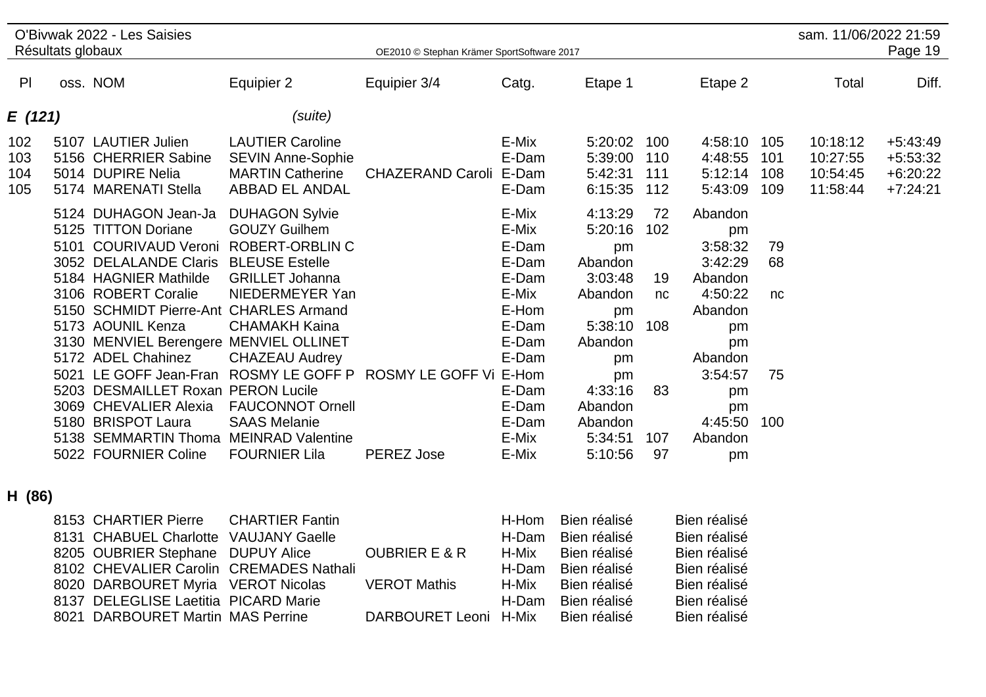|                          | Résultats globaux    | O'Bivwak 2022 - Les Saisies                                                                                                                                                                                                                                                    |                                                                                                                                                                                                | OE2010 © Stephan Krämer SportSoftware 2017                  |                                                                                        |                                                                                             |                              |                                                                                             |                          | sam. 11/06/2022 21:59<br>Page 19             |                                                      |  |
|--------------------------|----------------------|--------------------------------------------------------------------------------------------------------------------------------------------------------------------------------------------------------------------------------------------------------------------------------|------------------------------------------------------------------------------------------------------------------------------------------------------------------------------------------------|-------------------------------------------------------------|----------------------------------------------------------------------------------------|---------------------------------------------------------------------------------------------|------------------------------|---------------------------------------------------------------------------------------------|--------------------------|----------------------------------------------|------------------------------------------------------|--|
| PI                       |                      | oss. NOM                                                                                                                                                                                                                                                                       | Equipier 2                                                                                                                                                                                     | Equipier 3/4                                                | Catg.                                                                                  | Etape 1                                                                                     |                              | Etape 2                                                                                     |                          | Total                                        | Diff.                                                |  |
| E (121)                  |                      |                                                                                                                                                                                                                                                                                | (suite)                                                                                                                                                                                        |                                                             |                                                                                        |                                                                                             |                              |                                                                                             |                          |                                              |                                                      |  |
| 102<br>103<br>104<br>105 |                      | 5107 LAUTIER Julien<br>5156 CHERRIER Sabine<br>5014 DUPIRE Nelia<br>5174 MARENATI Stella                                                                                                                                                                                       | <b>LAUTIER Caroline</b><br><b>SEVIN Anne-Sophie</b><br><b>MARTIN Catherine</b><br><b>ABBAD EL ANDAL</b>                                                                                        | CHAZERAND Caroli E-Dam                                      | E-Mix<br>E-Dam<br>E-Dam                                                                | 5:20:02<br>5:39:00<br>5:42:31<br>6:15:35                                                    | 100<br>110<br>111<br>112     | 4:58:10<br>4:48:55<br>5:12:14<br>5:43:09                                                    | 105<br>101<br>108<br>109 | 10:18:12<br>10:27:55<br>10:54:45<br>11:58:44 | $+5:43:49$<br>$+5:53:32$<br>$+6:20:22$<br>$+7:24:21$ |  |
|                          | 5101                 | 5124 DUHAGON Jean-Ja<br>5125 TITTON Doriane<br><b>COURIVAUD Veroni</b><br>3052 DELALANDE Claris<br>5184 HAGNIER Mathilde<br>3106 ROBERT Coralie<br>5150 SCHMIDT Pierre-Ant CHARLES Armand<br>5173 AOUNIL Kenza<br>3130 MENVIEL Berengere MENVIEL OLLINET<br>5172 ADEL Chahinez | <b>DUHAGON Sylvie</b><br><b>GOUZY Guilhem</b><br><b>ROBERT-ORBLIN C</b><br><b>BLEUSE Estelle</b><br><b>GRILLET Johanna</b><br>NIEDERMEYER Yan<br><b>CHAMAKH Kaina</b><br><b>CHAZEAU Audrey</b> |                                                             | E-Mix<br>E-Mix<br>E-Dam<br>E-Dam<br>E-Dam<br>E-Mix<br>E-Hom<br>E-Dam<br>E-Dam<br>E-Dam | 4:13:29<br>5:20:16<br>pm<br>Abandon<br>3:03:48<br>Abandon<br>pm<br>5:38:10<br>Abandon<br>pm | 72<br>102<br>19<br>nc<br>108 | Abandon<br>pm<br>3:58:32<br>3:42:29<br>Abandon<br>4:50:22<br>Abandon<br>pm<br>pm<br>Abandon | 79<br>68<br>nc           |                                              |                                                      |  |
|                          | 5203<br>3069<br>5180 | 5021 LE GOFF Jean-Fran<br><b>DESMAILLET Roxan PERON Lucile</b><br><b>CHEVALIER Alexia</b><br><b>BRISPOT Laura</b><br>5138 SEMMARTIN Thoma<br>5022 FOURNIER Coline                                                                                                              | <b>FAUCONNOT Ornell</b><br><b>SAAS Melanie</b><br><b>MEINRAD Valentine</b><br><b>FOURNIER Lila</b>                                                                                             | ROSMY LE GOFF P ROSMY LE GOFF Vi E-Hom<br><b>PEREZ Jose</b> | E-Dam<br>E-Dam<br>E-Dam<br>E-Mix<br>E-Mix                                              | pm<br>4:33:16<br>Abandon<br>Abandon<br>5:34:51<br>5:10:56                                   | 83<br>107<br>97              | 3:54:57<br>pm<br>pm<br>4:45:50<br>Abandon<br>pm                                             | 75<br>100                |                                              |                                                      |  |

## **H (86)**

| 8153 CHARTIER Pierre CHARTIER Fantin    |                          |       | H-Hom Bien réalisé | Bien réalisé |
|-----------------------------------------|--------------------------|-------|--------------------|--------------|
| 8131 CHABUEL Charlotte VAUJANY Gaelle   |                          | H-Dam | Bien réalisé       | Bien réalisé |
| 8205 OUBRIER Stephane DUPUY Alice       | <b>OUBRIER E &amp; R</b> | H-Mix | Bien réalisé       | Bien réalisé |
| 8102 CHEVALIER Carolin CREMADES Nathali |                          | H-Dam | Bien réalisé       | Bien réalisé |
| 8020 DARBOURET Myria VEROT Nicolas      | <b>VEROT Mathis</b>      | H-Mix | Bien réalisé       | Bien réalisé |
| 8137 DELEGLISE Laetitia PICARD Marie    |                          | H-Dam | Bien réalisé       | Bien réalisé |
| 8021 DARBOURET Martin MAS Perrine       | DARBOURET Leoni H-Mix    |       | Bien réalisé       | Bien réalisé |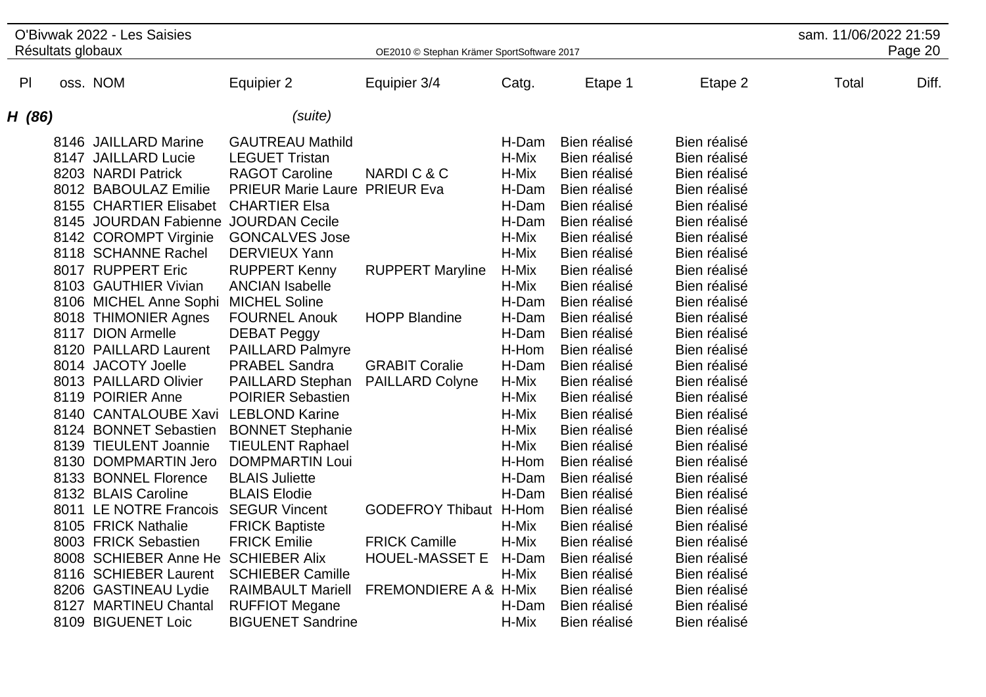|               |                   | O'Bivwak 2022 - Les Saisies                                                                                                                                                                                       |                                                                                                                                                                                                                                                                       |                                                                                |                                                                                        |                                                                                                                                                              |                                                                                                                                                              | sam. 11/06/2022 21:59 |         |
|---------------|-------------------|-------------------------------------------------------------------------------------------------------------------------------------------------------------------------------------------------------------------|-----------------------------------------------------------------------------------------------------------------------------------------------------------------------------------------------------------------------------------------------------------------------|--------------------------------------------------------------------------------|----------------------------------------------------------------------------------------|--------------------------------------------------------------------------------------------------------------------------------------------------------------|--------------------------------------------------------------------------------------------------------------------------------------------------------------|-----------------------|---------|
|               | Résultats globaux |                                                                                                                                                                                                                   |                                                                                                                                                                                                                                                                       | OE2010 © Stephan Krämer SportSoftware 2017                                     |                                                                                        |                                                                                                                                                              |                                                                                                                                                              |                       | Page 20 |
| $\mathsf{Pl}$ |                   | oss. NOM                                                                                                                                                                                                          | Equipier 2                                                                                                                                                                                                                                                            | Equipier 3/4                                                                   | Catg.                                                                                  | Etape 1                                                                                                                                                      | Etape 2                                                                                                                                                      | Total                 | Diff.   |
| H (86)        |                   |                                                                                                                                                                                                                   | (suite)                                                                                                                                                                                                                                                               |                                                                                |                                                                                        |                                                                                                                                                              |                                                                                                                                                              |                       |         |
|               |                   | 8146 JAILLARD Marine<br>8147 JAILLARD Lucie<br>8203 NARDI Patrick<br>8012 BABOULAZ Emilie<br>8155 CHARTIER Elisabet<br>8145 JOURDAN Fabienne<br>8142 COROMPT Virginie<br>8118 SCHANNE Rachel<br>8017 RUPPERT Eric | <b>GAUTREAU Mathild</b><br><b>LEGUET Tristan</b><br><b>RAGOT Caroline</b><br><b>PRIEUR Marie Laure PRIEUR Eva</b><br><b>CHARTIER Elsa</b><br><b>JOURDAN Cecile</b><br><b>GONCALVES Jose</b><br><b>DERVIEUX Yann</b><br><b>RUPPERT Kenny</b><br><b>ANCIAN Isabelle</b> | NARDIC&C<br><b>RUPPERT Maryline</b>                                            | H-Dam<br>H-Mix<br>H-Mix<br>H-Dam<br>H-Dam<br>H-Dam<br>H-Mix<br>H-Mix<br>H-Mix<br>H-Mix | Bien réalisé<br>Bien réalisé<br>Bien réalisé<br>Bien réalisé<br>Bien réalisé<br>Bien réalisé<br>Bien réalisé<br>Bien réalisé<br>Bien réalisé<br>Bien réalisé | Bien réalisé<br>Bien réalisé<br>Bien réalisé<br>Bien réalisé<br>Bien réalisé<br>Bien réalisé<br>Bien réalisé<br>Bien réalisé<br>Bien réalisé<br>Bien réalisé |                       |         |
|               |                   | 8103 GAUTHIER Vivian<br>8106 MICHEL Anne Sophi<br>8018 THIMONIER Agnes<br>8117 DION Armelle<br>8120 PAILLARD Laurent                                                                                              | <b>MICHEL Soline</b><br><b>FOURNEL Anouk</b><br><b>DEBAT Peggy</b><br><b>PAILLARD Palmyre</b>                                                                                                                                                                         | <b>HOPP Blandine</b>                                                           | H-Dam<br>H-Dam<br>H-Dam<br>H-Hom                                                       | Bien réalisé<br>Bien réalisé<br>Bien réalisé<br>Bien réalisé                                                                                                 | Bien réalisé<br>Bien réalisé<br>Bien réalisé<br>Bien réalisé                                                                                                 |                       |         |
|               |                   | 8014 JACOTY Joelle<br>8013 PAILLARD Olivier<br>8119 POIRIER Anne<br>8140 CANTALOUBE Xavi<br>8124 BONNET Sebastien<br>8139 TIEULENT Joannie<br>8130 DOMPMARTIN Jero                                                | <b>PRABEL Sandra</b><br>PAILLARD Stephan<br><b>POIRIER Sebastien</b><br><b>LEBLOND Karine</b><br><b>BONNET Stephanie</b><br><b>TIEULENT Raphael</b><br><b>DOMPMARTIN Loui</b>                                                                                         | <b>GRABIT Coralie</b><br><b>PAILLARD Colyne</b>                                | H-Dam<br>H-Mix<br>H-Mix<br>H-Mix<br>H-Mix<br>H-Mix<br>H-Hom                            | Bien réalisé<br>Bien réalisé<br>Bien réalisé<br>Bien réalisé<br>Bien réalisé<br>Bien réalisé<br>Bien réalisé                                                 | Bien réalisé<br>Bien réalisé<br>Bien réalisé<br>Bien réalisé<br>Bien réalisé<br>Bien réalisé<br>Bien réalisé                                                 |                       |         |
|               |                   | 8133 BONNEL Florence<br>8132 BLAIS Caroline<br>8011 LE NOTRE Francois SEGUR Vincent<br>8105 FRICK Nathalie<br>8003 FRICK Sebastien<br>8008 SCHIEBER Anne He SCHIEBER Alix                                         | <b>BLAIS Juliette</b><br><b>BLAIS Elodie</b><br><b>FRICK Baptiste</b><br><b>FRICK Emilie</b>                                                                                                                                                                          | <b>GODEFROY Thibaut H-Hom</b><br><b>FRICK Camille</b><br><b>HOUEL-MASSET E</b> | H-Dam<br>H-Dam<br>H-Mix<br>H-Mix<br>H-Dam                                              | Bien réalisé<br>Bien réalisé<br>Bien réalisé<br>Bien réalisé<br>Bien réalisé<br>Bien réalisé                                                                 | Bien réalisé<br>Bien réalisé<br>Bien réalisé<br>Bien réalisé<br>Bien réalisé<br>Bien réalisé                                                                 |                       |         |
|               |                   | 8116 SCHIEBER Laurent<br>8206 GASTINEAU Lydie<br>8127 MARTINEU Chantal<br>8109 BIGUENET Loic                                                                                                                      | <b>SCHIEBER Camille</b><br><b>RAIMBAULT Mariell</b><br><b>RUFFIOT Megane</b><br><b>BIGUENET Sandrine</b>                                                                                                                                                              | <b>FREMONDIERE A &amp; H-Mix</b>                                               | H-Mix<br>H-Dam<br>H-Mix                                                                | Bien réalisé<br>Bien réalisé<br>Bien réalisé<br>Bien réalisé                                                                                                 | Bien réalisé<br>Bien réalisé<br>Bien réalisé<br>Bien réalisé                                                                                                 |                       |         |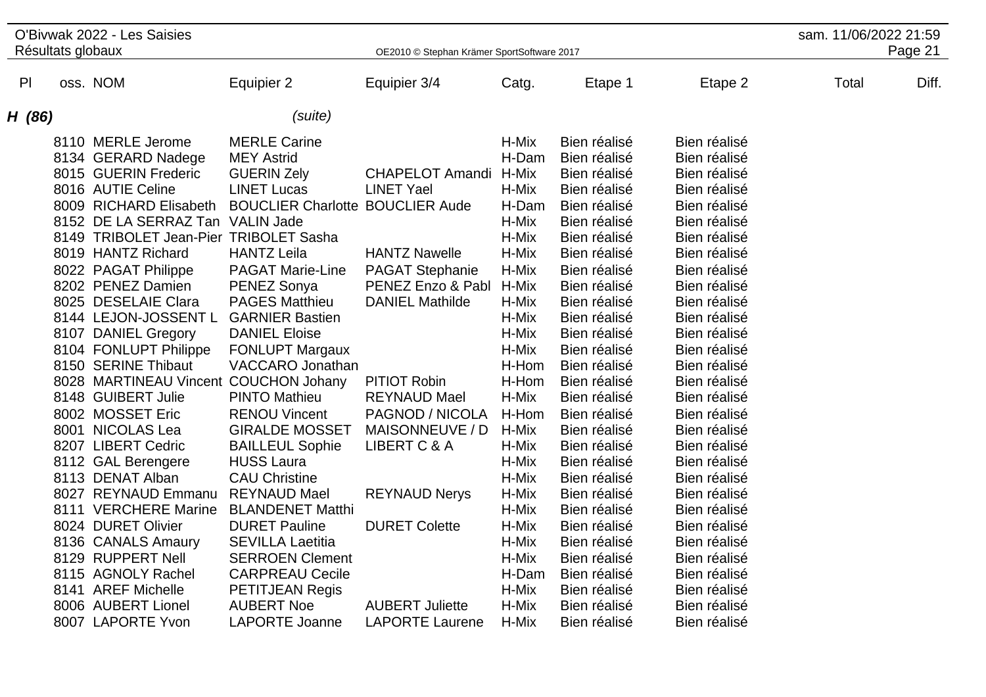| O'Bivwak 2022 - Les Saisies                                                                                                                                                                                                                                                                                                                                                                                                                                                                                                                                                                                                                                                                                                                                           |                                                                                                                                                                                                                                                                                                                                                                                                                                                                                                                                                       | sam. 11/06/2022 21:59                                                                                                                                                                                                                                                                            |                                                                                                                                                                                                                                                                   |                                                                                                                                                                                                                                                                                                                                                                                                                                                              |                                                                                                                                                                                                                                                                                                                                                                                                                                                              |       |         |
|-----------------------------------------------------------------------------------------------------------------------------------------------------------------------------------------------------------------------------------------------------------------------------------------------------------------------------------------------------------------------------------------------------------------------------------------------------------------------------------------------------------------------------------------------------------------------------------------------------------------------------------------------------------------------------------------------------------------------------------------------------------------------|-------------------------------------------------------------------------------------------------------------------------------------------------------------------------------------------------------------------------------------------------------------------------------------------------------------------------------------------------------------------------------------------------------------------------------------------------------------------------------------------------------------------------------------------------------|--------------------------------------------------------------------------------------------------------------------------------------------------------------------------------------------------------------------------------------------------------------------------------------------------|-------------------------------------------------------------------------------------------------------------------------------------------------------------------------------------------------------------------------------------------------------------------|--------------------------------------------------------------------------------------------------------------------------------------------------------------------------------------------------------------------------------------------------------------------------------------------------------------------------------------------------------------------------------------------------------------------------------------------------------------|--------------------------------------------------------------------------------------------------------------------------------------------------------------------------------------------------------------------------------------------------------------------------------------------------------------------------------------------------------------------------------------------------------------------------------------------------------------|-------|---------|
| Résultats globaux                                                                                                                                                                                                                                                                                                                                                                                                                                                                                                                                                                                                                                                                                                                                                     |                                                                                                                                                                                                                                                                                                                                                                                                                                                                                                                                                       | OE2010 © Stephan Krämer SportSoftware 2017                                                                                                                                                                                                                                                       |                                                                                                                                                                                                                                                                   |                                                                                                                                                                                                                                                                                                                                                                                                                                                              |                                                                                                                                                                                                                                                                                                                                                                                                                                                              |       | Page 21 |
| oss. NOM<br>P <sub>l</sub>                                                                                                                                                                                                                                                                                                                                                                                                                                                                                                                                                                                                                                                                                                                                            | Equipier 2                                                                                                                                                                                                                                                                                                                                                                                                                                                                                                                                            | Equipier 3/4                                                                                                                                                                                                                                                                                     | Catg.                                                                                                                                                                                                                                                             | Etape 1                                                                                                                                                                                                                                                                                                                                                                                                                                                      | Etape 2                                                                                                                                                                                                                                                                                                                                                                                                                                                      | Total | Diff.   |
| H (86)                                                                                                                                                                                                                                                                                                                                                                                                                                                                                                                                                                                                                                                                                                                                                                | (suite)                                                                                                                                                                                                                                                                                                                                                                                                                                                                                                                                               |                                                                                                                                                                                                                                                                                                  |                                                                                                                                                                                                                                                                   |                                                                                                                                                                                                                                                                                                                                                                                                                                                              |                                                                                                                                                                                                                                                                                                                                                                                                                                                              |       |         |
| 8110 MERLE Jerome<br>8134 GERARD Nadege<br>8015 GUERIN Frederic<br>8016 AUTIE Celine<br>8009 RICHARD Elisabeth<br>8152 DE LA SERRAZ Tan VALIN Jade<br>8149 TRIBOLET Jean-Pier TRIBOLET Sasha<br>8019 HANTZ Richard<br>8022 PAGAT Philippe<br>8202 PENEZ Damien<br>8025 DESELAIE Clara<br>8144 LEJON-JOSSENT L GARNIER Bastien<br>8107 DANIEL Gregory<br>8104 FONLUPT Philippe<br>8150 SERINE Thibaut<br>8028 MARTINEAU Vincent COUCHON Johany<br>8148 GUIBERT Julie<br>8002 MOSSET Eric<br>8001 NICOLAS Lea<br>8207 LIBERT Cedric<br>8112 GAL Berengere<br>8113 DENAT Alban<br>8027 REYNAUD Emmanu REYNAUD Mael<br>8111 VERCHERE Marine BLANDENET Matthi<br>8024 DURET Olivier<br>8136 CANALS Amaury<br>8129 RUPPERT Nell<br>8115 AGNOLY Rachel<br>8141 AREF Michelle | <b>MERLE Carine</b><br><b>MEY Astrid</b><br><b>GUERIN Zely</b><br><b>LINET Lucas</b><br><b>BOUCLIER Charlotte BOUCLIER Aude</b><br><b>HANTZ Leila</b><br><b>PAGAT Marie-Line</b><br>PENEZ Sonya<br><b>PAGES Matthieu</b><br><b>DANIEL Eloise</b><br><b>FONLUPT Margaux</b><br>VACCARO Jonathan<br><b>PINTO Mathieu</b><br><b>RENOU Vincent</b><br><b>GIRALDE MOSSET</b><br><b>BAILLEUL Sophie</b><br><b>HUSS Laura</b><br><b>CAU Christine</b><br><b>DURET Pauline</b><br><b>SEVILLA Laetitia</b><br><b>SERROEN Clement</b><br><b>CARPREAU Cecile</b> | <b>CHAPELOT Amandi</b><br><b>LINET Yael</b><br><b>HANTZ Nawelle</b><br><b>PAGAT Stephanie</b><br>PENEZ Enzo & Pabl<br><b>DANIEL Mathilde</b><br><b>PITIOT Robin</b><br><b>REYNAUD Mael</b><br>PAGNOD / NICOLA<br>MAISONNEUVE / D<br>LIBERT C & A<br><b>REYNAUD Nerys</b><br><b>DURET Colette</b> | H-Mix<br>H-Dam<br>H-Mix<br>H-Mix<br>H-Dam<br>H-Mix<br>H-Mix<br>H-Mix<br>H-Mix<br>H-Mix<br>H-Mix<br>H-Mix<br>H-Mix<br>H-Mix<br>H-Hom<br>H-Hom<br>H-Mix<br>H-Hom<br>H-Mix<br>H-Mix<br>H-Mix<br>H-Mix<br>H-Mix<br>H-Mix<br>H-Mix<br>H-Mix<br>H-Mix<br>H-Dam<br>H-Mix | Bien réalisé<br>Bien réalisé<br>Bien réalisé<br>Bien réalisé<br>Bien réalisé<br>Bien réalisé<br>Bien réalisé<br>Bien réalisé<br>Bien réalisé<br>Bien réalisé<br>Bien réalisé<br>Bien réalisé<br>Bien réalisé<br>Bien réalisé<br>Bien réalisé<br>Bien réalisé<br>Bien réalisé<br>Bien réalisé<br>Bien réalisé<br>Bien réalisé<br>Bien réalisé<br>Bien réalisé<br>Bien réalisé<br>Bien réalisé<br>Bien réalisé<br>Bien réalisé<br>Bien réalisé<br>Bien réalisé | Bien réalisé<br>Bien réalisé<br>Bien réalisé<br>Bien réalisé<br>Bien réalisé<br>Bien réalisé<br>Bien réalisé<br>Bien réalisé<br>Bien réalisé<br>Bien réalisé<br>Bien réalisé<br>Bien réalisé<br>Bien réalisé<br>Bien réalisé<br>Bien réalisé<br>Bien réalisé<br>Bien réalisé<br>Bien réalisé<br>Bien réalisé<br>Bien réalisé<br>Bien réalisé<br>Bien réalisé<br>Bien réalisé<br>Bien réalisé<br>Bien réalisé<br>Bien réalisé<br>Bien réalisé<br>Bien réalisé |       |         |
| 8006 AUBERT Lionel<br>8007 LAPORTE Yvon                                                                                                                                                                                                                                                                                                                                                                                                                                                                                                                                                                                                                                                                                                                               | <b>PETITJEAN Regis</b><br><b>AUBERT Noe</b><br><b>LAPORTE Joanne</b>                                                                                                                                                                                                                                                                                                                                                                                                                                                                                  | <b>AUBERT Juliette</b><br><b>LAPORTE Laurene</b>                                                                                                                                                                                                                                                 | H-Mix<br>H-Mix                                                                                                                                                                                                                                                    | Bien réalisé<br>Bien réalisé<br>Bien réalisé                                                                                                                                                                                                                                                                                                                                                                                                                 | Bien réalisé<br>Bien réalisé<br>Bien réalisé                                                                                                                                                                                                                                                                                                                                                                                                                 |       |         |
|                                                                                                                                                                                                                                                                                                                                                                                                                                                                                                                                                                                                                                                                                                                                                                       |                                                                                                                                                                                                                                                                                                                                                                                                                                                                                                                                                       |                                                                                                                                                                                                                                                                                                  |                                                                                                                                                                                                                                                                   |                                                                                                                                                                                                                                                                                                                                                                                                                                                              |                                                                                                                                                                                                                                                                                                                                                                                                                                                              |       |         |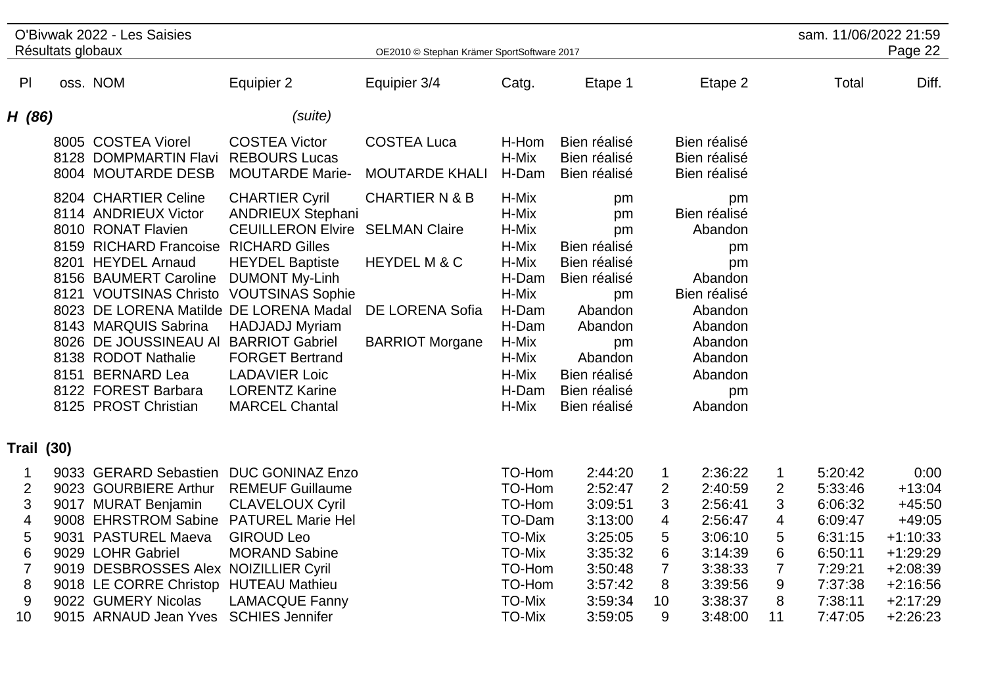| O'Bivwak 2022 - Les Saisies |  |                                                                                                                                                                                                                                                                                                                                                                                                                                                                                                                                                                                            |                                                                                                                                                                                                                                                     |                                                                                                                            |                                                                                                                                                             |                                                                                                                   |                                                                                                              |                                                                                         |                                                                                                 |                                                                                                                              |
|-----------------------------|--|--------------------------------------------------------------------------------------------------------------------------------------------------------------------------------------------------------------------------------------------------------------------------------------------------------------------------------------------------------------------------------------------------------------------------------------------------------------------------------------------------------------------------------------------------------------------------------------------|-----------------------------------------------------------------------------------------------------------------------------------------------------------------------------------------------------------------------------------------------------|----------------------------------------------------------------------------------------------------------------------------|-------------------------------------------------------------------------------------------------------------------------------------------------------------|-------------------------------------------------------------------------------------------------------------------|--------------------------------------------------------------------------------------------------------------|-----------------------------------------------------------------------------------------|-------------------------------------------------------------------------------------------------|------------------------------------------------------------------------------------------------------------------------------|
|                             |  |                                                                                                                                                                                                                                                                                                                                                                                                                                                                                                                                                                                            |                                                                                                                                                                                                                                                     |                                                                                                                            |                                                                                                                                                             |                                                                                                                   |                                                                                                              |                                                                                         |                                                                                                 | Page 22                                                                                                                      |
|                             |  | Equipier 2                                                                                                                                                                                                                                                                                                                                                                                                                                                                                                                                                                                 | Equipier 3/4                                                                                                                                                                                                                                        | Catg.                                                                                                                      | Etape 1                                                                                                                                                     |                                                                                                                   | Etape 2                                                                                                      |                                                                                         | Total                                                                                           | Diff.                                                                                                                        |
| H(86)                       |  | (suite)                                                                                                                                                                                                                                                                                                                                                                                                                                                                                                                                                                                    |                                                                                                                                                                                                                                                     |                                                                                                                            |                                                                                                                                                             |                                                                                                                   |                                                                                                              |                                                                                         |                                                                                                 |                                                                                                                              |
|                             |  | <b>COSTEA Victor</b><br><b>REBOURS Lucas</b><br><b>MOUTARDE Marie-</b>                                                                                                                                                                                                                                                                                                                                                                                                                                                                                                                     | <b>COSTEA Luca</b><br><b>MOUTARDE KHALI</b>                                                                                                                                                                                                         | H-Hom<br>H-Mix<br>H-Dam                                                                                                    | Bien réalisé<br>Bien réalisé<br>Bien réalisé                                                                                                                |                                                                                                                   |                                                                                                              |                                                                                         |                                                                                                 |                                                                                                                              |
|                             |  | <b>CHARTIER Cyril</b><br><b>ANDRIEUX Stephani</b><br><b>CEUILLERON Elvire</b><br><b>RICHARD Gilles</b><br><b>HEYDEL Baptiste</b><br><b>DUMONT My-Linh</b><br><b>HADJADJ Myriam</b><br><b>BARRIOT Gabriel</b><br><b>FORGET Bertrand</b><br><b>LADAVIER Loic</b><br><b>LORENTZ Karine</b><br><b>MARCEL Chantal</b>                                                                                                                                                                                                                                                                           | <b>CHARTIER N &amp; B</b><br><b>SELMAN Claire</b><br>HEYDEL M & C<br><b>DE LORENA Sofia</b><br><b>BARRIOT Morgane</b>                                                                                                                               | H-Mix<br>H-Mix<br>H-Mix<br>H-Mix<br>H-Mix<br>H-Dam<br>H-Mix<br>H-Dam<br>H-Dam<br>H-Mix<br>H-Mix<br>H-Mix<br>H-Dam<br>H-Mix | pm<br>pm<br>pm<br>Bien réalisé<br>Bien réalisé<br>Bien réalisé<br>pm<br>Abandon<br>Abandon<br>pm<br>Abandon<br>Bien réalisé<br>Bien réalisé<br>Bien réalisé |                                                                                                                   | pm<br>Abandon<br>pm<br>pm<br>Abandon<br>Abandon<br>Abandon<br>Abandon<br>Abandon<br>Abandon<br>pm<br>Abandon |                                                                                         |                                                                                                 |                                                                                                                              |
| <b>Trail (30)</b>           |  |                                                                                                                                                                                                                                                                                                                                                                                                                                                                                                                                                                                            |                                                                                                                                                                                                                                                     |                                                                                                                            |                                                                                                                                                             |                                                                                                                   |                                                                                                              |                                                                                         |                                                                                                 |                                                                                                                              |
|                             |  | <b>REMEUF Guillaume</b><br><b>CLAVELOUX Cyril</b><br><b>GIROUD Leo</b><br><b>MORAND Sabine</b><br><b>LAMACQUE Fanny</b>                                                                                                                                                                                                                                                                                                                                                                                                                                                                    |                                                                                                                                                                                                                                                     | <b>TO-Mix</b><br><b>TO-Mix</b><br><b>TO-Mix</b>                                                                            | 2:44:20<br>2:52:47<br>3:09:51<br>3:13:00<br>3:25:05<br>3:35:32<br>3:50:48<br>3:57:42<br>3:59:34                                                             | $\mathbf 1$<br>$\overline{2}$<br>3<br>4<br>5<br>6<br>$\overline{7}$<br>8<br>10                                    | 2:36:22<br>2:40:59<br>2:56:41<br>2:56:47<br>3:06:10<br>3:14:39<br>3:38:33<br>3:39:56<br>3:38:37              | 1<br>2<br>3<br>4<br>5<br>6<br>$\overline{7}$<br>9<br>8                                  | 5:20:42<br>5:33:46<br>6:06:32<br>6:09:47<br>6:31:15<br>6:50:11<br>7:29:21<br>7:37:38<br>7:38:11 | 0:00<br>$+13:04$<br>$+45:50$<br>$+49:05$<br>$+1:10:33$<br>$+1:29:29$<br>$+2:08:39$<br>$+2:16:56$<br>$+2:17:29$<br>$+2:26:23$ |
|                             |  | Résultats globaux<br>oss. NOM<br>8005 COSTEA Viorel<br>8128 DOMPMARTIN Flavi<br>8004 MOUTARDE DESB<br>8204 CHARTIER Celine<br>8114 ANDRIEUX Victor<br>8010 RONAT Flavien<br>8159 RICHARD Francoise<br>8201 HEYDEL Arnaud<br>8156 BAUMERT Caroline<br>8121 VOUTSINAS Christo<br>8143 MARQUIS Sabrina<br>8026 DE JOUSSINEAU AI<br>8138 RODOT Nathalie<br>8151 BERNARD Lea<br>8122 FOREST Barbara<br>8125 PROST Christian<br>9033 GERARD Sebastien<br>9023 GOURBIERE Arthur<br>9017 MURAT Benjamin<br>9008 EHRSTROM Sabine<br>9031 PASTUREL Maeva<br>9029 LOHR Gabriel<br>9022 GUMERY Nicolas | <b>VOUTSINAS Sophie</b><br>8023 DE LORENA Matilde DE LORENA Madal<br><b>DUC GONINAZ Enzo</b><br><b>PATUREL Marie Hel</b><br>9019 DESBROSSES Alex NOIZILLIER Cyril<br>9018 LE CORRE Christop HUTEAU Mathieu<br>9015 ARNAUD Jean Yves SCHIES Jennifer |                                                                                                                            | <b>TO-Mix</b>                                                                                                                                               | OE2010 © Stephan Krämer SportSoftware 2017<br>TO-Hom<br>TO-Hom<br>TO-Hom<br>TO-Dam<br>TO-Hom<br>TO-Hom<br>3:59:05 | 9                                                                                                            | Bien réalisé<br>Bien réalisé<br>Bien réalisé<br>Bien réalisé<br>Bien réalisé<br>3:48:00 | 11                                                                                              | sam. 11/06/2022 21:59<br>7:47:05                                                                                             |